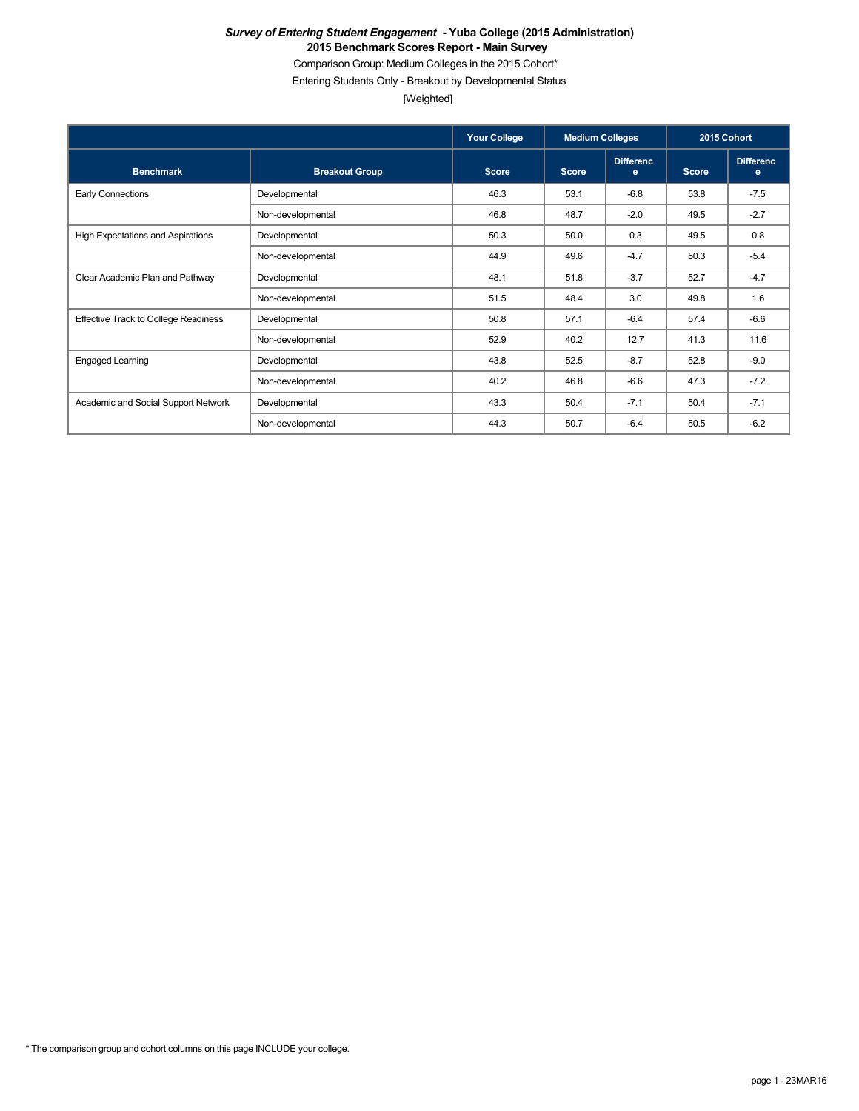Comparison Group: Medium Colleges in the 2015 Cohort\*

Entering Students Only - Breakout by Developmental Status

[Weighted]

|                                             |                       | <b>Your College</b> | <b>Medium Colleges</b> |                       | 2015 Cohort  |                       |
|---------------------------------------------|-----------------------|---------------------|------------------------|-----------------------|--------------|-----------------------|
| <b>Benchmark</b>                            | <b>Breakout Group</b> | <b>Score</b>        | <b>Score</b>           | <b>Differenc</b><br>e | <b>Score</b> | <b>Differenc</b><br>e |
| <b>Early Connections</b>                    | Developmental         | 46.3                | 53.1                   | $-6.8$                | 53.8         | $-7.5$                |
|                                             | Non-developmental     | 46.8                | 48.7                   | $-2.0$                | 49.5         | $-2.7$                |
| High Expectations and Aspirations           | Developmental         | 50.3                | 50.0                   | 0.3                   | 49.5         | 0.8                   |
|                                             | Non-developmental     | 44.9                | 49.6                   | $-4.7$                | 50.3         | $-5.4$                |
| Clear Academic Plan and Pathway             | Developmental         | 48.1                | 51.8                   | $-3.7$                | 52.7         | $-4.7$                |
|                                             | Non-developmental     | 51.5                | 48.4                   | 3.0                   | 49.8         | 1.6                   |
| <b>Effective Track to College Readiness</b> | Developmental         | 50.8                | 57.1                   | $-6.4$                | 57.4         | $-6.6$                |
|                                             | Non-developmental     | 52.9                | 40.2                   | 12.7                  | 41.3         | 11.6                  |
| <b>Engaged Learning</b>                     | Developmental         | 43.8                | 52.5                   | $-8.7$                | 52.8         | $-9.0$                |
|                                             | Non-developmental     | 40.2                | 46.8                   | $-6.6$                | 47.3         | $-7.2$                |
| Academic and Social Support Network         | Developmental         | 43.3                | 50.4                   | $-7.1$                | 50.4         | $-7.1$                |
|                                             | Non-developmental     | 44.3                | 50.7                   | $-6.4$                | 50.5         | $-6.2$                |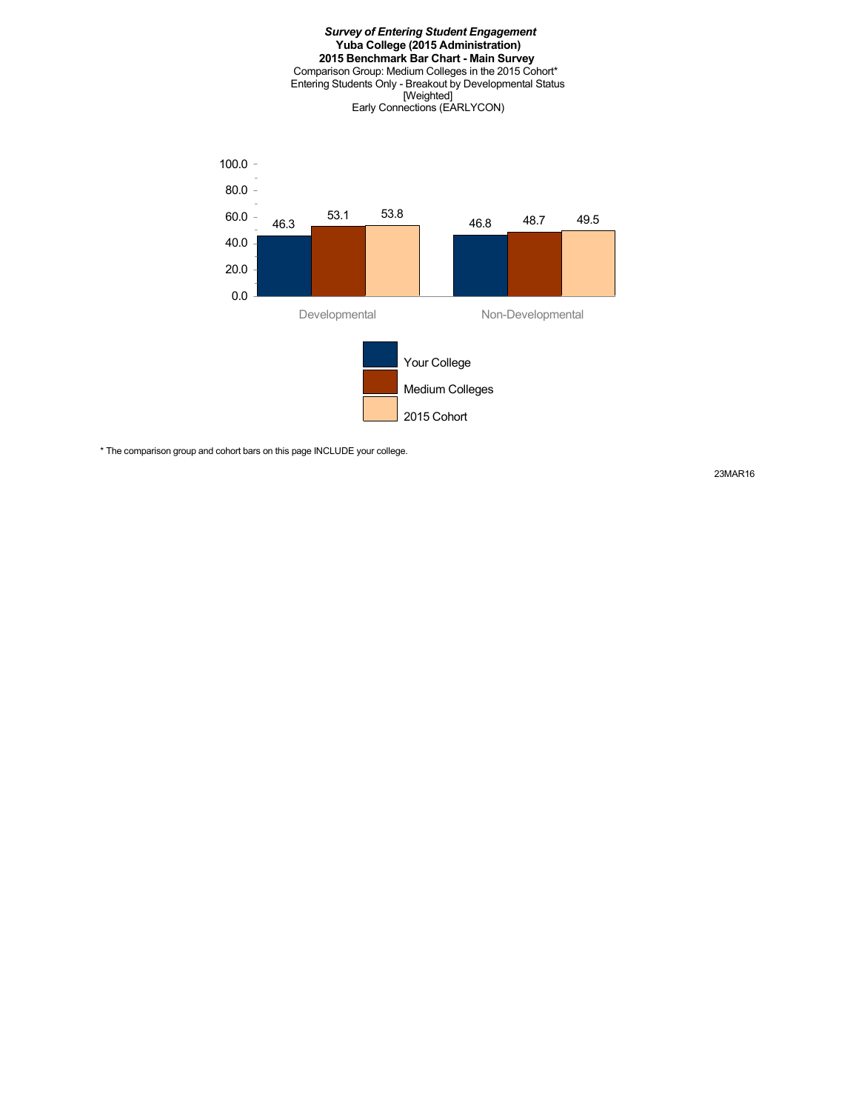

\* The comparison group and cohort bars on this page INCLUDE your college.

23MAR16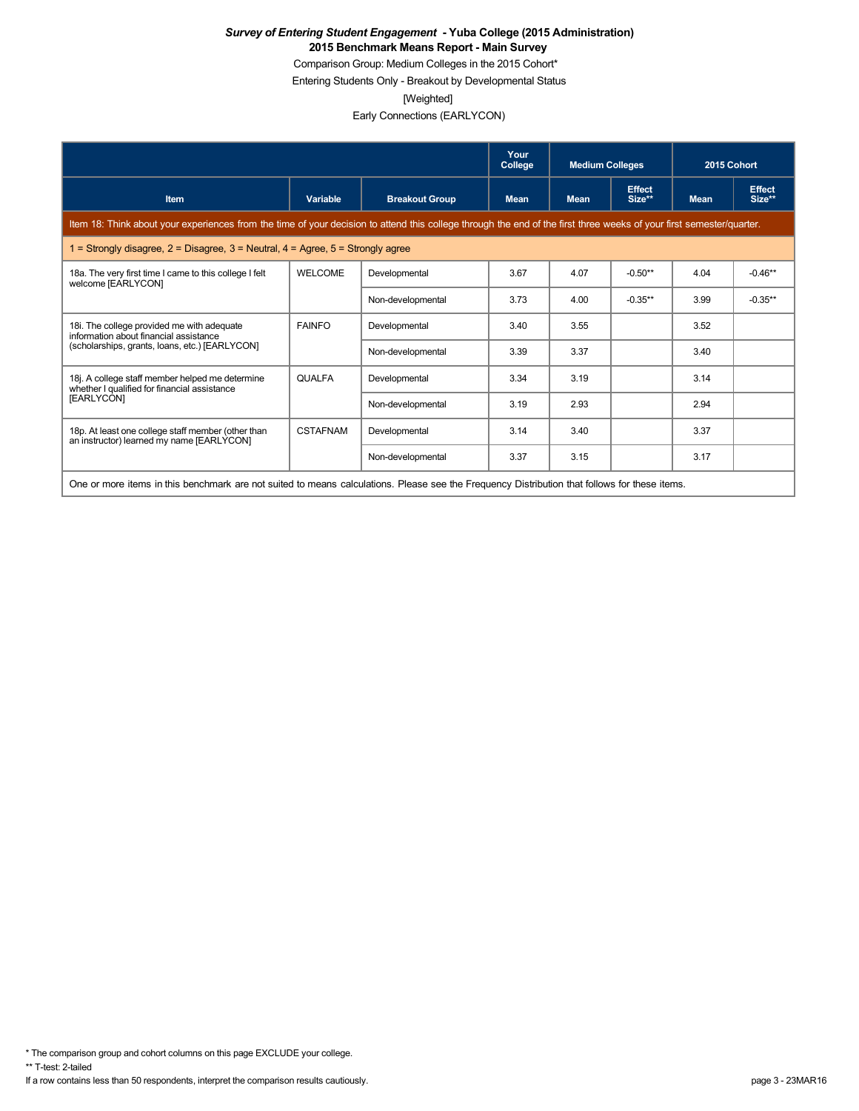Comparison Group: Medium Colleges in the 2015 Cohort\*

Entering Students Only - Breakout by Developmental Status

[Weighted]

Early Connections (EARLYCON)

|                                                                                                                                                                      |                                                                                                                                               |                       | Your<br>College | <b>Medium Colleges</b> |                         | 2015 Cohort |                         |  |  |
|----------------------------------------------------------------------------------------------------------------------------------------------------------------------|-----------------------------------------------------------------------------------------------------------------------------------------------|-----------------------|-----------------|------------------------|-------------------------|-------------|-------------------------|--|--|
| <b>Item</b>                                                                                                                                                          | Variable                                                                                                                                      | <b>Breakout Group</b> | <b>Mean</b>     | <b>Mean</b>            | <b>Effect</b><br>Size** | <b>Mean</b> | <b>Effect</b><br>Size** |  |  |
| Item 18: Think about your experiences from the time of your decision to attend this college through the end of the first three weeks of your first semester/quarter. |                                                                                                                                               |                       |                 |                        |                         |             |                         |  |  |
| 1 = Strongly disagree, $2$ = Disagree, $3$ = Neutral, $4$ = Agree, $5$ = Strongly agree                                                                              |                                                                                                                                               |                       |                 |                        |                         |             |                         |  |  |
| 18a. The very first time I came to this college I felt<br>welcome [EARLYCON]                                                                                         | <b>WELCOME</b>                                                                                                                                | Developmental         | 3.67            | 4.07                   | $-0.50**$               | 4.04        | $-0.46**$               |  |  |
|                                                                                                                                                                      |                                                                                                                                               | Non-developmental     | 3.73            | 4.00                   | $-0.35**$               | 3.99        | $-0.35**$               |  |  |
| 18i. The college provided me with adequate<br>information about financial assistance                                                                                 | <b>FAINFO</b>                                                                                                                                 | Developmental         | 3.40            | 3.55                   |                         | 3.52        |                         |  |  |
| (scholarships, grants, loans, etc.) [EARLYCON]                                                                                                                       |                                                                                                                                               | Non-developmental     | 3.39            | 3.37                   |                         | 3.40        |                         |  |  |
| 18j. A college staff member helped me determine<br>whether I qualified for financial assistance                                                                      | <b>QUALFA</b>                                                                                                                                 | Developmental         | 3.34            | 3.19                   |                         | 3.14        |                         |  |  |
| [EARLYCON]                                                                                                                                                           |                                                                                                                                               | Non-developmental     | 3.19            | 2.93                   |                         | 2.94        |                         |  |  |
| 18p. At least one college staff member (other than<br>an instructor) learned my name [EARLYCON]                                                                      | <b>CSTAFNAM</b>                                                                                                                               | Developmental         | 3.14            | 3.40                   |                         | 3.37        |                         |  |  |
|                                                                                                                                                                      |                                                                                                                                               | Non-developmental     | 3.37            | 3.15                   |                         | 3.17        |                         |  |  |
|                                                                                                                                                                      | One or more items in this benchmark are not suited to means calculations. Please see the Frequency Distribution that follows for these items. |                       |                 |                        |                         |             |                         |  |  |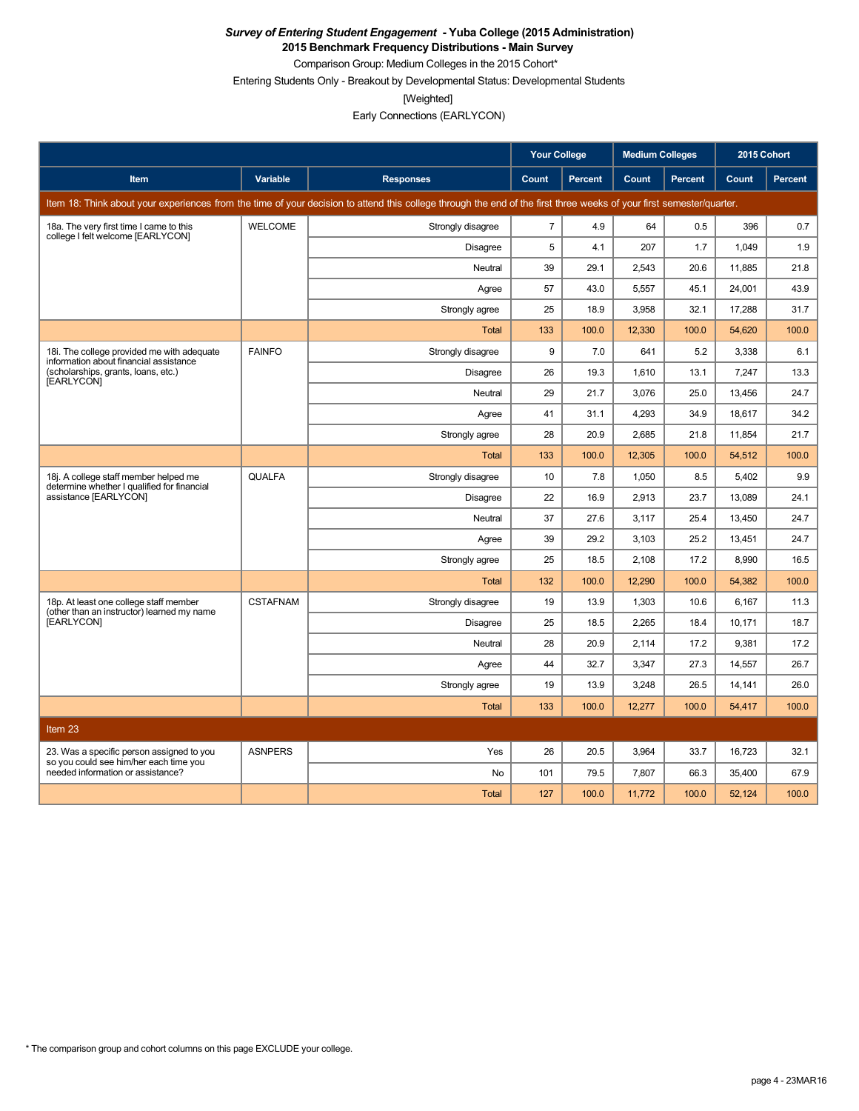**2015 Benchmark Frequency Distributions - Main Survey**

Comparison Group: Medium Colleges in the 2015 Cohort\* Entering Students Only - Breakout by Developmental Status: Developmental Students

[Weighted]

Early Connections (EARLYCON)

|                                                                                      |                 |                                                                                                                                                                      | <b>Your College</b> |                | <b>Medium Colleges</b> |         | 2015 Cohort |                |
|--------------------------------------------------------------------------------------|-----------------|----------------------------------------------------------------------------------------------------------------------------------------------------------------------|---------------------|----------------|------------------------|---------|-------------|----------------|
| <b>Item</b>                                                                          | Variable        | <b>Responses</b>                                                                                                                                                     | Count               | <b>Percent</b> | Count                  | Percent | Count       | <b>Percent</b> |
|                                                                                      |                 | Item 18: Think about your experiences from the time of your decision to attend this college through the end of the first three weeks of your first semester/quarter. |                     |                |                        |         |             |                |
| 18a. The very first time I came to this<br>college I felt welcome [EARLYCON]         | <b>WELCOME</b>  | Strongly disagree                                                                                                                                                    | $\overline{7}$      | 4.9            | 64                     | 0.5     | 396         | 0.7            |
|                                                                                      |                 | Disagree                                                                                                                                                             | 5                   | 4.1            | 207                    | 1.7     | 1,049       | 1.9            |
|                                                                                      |                 | Neutral                                                                                                                                                              | 39                  | 29.1           | 2,543                  | 20.6    | 11,885      | 21.8           |
|                                                                                      |                 | Agree                                                                                                                                                                | 57                  | 43.0           | 5,557                  | 45.1    | 24,001      | 43.9           |
|                                                                                      |                 | Strongly agree                                                                                                                                                       | 25                  | 18.9           | 3,958                  | 32.1    | 17,288      | 31.7           |
|                                                                                      |                 | <b>Total</b>                                                                                                                                                         | 133                 | 100.0          | 12,330                 | 100.0   | 54,620      | 100.0          |
| 18i. The college provided me with adequate<br>information about financial assistance | <b>FAINFO</b>   | Strongly disagree                                                                                                                                                    | 9                   | 7.0            | 641                    | 5.2     | 3,338       | 6.1            |
| (scholarships, grants, loans, etc.)<br>[EARLYCON]                                    |                 | Disagree                                                                                                                                                             | 26                  | 19.3           | 1,610                  | 13.1    | 7,247       | 13.3           |
|                                                                                      |                 | Neutral                                                                                                                                                              | 29                  | 21.7           | 3,076                  | 25.0    | 13,456      | 24.7           |
|                                                                                      |                 | Agree                                                                                                                                                                | 41                  | 31.1           | 4,293                  | 34.9    | 18,617      | 34.2           |
|                                                                                      |                 | Strongly agree                                                                                                                                                       | 28                  | 20.9           | 2,685                  | 21.8    | 11,854      | 21.7           |
|                                                                                      |                 | <b>Total</b>                                                                                                                                                         | 133                 | 100.0          | 12,305                 | 100.0   | 54,512      | 100.0          |
| 18j. A college staff member helped me<br>determine whether I qualified for financial | <b>QUALFA</b>   | Strongly disagree                                                                                                                                                    | 10                  | 7.8            | 1,050                  | 8.5     | 5,402       | 9.9            |
| assistance [EARLYCON]                                                                |                 | <b>Disagree</b>                                                                                                                                                      | 22                  | 16.9           | 2,913                  | 23.7    | 13,089      | 24.1           |
|                                                                                      |                 | Neutral                                                                                                                                                              | 37                  | 27.6           | 3,117                  | 25.4    | 13,450      | 24.7           |
|                                                                                      |                 | Agree                                                                                                                                                                | 39                  | 29.2           | 3,103                  | 25.2    | 13,451      | 24.7           |
|                                                                                      |                 | Strongly agree                                                                                                                                                       | 25                  | 18.5           | 2,108                  | 17.2    | 8,990       | 16.5           |
|                                                                                      |                 | <b>Total</b>                                                                                                                                                         | 132                 | 100.0          | 12,290                 | 100.0   | 54,382      | 100.0          |
| 18p. At least one college staff member<br>(other than an instructor) learned my name | <b>CSTAFNAM</b> | Strongly disagree                                                                                                                                                    | 19                  | 13.9           | 1,303                  | 10.6    | 6,167       | 11.3           |
| <b>[EARLYCON]</b>                                                                    |                 | <b>Disagree</b>                                                                                                                                                      | 25                  | 18.5           | 2.265                  | 18.4    | 10.171      | 18.7           |
|                                                                                      |                 | Neutral                                                                                                                                                              | 28                  | 20.9           | 2.114                  | 17.2    | 9.381       | 17.2           |
|                                                                                      |                 | Agree                                                                                                                                                                | 44                  | 32.7           | 3.347                  | 27.3    | 14.557      | 26.7           |
|                                                                                      |                 | Strongly agree                                                                                                                                                       | 19                  | 13.9           | 3,248                  | 26.5    | 14,141      | 26.0           |
|                                                                                      |                 | <b>Total</b>                                                                                                                                                         | 133                 | 100.0          | 12.277                 | 100.0   | 54.417      | 100.0          |
| Item 23                                                                              |                 |                                                                                                                                                                      |                     |                |                        |         |             |                |
| 23. Was a specific person assigned to you<br>so you could see him/her each time you  | <b>ASNPERS</b>  | Yes                                                                                                                                                                  | 26                  | 20.5           | 3,964                  | 33.7    | 16,723      | 32.1           |
| needed information or assistance?                                                    |                 | No                                                                                                                                                                   | 101                 | 79.5           | 7,807                  | 66.3    | 35,400      | 67.9           |
|                                                                                      |                 | <b>Total</b>                                                                                                                                                         | 127                 | 100.0          | 11,772                 | 100.0   | 52,124      | 100.0          |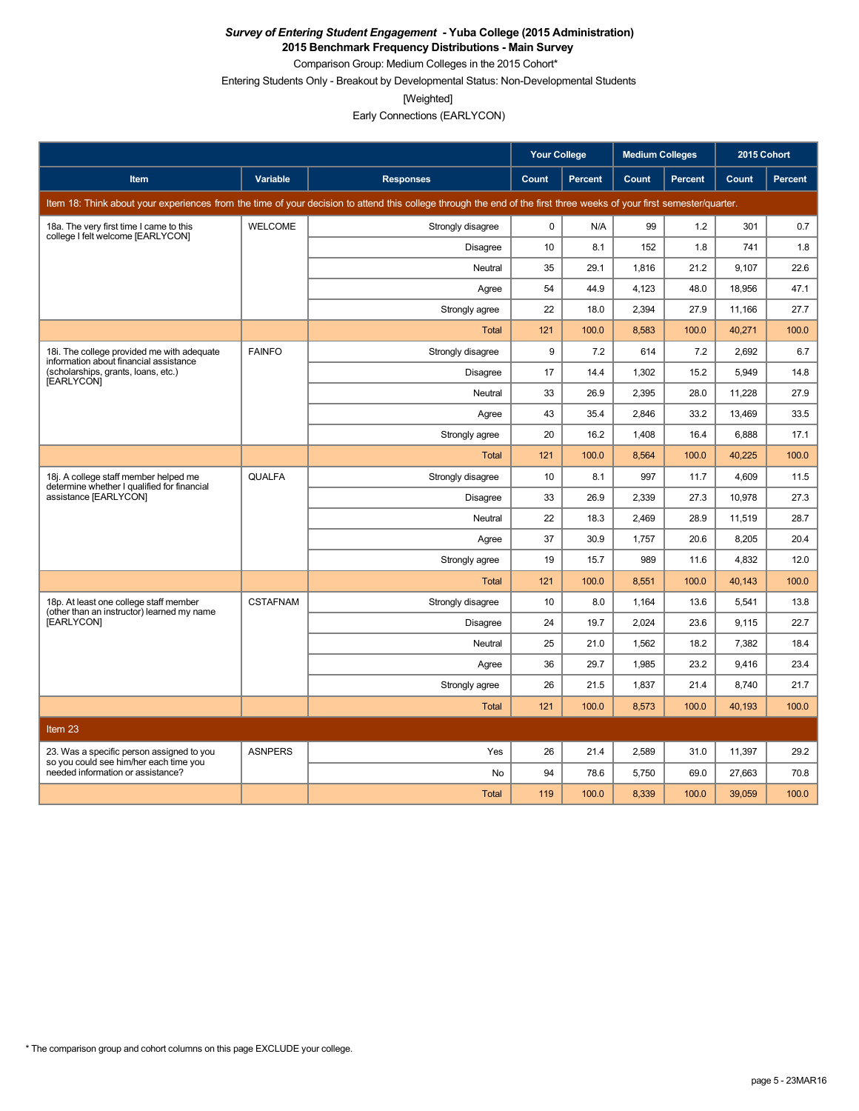**2015 Benchmark Frequency Distributions - Main Survey** Comparison Group: Medium Colleges in the 2015 Cohort\*

Entering Students Only - Breakout by Developmental Status: Non-Developmental Students

[Weighted]

Early Connections (EARLYCON)

|                                                                                      |                 |                                                                                                                                                                      | <b>Your College</b> |                | <b>Medium Colleges</b> |                | 2015 Cohort |         |
|--------------------------------------------------------------------------------------|-----------------|----------------------------------------------------------------------------------------------------------------------------------------------------------------------|---------------------|----------------|------------------------|----------------|-------------|---------|
| <b>Item</b>                                                                          | <b>Variable</b> | <b>Responses</b>                                                                                                                                                     | Count               | <b>Percent</b> | Count                  | <b>Percent</b> | Count       | Percent |
|                                                                                      |                 | Item 18: Think about your experiences from the time of your decision to attend this college through the end of the first three weeks of your first semester/quarter. |                     |                |                        |                |             |         |
| 18a. The very first time I came to this<br>college I felt welcome [EARLYCON]         | <b>WELCOME</b>  | Strongly disagree                                                                                                                                                    | $\mathbf 0$         | N/A            | 99                     | 1.2            | 301         | 0.7     |
|                                                                                      |                 | Disagree                                                                                                                                                             | 10                  | 8.1            | 152                    | 1.8            | 741         | 1.8     |
|                                                                                      |                 | Neutral                                                                                                                                                              | 35                  | 29.1           | 1,816                  | 21.2           | 9,107       | 22.6    |
|                                                                                      |                 | Agree                                                                                                                                                                | 54                  | 44.9           | 4,123                  | 48.0           | 18,956      | 47.1    |
|                                                                                      |                 | Strongly agree                                                                                                                                                       | 22                  | 18.0           | 2,394                  | 27.9           | 11,166      | 27.7    |
|                                                                                      |                 | <b>Total</b>                                                                                                                                                         | 121                 | 100.0          | 8,583                  | 100.0          | 40,271      | 100.0   |
| 18i. The college provided me with adequate<br>information about financial assistance | <b>FAINFO</b>   | Strongly disagree                                                                                                                                                    | 9                   | 7.2            | 614                    | 7.2            | 2,692       | 6.7     |
| (scholarships, grants, loans, etc.)<br>[EARLYCON]                                    |                 | Disagree                                                                                                                                                             | 17                  | 14.4           | 1,302                  | 15.2           | 5.949       | 14.8    |
|                                                                                      |                 | Neutral                                                                                                                                                              | 33                  | 26.9           | 2.395                  | 28.0           | 11,228      | 27.9    |
|                                                                                      |                 | Agree                                                                                                                                                                | 43                  | 35.4           | 2,846                  | 33.2           | 13,469      | 33.5    |
|                                                                                      |                 | Strongly agree                                                                                                                                                       | 20                  | 16.2           | 1.408                  | 16.4           | 6.888       | 17.1    |
|                                                                                      |                 | <b>Total</b>                                                                                                                                                         | 121                 | 100.0          | 8,564                  | 100.0          | 40,225      | 100.0   |
| 18j. A college staff member helped me<br>determine whether I qualified for financial | <b>QUALFA</b>   | Strongly disagree                                                                                                                                                    | 10                  | 8.1            | 997                    | 11.7           | 4,609       | 11.5    |
| assistance [EARLYCON]                                                                |                 | Disagree                                                                                                                                                             | 33                  | 26.9           | 2.339                  | 27.3           | 10,978      | 27.3    |
|                                                                                      |                 | Neutral                                                                                                                                                              | 22                  | 18.3           | 2,469                  | 28.9           | 11,519      | 28.7    |
|                                                                                      |                 | Agree                                                                                                                                                                | 37                  | 30.9           | 1,757                  | 20.6           | 8,205       | 20.4    |
|                                                                                      |                 | Strongly agree                                                                                                                                                       | 19                  | 15.7           | 989                    | 11.6           | 4,832       | 12.0    |
|                                                                                      |                 | <b>Total</b>                                                                                                                                                         | 121                 | 100.0          | 8,551                  | 100.0          | 40,143      | 100.0   |
| 18p. At least one college staff member<br>(other than an instructor) learned my name | <b>CSTAFNAM</b> | Strongly disagree                                                                                                                                                    | 10                  | 8.0            | 1,164                  | 13.6           | 5,541       | 13.8    |
| [EARLYCON]                                                                           |                 | Disagree                                                                                                                                                             | 24                  | 19.7           | 2,024                  | 23.6           | 9,115       | 22.7    |
|                                                                                      |                 | Neutral                                                                                                                                                              | 25                  | 21.0           | 1,562                  | 18.2           | 7,382       | 18.4    |
|                                                                                      |                 | Agree                                                                                                                                                                | 36                  | 29.7           | 1,985                  | 23.2           | 9,416       | 23.4    |
|                                                                                      |                 | Strongly agree                                                                                                                                                       | 26                  | 21.5           | 1,837                  | 21.4           | 8,740       | 21.7    |
|                                                                                      |                 | Total                                                                                                                                                                | 121                 | 100.0          | 8,573                  | 100.0          | 40,193      | 100.0   |
| Item 23                                                                              |                 |                                                                                                                                                                      |                     |                |                        |                |             |         |
| 23. Was a specific person assigned to you                                            | <b>ASNPERS</b>  | Yes                                                                                                                                                                  | 26                  | 21.4           | 2,589                  | 31.0           | 11,397      | 29.2    |
| so you could see him/her each time you<br>needed information or assistance?          |                 | <b>No</b>                                                                                                                                                            | 94                  | 78.6           | 5,750                  | 69.0           | 27,663      | 70.8    |
|                                                                                      |                 | <b>Total</b>                                                                                                                                                         | 119                 | 100.0          | 8,339                  | 100.0          | 39,059      | 100.0   |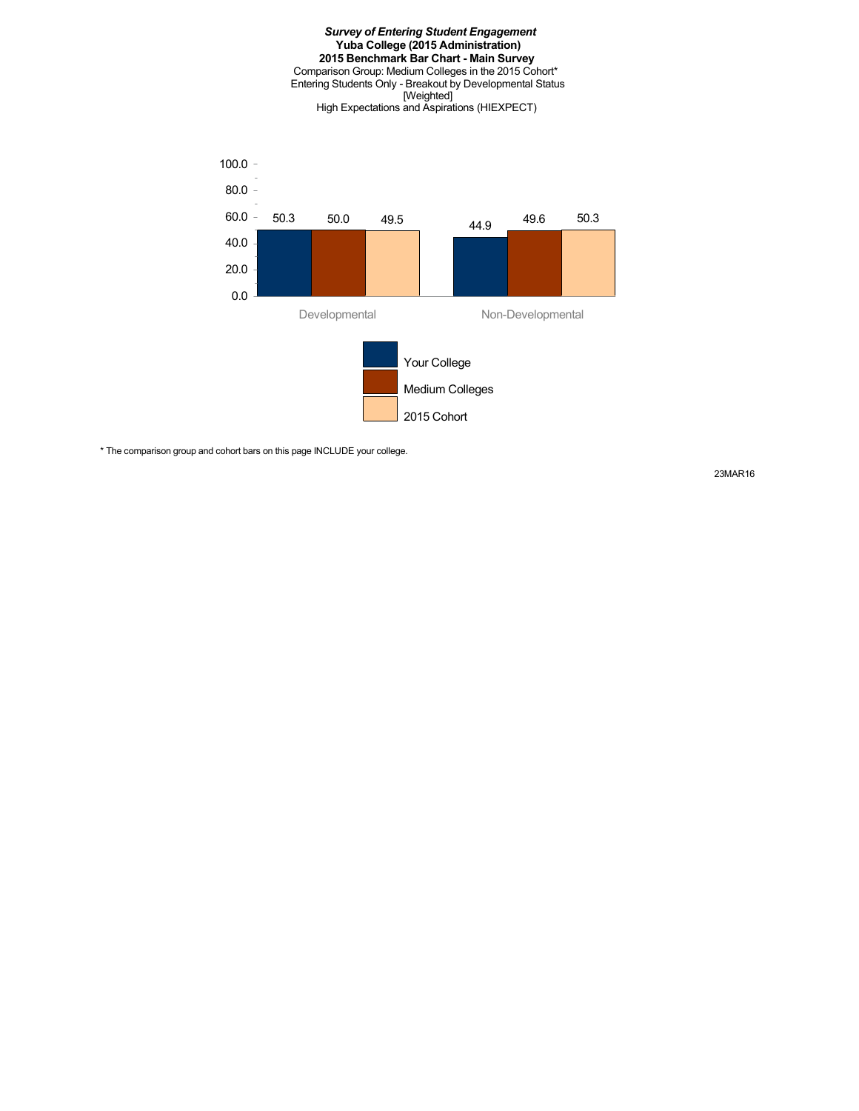#### *Survey of Entering Student Engagement* **Yuba College (2015 Administration) 2015 Benchmark Bar Chart - Main Survey** Comparison Group: Medium Colleges in the 2015 Cohort\* Entering Students Only - Breakout by Developmental Status [Weighted] High Expectations and Aspirations (HIEXPECT)



\* The comparison group and cohort bars on this page INCLUDE your college.

23MAR16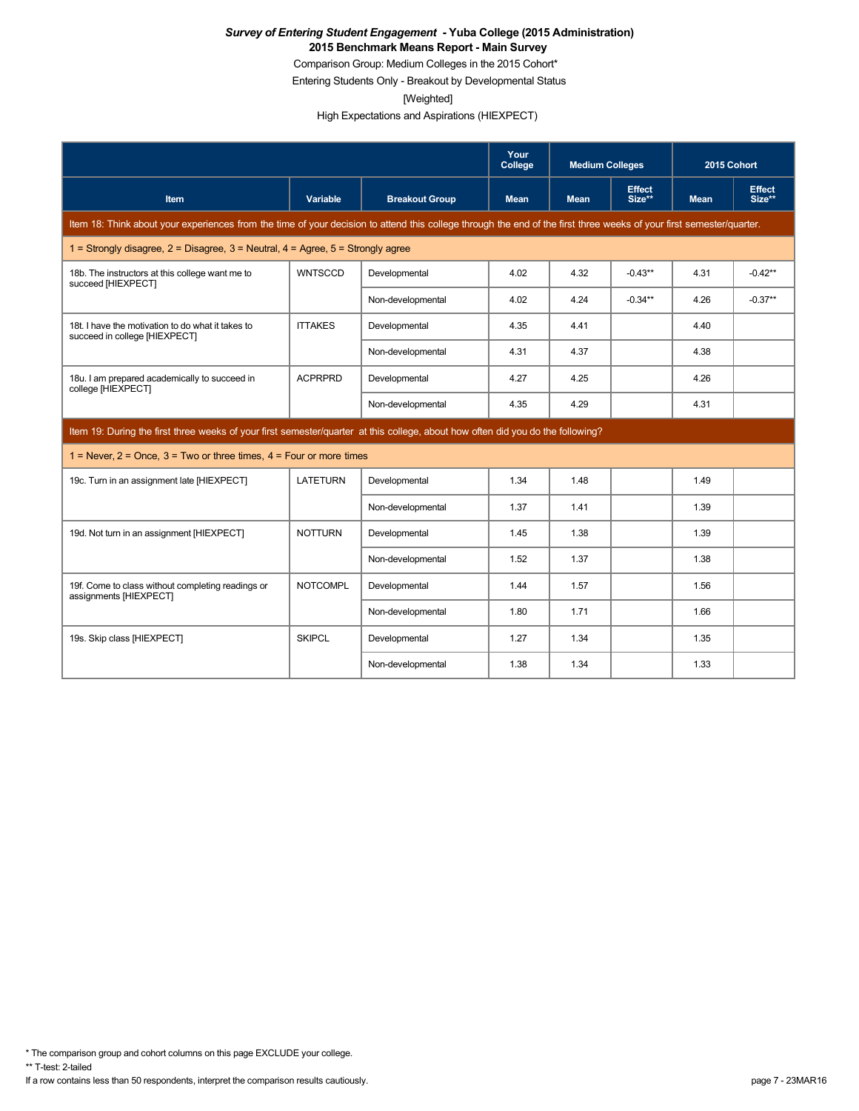Comparison Group: Medium Colleges in the 2015 Cohort\*

Entering Students Only - Breakout by Developmental Status

[Weighted]

High Expectations and Aspirations (HIEXPECT)

|                                                                                                                                                                      |                 |                       | Your<br>College | <b>Medium Colleges</b> |                         | 2015 Cohort |                         |
|----------------------------------------------------------------------------------------------------------------------------------------------------------------------|-----------------|-----------------------|-----------------|------------------------|-------------------------|-------------|-------------------------|
| <b>Item</b>                                                                                                                                                          | Variable        | <b>Breakout Group</b> | <b>Mean</b>     | <b>Mean</b>            | <b>Effect</b><br>Size** | <b>Mean</b> | <b>Effect</b><br>Size** |
| Item 18: Think about your experiences from the time of your decision to attend this college through the end of the first three weeks of your first semester/quarter. |                 |                       |                 |                        |                         |             |                         |
| 1 = Strongly disagree, $2$ = Disagree, $3$ = Neutral, $4$ = Agree, $5$ = Strongly agree                                                                              |                 |                       |                 |                        |                         |             |                         |
| 18b. The instructors at this college want me to<br>succeed [HIEXPECT]                                                                                                | <b>WNTSCCD</b>  | Developmental         | 4.02            | 4.32                   | $-0.43**$               | 4.31        | $-0.42**$               |
|                                                                                                                                                                      |                 | Non-developmental     | 4.02            | 4.24                   | $-0.34**$               | 4.26        | $-0.37**$               |
| 18t. I have the motivation to do what it takes to<br>succeed in college [HIEXPECT]                                                                                   | <b>ITTAKES</b>  | Developmental         | 4.35            | 4.41                   |                         | 4.40        |                         |
|                                                                                                                                                                      |                 | Non-developmental     | 4.31            | 4.37                   |                         | 4.38        |                         |
| 18u. I am prepared academically to succeed in<br>college [HIEXPECT]                                                                                                  | <b>ACPRPRD</b>  | Developmental         | 4.27            | 4.25                   |                         | 4.26        |                         |
|                                                                                                                                                                      |                 | Non-developmental     | 4.35            | 4.29                   |                         | 4.31        |                         |
| Item 19: During the first three weeks of your first semester/quarter at this college, about how often did you do the following?                                      |                 |                       |                 |                        |                         |             |                         |
| $1 =$ Never, $2 =$ Once, $3 =$ Two or three times, $4 =$ Four or more times                                                                                          |                 |                       |                 |                        |                         |             |                         |
| 19c. Turn in an assignment late [HIEXPECT]                                                                                                                           | <b>LATETURN</b> | Developmental         | 1.34            | 1.48                   |                         | 1.49        |                         |
|                                                                                                                                                                      |                 | Non-developmental     | 1.37            | 1.41                   |                         | 1.39        |                         |
| 19d. Not turn in an assignment [HIEXPECT]                                                                                                                            | <b>NOTTURN</b>  | Developmental         | 1.45            | 1.38                   |                         | 1.39        |                         |
|                                                                                                                                                                      |                 | Non-developmental     | 1.52            | 1.37                   |                         | 1.38        |                         |
| 19f. Come to class without completing readings or<br>assignments [HIEXPECT]                                                                                          | <b>NOTCOMPL</b> | Developmental         | 1.44            | 1.57                   |                         | 1.56        |                         |
|                                                                                                                                                                      |                 | Non-developmental     | 1.80            | 1.71                   |                         | 1.66        |                         |
| 19s. Skip class [HIEXPECT]                                                                                                                                           | <b>SKIPCL</b>   | Developmental         | 1.27            | 1.34                   |                         | 1.35        |                         |
|                                                                                                                                                                      |                 | Non-developmental     | 1.38            | 1.34                   |                         | 1.33        |                         |

\* The comparison group and cohort columns on this page EXCLUDE your college.

\*\* T-test: 2-tailed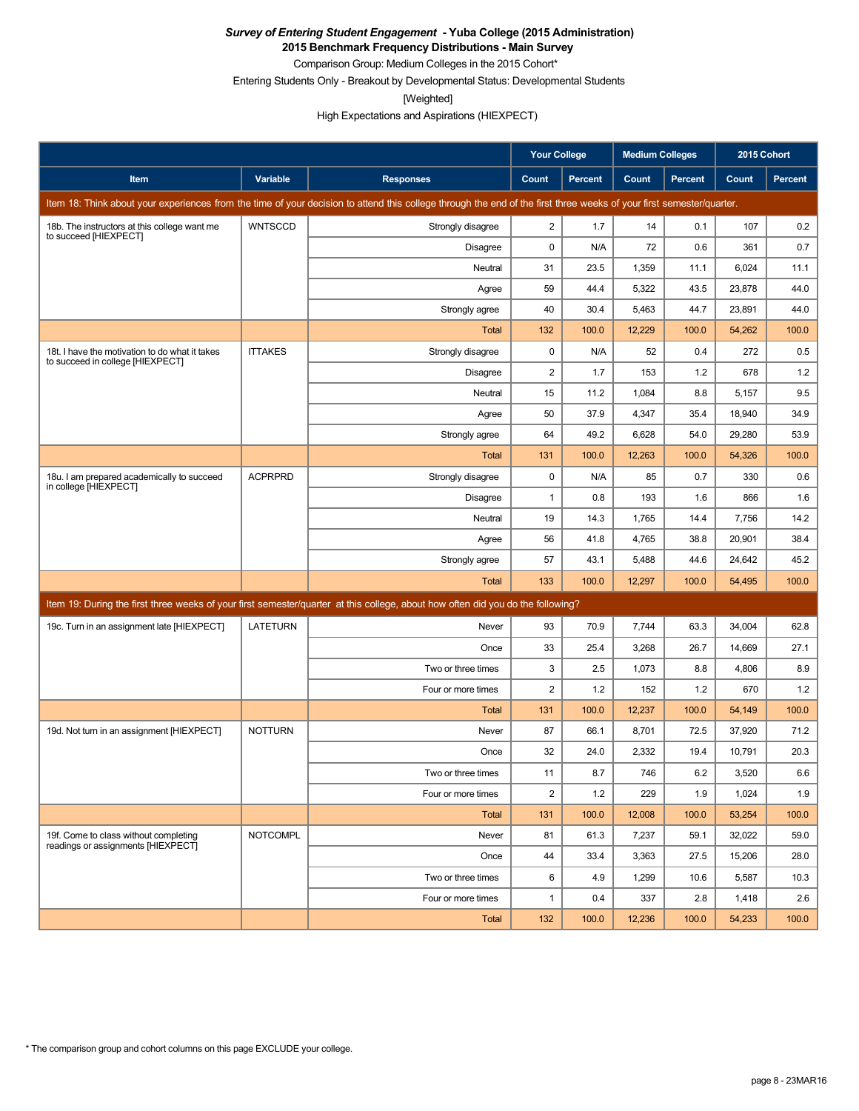**2015 Benchmark Frequency Distributions - Main Survey**

Comparison Group: Medium Colleges in the 2015 Cohort\*

Entering Students Only - Breakout by Developmental Status: Developmental Students

[Weighted]

High Expectations and Aspirations (HIEXPECT)

|                                                                                    |                 |                                                                                                                                                                      | <b>Your College</b>     |         | <b>Medium Colleges</b> |         | 2015 Cohort |                |
|------------------------------------------------------------------------------------|-----------------|----------------------------------------------------------------------------------------------------------------------------------------------------------------------|-------------------------|---------|------------------------|---------|-------------|----------------|
| <b>Item</b>                                                                        | Variable        | <b>Responses</b>                                                                                                                                                     | Count                   | Percent | Count                  | Percent | Count       | <b>Percent</b> |
|                                                                                    |                 | Item 18: Think about your experiences from the time of your decision to attend this college through the end of the first three weeks of your first semester/quarter. |                         |         |                        |         |             |                |
| 18b. The instructors at this college want me                                       | <b>WNTSCCD</b>  | Strongly disagree                                                                                                                                                    | $\overline{2}$          | 1.7     | 14                     | 0.1     | 107         | 0.2            |
| to succeed [HIEXPECT]                                                              |                 | Disagree                                                                                                                                                             | 0                       | N/A     | 72                     | 0.6     | 361         | 0.7            |
|                                                                                    |                 | Neutral                                                                                                                                                              | 31                      | 23.5    | 1,359                  | 11.1    | 6,024       | 11.1           |
|                                                                                    |                 | Agree                                                                                                                                                                | 59                      | 44.4    | 5,322                  | 43.5    | 23,878      | 44.0           |
|                                                                                    |                 | Strongly agree                                                                                                                                                       | 40                      | 30.4    | 5,463                  | 44.7    | 23,891      | 44.0           |
|                                                                                    |                 | Total                                                                                                                                                                | 132                     | 100.0   | 12,229                 | 100.0   | 54,262      | 100.0          |
| 18t. I have the motivation to do what it takes<br>to succeed in college [HIEXPECT] | <b>ITTAKES</b>  | Strongly disagree                                                                                                                                                    | 0                       | N/A     | 52                     | 0.4     | 272         | 0.5            |
|                                                                                    |                 | Disagree                                                                                                                                                             | $\overline{\mathbf{c}}$ | 1.7     | 153                    | 1.2     | 678         | 1.2            |
|                                                                                    |                 | Neutral                                                                                                                                                              | 15                      | 11.2    | 1,084                  | 8.8     | 5,157       | 9.5            |
|                                                                                    |                 | Agree                                                                                                                                                                | 50                      | 37.9    | 4,347                  | 35.4    | 18,940      | 34.9           |
|                                                                                    |                 | Strongly agree                                                                                                                                                       | 64                      | 49.2    | 6,628                  | 54.0    | 29,280      | 53.9           |
|                                                                                    |                 | Total                                                                                                                                                                | 131                     | 100.0   | 12,263                 | 100.0   | 54,326      | 100.0          |
| 18u. I am prepared academically to succeed<br>in college [HIEXPECT]                | <b>ACPRPRD</b>  | Strongly disagree                                                                                                                                                    | 0                       | N/A     | 85                     | 0.7     | 330         | 0.6            |
|                                                                                    |                 | Disagree                                                                                                                                                             | 1                       | 0.8     | 193                    | 1.6     | 866         | 1.6            |
|                                                                                    |                 | Neutral                                                                                                                                                              | 19                      | 14.3    | 1,765                  | 14.4    | 7,756       | 14.2           |
|                                                                                    |                 | Agree                                                                                                                                                                | 56                      | 41.8    | 4,765                  | 38.8    | 20,901      | 38.4           |
|                                                                                    |                 | Strongly agree                                                                                                                                                       | 57                      | 43.1    | 5,488                  | 44.6    | 24,642      | 45.2           |
|                                                                                    |                 | Total                                                                                                                                                                | 133                     | 100.0   | 12,297                 | 100.0   | 54,495      | 100.0          |
|                                                                                    |                 | Item 19: During the first three weeks of your first semester/quarter at this college, about how often did you do the following?                                      |                         |         |                        |         |             |                |
| 19c. Turn in an assignment late [HIEXPECT]                                         | <b>LATETURN</b> | Never                                                                                                                                                                | 93                      | 70.9    | 7,744                  | 63.3    | 34,004      | 62.8           |
|                                                                                    |                 | Once                                                                                                                                                                 | 33                      | 25.4    | 3,268                  | 26.7    | 14,669      | 27.1           |
|                                                                                    |                 | Two or three times                                                                                                                                                   | 3                       | 2.5     | 1,073                  | 8.8     | 4,806       | 8.9            |
|                                                                                    |                 | Four or more times                                                                                                                                                   | 2                       | 1.2     | 152                    | 1.2     | 670         | 1.2            |
|                                                                                    |                 | Total                                                                                                                                                                | 131                     | 100.0   | 12,237                 | 100.0   | 54,149      | 100.0          |
| 19d. Not turn in an assignment [HIEXPECT]                                          | <b>NOTTURN</b>  | Never                                                                                                                                                                | 87                      | 66.1    | 8,701                  | 72.5    | 37,920      | 71.2           |
|                                                                                    |                 | Once                                                                                                                                                                 | 32                      | 24.0    | 2,332                  | 19.4    | 10,791      | 20.3           |
|                                                                                    |                 | Two or three times                                                                                                                                                   | 11                      | 8.7     | 746                    | $6.2\,$ | 3,520       | $6.6\,$        |
|                                                                                    |                 | Four or more times                                                                                                                                                   | $\overline{2}$          | 1.2     | 229                    | 1.9     | 1,024       | 1.9            |
|                                                                                    |                 | Total                                                                                                                                                                | 131                     | 100.0   | 12,008                 | 100.0   | 53,254      | 100.0          |
| 19f. Come to class without completing<br>readings or assignments [HIEXPECT]        | <b>NOTCOMPL</b> | Never                                                                                                                                                                | 81                      | 61.3    | 7,237                  | 59.1    | 32,022      | 59.0           |
|                                                                                    |                 | Once                                                                                                                                                                 | 44                      | 33.4    | 3,363                  | 27.5    | 15,206      | 28.0           |
|                                                                                    |                 | Two or three times                                                                                                                                                   | 6                       | 4.9     | 1,299                  | 10.6    | 5,587       | 10.3           |
|                                                                                    |                 | Four or more times                                                                                                                                                   | $\mathbf{1}$            | 0.4     | 337                    | 2.8     | 1,418       | 2.6            |
|                                                                                    |                 | Total                                                                                                                                                                | 132                     | 100.0   | 12,236                 | 100.0   | 54,233      | 100.0          |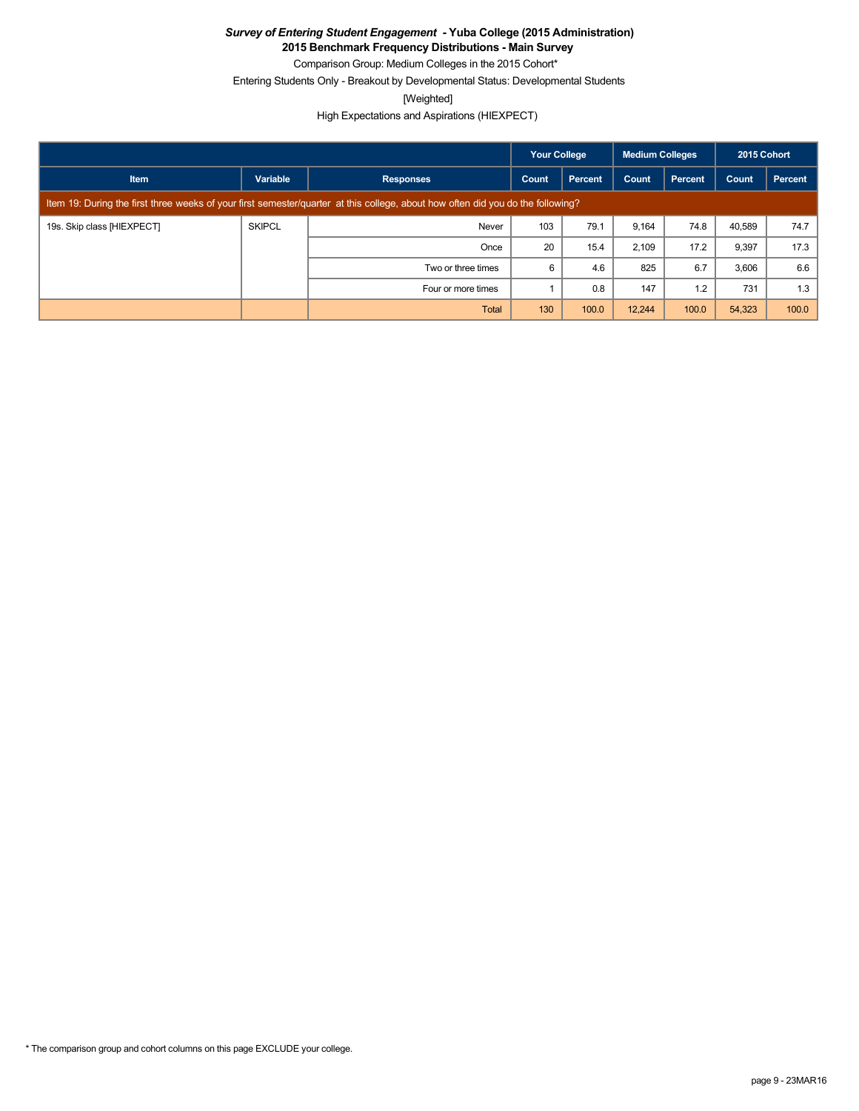**2015 Benchmark Frequency Distributions - Main Survey**

Comparison Group: Medium Colleges in the 2015 Cohort\*

Entering Students Only - Breakout by Developmental Status: Developmental Students

[Weighted]

High Expectations and Aspirations (HIEXPECT)

|                            |               |                                                                                                                                 | <b>Your College</b> |         | <b>Medium Colleges</b> |                | 2015 Cohort |         |
|----------------------------|---------------|---------------------------------------------------------------------------------------------------------------------------------|---------------------|---------|------------------------|----------------|-------------|---------|
| <b>Item</b>                | Variable      | <b>Responses</b>                                                                                                                | Count               | Percent | Count                  | <b>Percent</b> | Count       | Percent |
|                            |               | Item 19: During the first three weeks of your first semester/guarter at this college, about how often did you do the following? |                     |         |                        |                |             |         |
| 19s. Skip class [HIEXPECT] | <b>SKIPCL</b> | Never                                                                                                                           | 103                 | 79.1    | 9,164                  | 74.8           | 40.589      | 74.7    |
|                            |               | Once                                                                                                                            | 20                  | 15.4    | 2,109                  | 17.2           | 9,397       | 17.3    |
|                            |               | Two or three times                                                                                                              | 6                   | 4.6     | 825                    | 6.7            | 3,606       | 6.6     |
|                            |               | Four or more times                                                                                                              |                     | 0.8     | 147                    | 1.2            | 731         | 1.3     |
|                            |               | Total                                                                                                                           | 130                 | 100.0   | 12,244                 | 100.0          | 54,323      | 100.0   |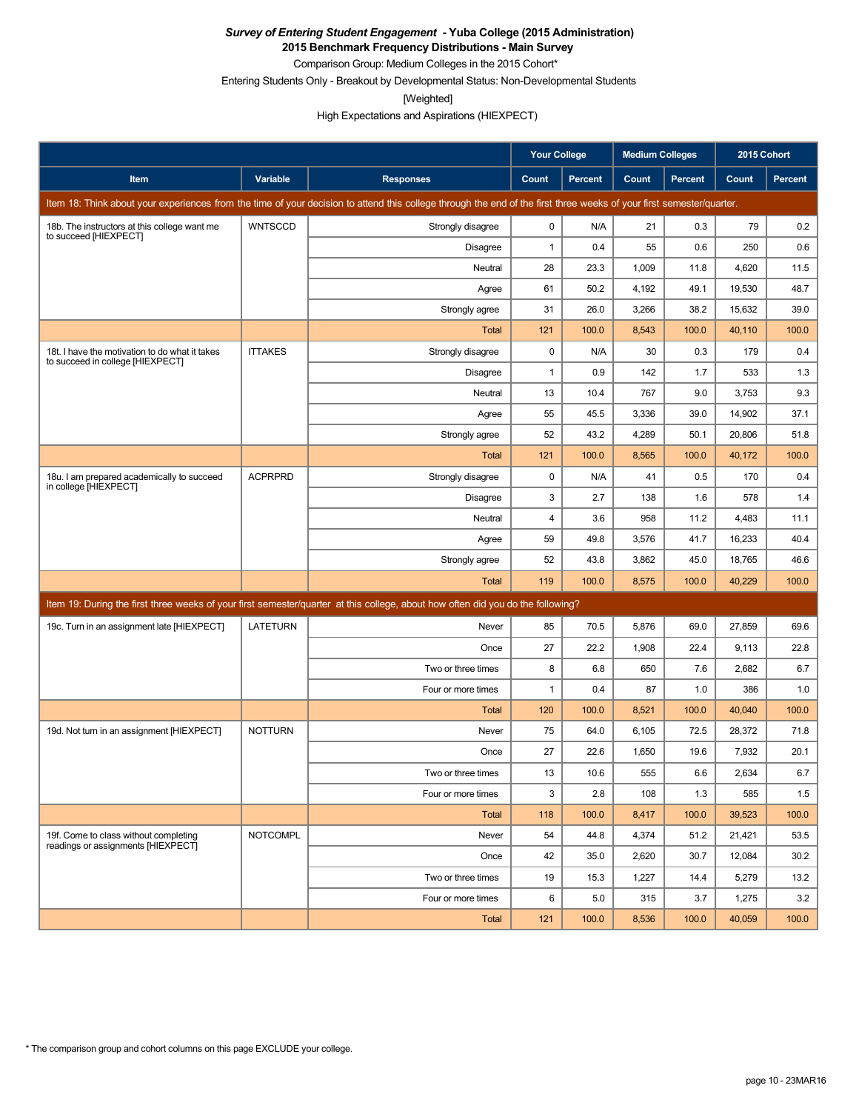**2015 Benchmark Frequency Distributions - Main Survey** Comparison Group: Medium Colleges in the 2015 Cohort\*

Entering Students Only - Breakout by Developmental Status: Non-Developmental Students

[Weighted]

High Expectations and Aspirations (HIEXPECT)

|                                                                                    |                 |                                                                                                                                                                      | <b>Your College</b> |                | <b>Medium Colleges</b> |                | 2015 Cohort |         |
|------------------------------------------------------------------------------------|-----------------|----------------------------------------------------------------------------------------------------------------------------------------------------------------------|---------------------|----------------|------------------------|----------------|-------------|---------|
| Item                                                                               | Variable        | <b>Responses</b>                                                                                                                                                     | Count               | <b>Percent</b> | Count                  | <b>Percent</b> | Count       | Percent |
|                                                                                    |                 | Item 18: Think about your experiences from the time of your decision to attend this college through the end of the first three weeks of your first semester/quarter. |                     |                |                        |                |             |         |
| 18b. The instructors at this college want me<br>to succeed [HIEXPECT]              | <b>WNTSCCD</b>  | Strongly disagree                                                                                                                                                    | 0                   | N/A            | 21                     | 0.3            | 79          | 0.2     |
|                                                                                    |                 | <b>Disagree</b>                                                                                                                                                      | 1                   | 0.4            | 55                     | 0.6            | 250         | 0.6     |
|                                                                                    |                 | Neutral                                                                                                                                                              | 28                  | 23.3           | 1,009                  | 11.8           | 4,620       | 11.5    |
|                                                                                    |                 | Agree                                                                                                                                                                | 61                  | 50.2           | 4,192                  | 49.1           | 19,530      | 48.7    |
|                                                                                    |                 | Strongly agree                                                                                                                                                       | 31                  | 26.0           | 3,266                  | 38.2           | 15,632      | 39.0    |
|                                                                                    |                 | <b>Total</b>                                                                                                                                                         | 121                 | 100.0          | 8,543                  | 100.0          | 40,110      | 100.0   |
| 18t. I have the motivation to do what it takes<br>to succeed in college [HIEXPECT] | <b>ITTAKES</b>  | Strongly disagree                                                                                                                                                    | 0                   | N/A            | 30                     | 0.3            | 179         | 0.4     |
|                                                                                    |                 | Disagree                                                                                                                                                             | 1                   | 0.9            | 142                    | 1.7            | 533         | 1.3     |
|                                                                                    |                 | Neutral                                                                                                                                                              | 13                  | 10.4           | 767                    | 9.0            | 3,753       | 9.3     |
|                                                                                    |                 | Agree                                                                                                                                                                | 55                  | 45.5           | 3,336                  | 39.0           | 14,902      | 37.1    |
|                                                                                    |                 | Strongly agree                                                                                                                                                       | 52                  | 43.2           | 4,289                  | 50.1           | 20,806      | 51.8    |
|                                                                                    |                 | Total                                                                                                                                                                | 121                 | 100.0          | 8,565                  | 100.0          | 40,172      | 100.0   |
| 18u. I am prepared academically to succeed<br>in college [HIEXPECT]                | <b>ACPRPRD</b>  | Strongly disagree                                                                                                                                                    | 0                   | N/A            | 41                     | 0.5            | 170         | 0.4     |
|                                                                                    |                 | <b>Disagree</b>                                                                                                                                                      | 3                   | 2.7            | 138                    | 1.6            | 578         | 1.4     |
|                                                                                    |                 | Neutral                                                                                                                                                              | 4                   | 3.6            | 958                    | 11.2           | 4,483       | 11.1    |
|                                                                                    |                 | Agree                                                                                                                                                                | 59                  | 49.8           | 3,576                  | 41.7           | 16,233      | 40.4    |
|                                                                                    |                 | Strongly agree                                                                                                                                                       | 52                  | 43.8           | 3,862                  | 45.0           | 18,765      | 46.6    |
|                                                                                    |                 | <b>Total</b>                                                                                                                                                         | 119                 | 100.0          | 8,575                  | 100.0          | 40,229      | 100.0   |
|                                                                                    |                 | Item 19: During the first three weeks of your first semester/quarter at this college, about how often did you do the following?                                      |                     |                |                        |                |             |         |
| 19c. Turn in an assignment late [HIEXPECT]                                         | <b>LATETURN</b> | Never                                                                                                                                                                | 85                  | 70.5           | 5,876                  | 69.0           | 27,859      | 69.6    |
|                                                                                    |                 | Once                                                                                                                                                                 | 27                  | 22.2           | 1,908                  | 22.4           | 9,113       | 22.8    |
|                                                                                    |                 | Two or three times                                                                                                                                                   | 8                   | 6.8            | 650                    | 7.6            | 2,682       | 6.7     |
|                                                                                    |                 | Four or more times                                                                                                                                                   | $\mathbf{1}$        | 0.4            | 87                     | 1.0            | 386         | 1.0     |
|                                                                                    |                 | <b>Total</b>                                                                                                                                                         | 120                 | 100.0          | 8,521                  | 100.0          | 40,040      | 100.0   |
| 19d. Not turn in an assignment [HIEXPECT]                                          | <b>NOTTURN</b>  | Never                                                                                                                                                                | 75                  | 64.0           | 6,105                  | 72.5           | 28,372      | 71.8    |
|                                                                                    |                 | Once                                                                                                                                                                 | 27                  | 22.6           | 1,650                  | 19.6           | 7,932       | 20.1    |
|                                                                                    |                 | Two or three times                                                                                                                                                   | $13$                | 10.6           | 555                    | $6.6\,$        | 2,634       | $6.7\,$ |
|                                                                                    |                 | Four or more times                                                                                                                                                   | 3                   | 2.8            | 108                    | 1.3            | 585         | 1.5     |
|                                                                                    |                 | Total                                                                                                                                                                | 118                 | 100.0          | 8,417                  | 100.0          | 39,523      | 100.0   |
| 19f. Come to class without completing<br>readings or assignments [HIEXPECT]        | <b>NOTCOMPL</b> | Never                                                                                                                                                                | 54                  | 44.8           | 4,374                  | 51.2           | 21,421      | 53.5    |
|                                                                                    |                 | Once                                                                                                                                                                 | 42                  | 35.0           | 2,620                  | 30.7           | 12,084      | 30.2    |
|                                                                                    |                 | Two or three times                                                                                                                                                   | 19                  | 15.3           | 1,227                  | 14.4           | 5,279       | 13.2    |
|                                                                                    |                 | Four or more times                                                                                                                                                   | 6                   | 5.0            | 315                    | 3.7            | 1,275       | 3.2     |
|                                                                                    |                 | Total                                                                                                                                                                | 121                 | 100.0          | 8,536                  | 100.0          | 40,059      | 100.0   |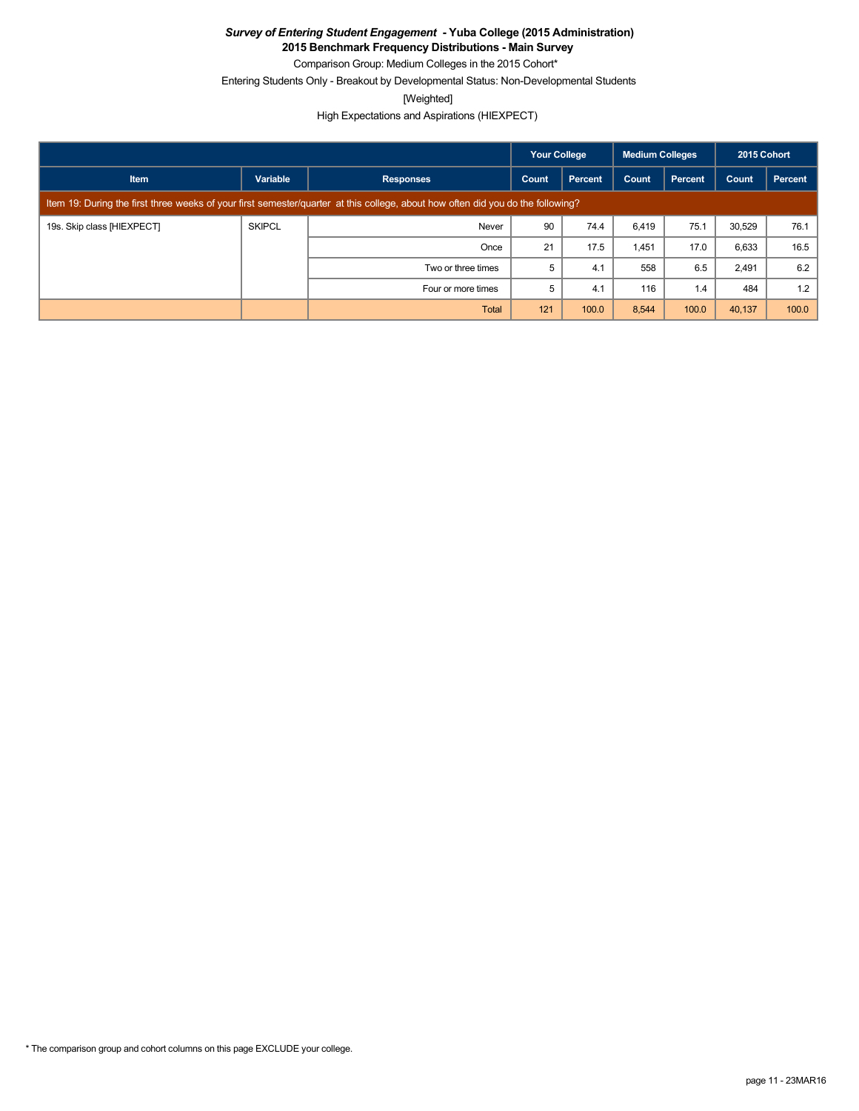**2015 Benchmark Frequency Distributions - Main Survey**

Comparison Group: Medium Colleges in the 2015 Cohort\* Entering Students Only - Breakout by Developmental Status: Non-Developmental Students

[Weighted]

High Expectations and Aspirations (HIEXPECT)

|                            |               |                                                                                                                                 | <b>Your College</b> |         | <b>Medium Colleges</b> |                | 2015 Cohort |         |
|----------------------------|---------------|---------------------------------------------------------------------------------------------------------------------------------|---------------------|---------|------------------------|----------------|-------------|---------|
| <b>Item</b>                | Variable      | <b>Responses</b>                                                                                                                | Count               | Percent | Count                  | <b>Percent</b> | Count       | Percent |
|                            |               | Item 19: During the first three weeks of your first semester/quarter at this college, about how often did you do the following? |                     |         |                        |                |             |         |
| 19s. Skip class [HIEXPECT] | <b>SKIPCL</b> | Never                                                                                                                           | 90                  | 74.4    | 6,419                  | 75.1           | 30.529      | 76.1    |
|                            |               | Once                                                                                                                            | 21                  | 17.5    | 1,451                  | 17.0           | 6,633       | 16.5    |
|                            |               | Two or three times                                                                                                              | 5                   | 4.1     | 558                    | 6.5            | 2,491       | 6.2     |
|                            |               | Four or more times                                                                                                              | 5                   | 4.1     | 116                    | 1.4            | 484         | 1.2     |
|                            |               | Total                                                                                                                           | 121                 | 100.0   | 8,544                  | 100.0          | 40,137      | 100.0   |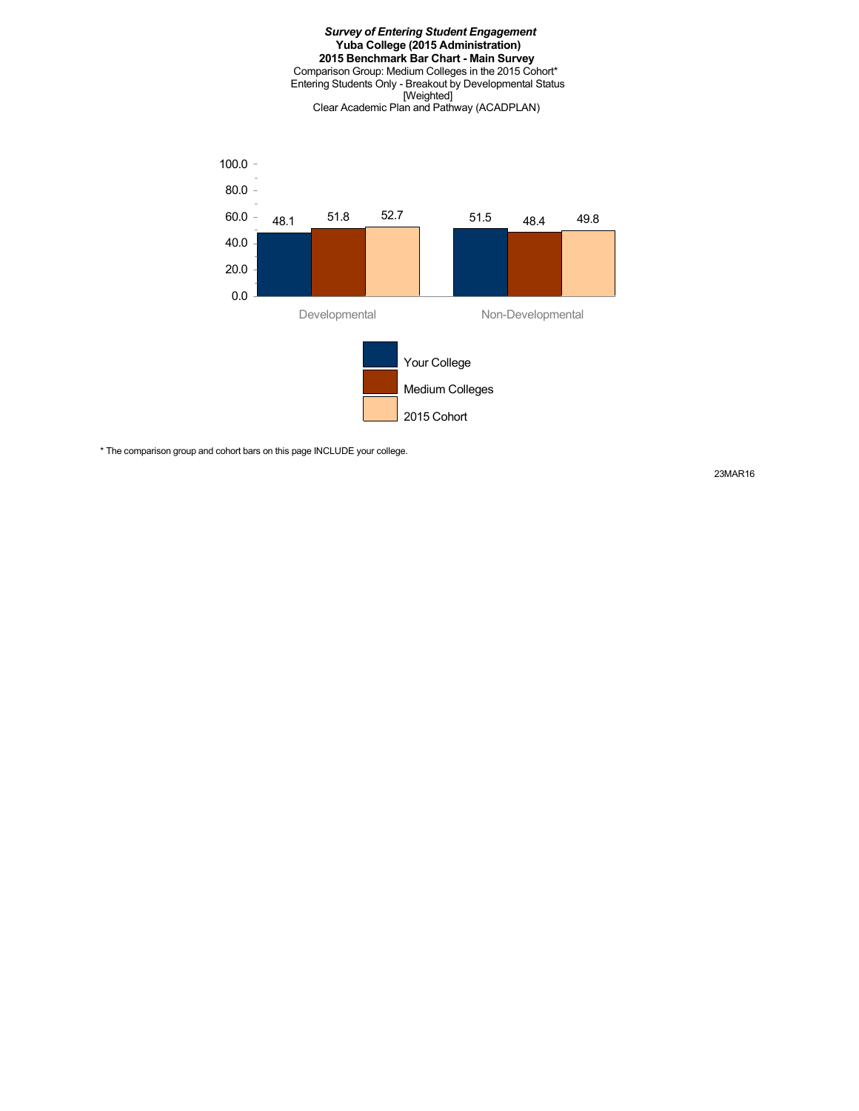#### *Survey of Entering Student Engagement* **Yuba College (2015 Administration) 2015 Benchmark Bar Chart - Main Survey** Comparison Group: Medium Colleges in the 2015 Cohort\* Entering Students Only - Breakout by Developmental Status [Weighted] Clear Academic Plan and Pathway (ACADPLAN)



\* The comparison group and cohort bars on this page INCLUDE your college.

23MAR16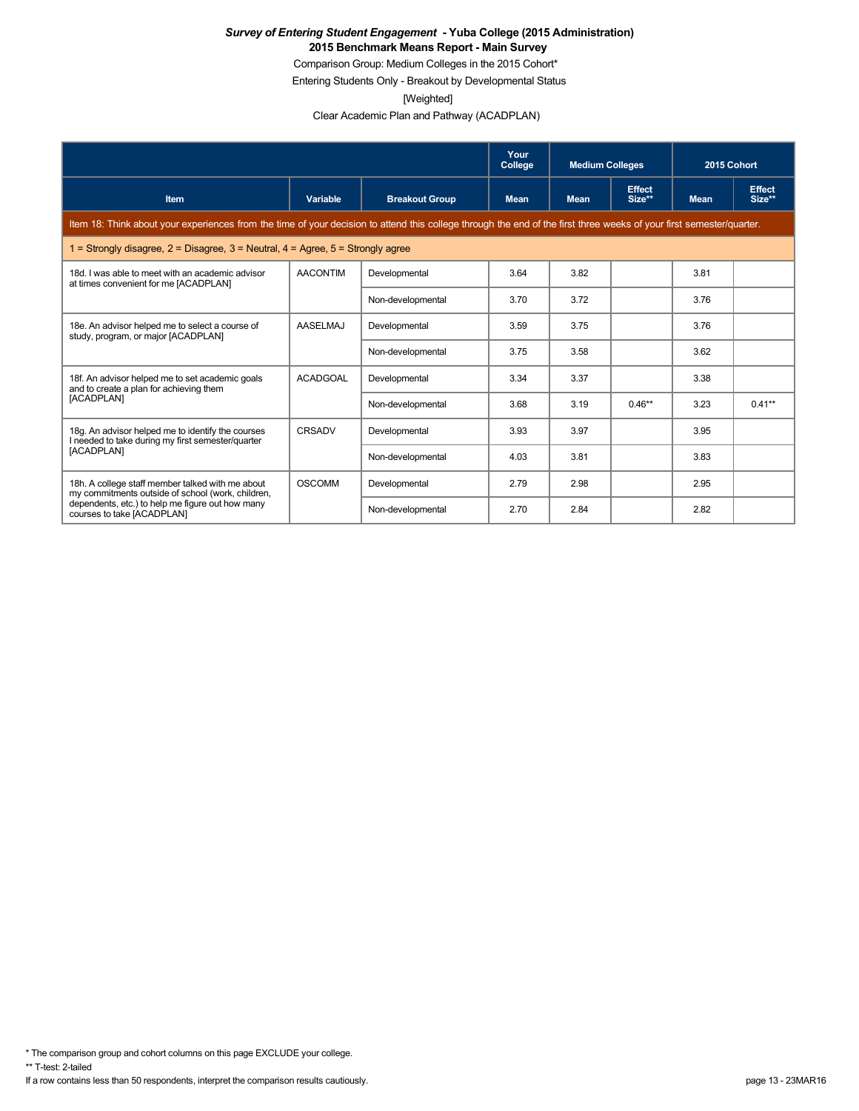Comparison Group: Medium Colleges in the 2015 Cohort\*

Entering Students Only - Breakout by Developmental Status

[Weighted]

Clear Academic Plan and Pathway (ACADPLAN)

|                                                                                                                                                                      |                 |                       | Your<br>College | <b>Medium Colleges</b> |                         | 2015 Cohort |                         |
|----------------------------------------------------------------------------------------------------------------------------------------------------------------------|-----------------|-----------------------|-----------------|------------------------|-------------------------|-------------|-------------------------|
| <b>Item</b>                                                                                                                                                          | Variable        | <b>Breakout Group</b> | <b>Mean</b>     | <b>Mean</b>            | <b>Effect</b><br>Size** | <b>Mean</b> | <b>Effect</b><br>Size** |
| Item 18: Think about your experiences from the time of your decision to attend this college through the end of the first three weeks of your first semester/quarter. |                 |                       |                 |                        |                         |             |                         |
| 1 = Strongly disagree, $2$ = Disagree, $3$ = Neutral, $4$ = Agree, $5$ = Strongly agree                                                                              |                 |                       |                 |                        |                         |             |                         |
| 18d. I was able to meet with an academic advisor<br>at times convenient for me [ACADPLAN]                                                                            | <b>AACONTIM</b> | Developmental         | 3.64            | 3.82                   |                         | 3.81        |                         |
|                                                                                                                                                                      |                 | Non-developmental     | 3.70            | 3.72                   |                         | 3.76        |                         |
| 18e. An advisor helped me to select a course of<br>study, program, or major [ACADPLAN]                                                                               | <b>AASELMAJ</b> | Developmental         | 3.59            | 3.75                   |                         | 3.76        |                         |
|                                                                                                                                                                      |                 | Non-developmental     | 3.75            | 3.58                   |                         | 3.62        |                         |
| 18f. An advisor helped me to set academic goals<br>and to create a plan for achieving them                                                                           | <b>ACADGOAL</b> | Developmental         | 3.34            | 3.37                   |                         | 3.38        |                         |
| [ACADPLAN]                                                                                                                                                           |                 | Non-developmental     | 3.68            | 3.19                   | $0.46**$                | 3.23        | $0.41**$                |
| 18g. An advisor helped me to identify the courses<br>I needed to take during my first semester/quarter                                                               | <b>CRSADV</b>   | Developmental         | 3.93            | 3.97                   |                         | 3.95        |                         |
| [ACADPLAN]                                                                                                                                                           |                 | Non-developmental     | 4.03            | 3.81                   |                         | 3.83        |                         |
| 18h. A college staff member talked with me about<br>my commitments outside of school (work, children,                                                                | <b>OSCOMM</b>   | Developmental         | 2.79            | 2.98                   |                         | 2.95        |                         |
| dependents, etc.) to help me figure out how many<br>courses to take [ACADPLAN]                                                                                       |                 | Non-developmental     | 2.70            | 2.84                   |                         | 2.82        |                         |

\* The comparison group and cohort columns on this page EXCLUDE your college.

\*\* T-test: 2-tailed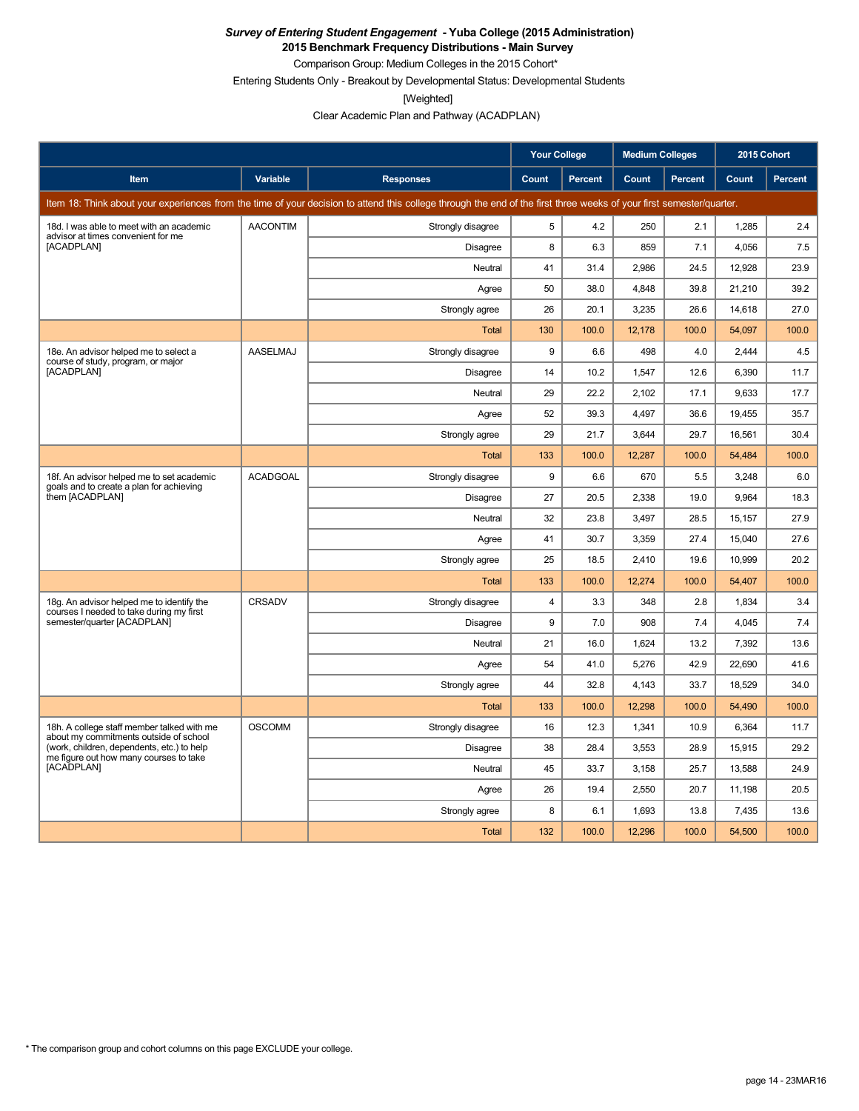**2015 Benchmark Frequency Distributions - Main Survey**

Comparison Group: Medium Colleges in the 2015 Cohort\* Entering Students Only - Breakout by Developmental Status: Developmental Students

[Weighted]

Clear Academic Plan and Pathway (ACADPLAN)

|                                                                                       |                 |                                                                                                                                                                      | <b>Your College</b> |         | <b>Medium Colleges</b> |         | 2015 Cohort |                |
|---------------------------------------------------------------------------------------|-----------------|----------------------------------------------------------------------------------------------------------------------------------------------------------------------|---------------------|---------|------------------------|---------|-------------|----------------|
| Item                                                                                  | Variable        | <b>Responses</b>                                                                                                                                                     | Count               | Percent | Count                  | Percent | Count       | <b>Percent</b> |
|                                                                                       |                 | Item 18: Think about your experiences from the time of your decision to attend this college through the end of the first three weeks of your first semester/quarter. |                     |         |                        |         |             |                |
| 18d. I was able to meet with an academic<br>advisor at times convenient for me        | <b>AACONTIM</b> | Strongly disagree                                                                                                                                                    | 5                   | 4.2     | 250                    | 2.1     | 1,285       | 2.4            |
| [ACADPLAN]                                                                            |                 | Disagree                                                                                                                                                             | 8                   | 6.3     | 859                    | 7.1     | 4,056       | 7.5            |
|                                                                                       |                 | Neutral                                                                                                                                                              | 41                  | 31.4    | 2,986                  | 24.5    | 12,928      | 23.9           |
|                                                                                       |                 | Agree                                                                                                                                                                | 50                  | 38.0    | 4,848                  | 39.8    | 21,210      | 39.2           |
|                                                                                       |                 | Strongly agree                                                                                                                                                       | 26                  | 20.1    | 3,235                  | 26.6    | 14,618      | 27.0           |
|                                                                                       |                 | Total                                                                                                                                                                | 130                 | 100.0   | 12,178                 | 100.0   | 54,097      | 100.0          |
| 18e. An advisor helped me to select a<br>course of study, program, or major           | AASELMAJ        | Strongly disagree                                                                                                                                                    | 9                   | 6.6     | 498                    | 4.0     | 2,444       | 4.5            |
| [ACADPLAN]                                                                            |                 | <b>Disagree</b>                                                                                                                                                      | 14                  | 10.2    | 1,547                  | 12.6    | 6,390       | 11.7           |
|                                                                                       |                 | Neutral                                                                                                                                                              | 29                  | 22.2    | 2,102                  | 17.1    | 9,633       | 17.7           |
|                                                                                       |                 | Agree                                                                                                                                                                | 52                  | 39.3    | 4,497                  | 36.6    | 19,455      | 35.7           |
|                                                                                       |                 | Strongly agree                                                                                                                                                       | 29                  | 21.7    | 3.644                  | 29.7    | 16.561      | 30.4           |
|                                                                                       |                 | <b>Total</b>                                                                                                                                                         | 133                 | 100.0   | 12,287                 | 100.0   | 54,484      | 100.0          |
| 18f. An advisor helped me to set academic<br>goals and to create a plan for achieving | <b>ACADGOAL</b> | Strongly disagree                                                                                                                                                    | 9                   | 6.6     | 670                    | 5.5     | 3,248       | 6.0            |
| them [ACADPLAN]                                                                       |                 | Disagree                                                                                                                                                             | 27                  | 20.5    | 2,338                  | 19.0    | 9,964       | 18.3           |
|                                                                                       |                 | Neutral                                                                                                                                                              | 32                  | 23.8    | 3,497                  | 28.5    | 15,157      | 27.9           |
|                                                                                       |                 | Agree                                                                                                                                                                | 41                  | 30.7    | 3,359                  | 27.4    | 15,040      | 27.6           |
|                                                                                       |                 | Strongly agree                                                                                                                                                       | 25                  | 18.5    | 2,410                  | 19.6    | 10,999      | 20.2           |
|                                                                                       |                 | Total                                                                                                                                                                | 133                 | 100.0   | 12,274                 | 100.0   | 54,407      | 100.0          |
| 18g. An advisor helped me to identify the<br>courses I needed to take during my first | CRSADV          | Strongly disagree                                                                                                                                                    | $\overline{4}$      | 3.3     | 348                    | 2.8     | 1,834       | 3.4            |
| semester/quarter [ACADPLAN]                                                           |                 | Disagree                                                                                                                                                             | 9                   | 7.0     | 908                    | 7.4     | 4,045       | 7.4            |
|                                                                                       |                 | Neutral                                                                                                                                                              | 21                  | 16.0    | 1,624                  | 13.2    | 7,392       | 13.6           |
|                                                                                       |                 | Agree                                                                                                                                                                | 54                  | 41.0    | 5,276                  | 42.9    | 22,690      | 41.6           |
|                                                                                       |                 | Strongly agree                                                                                                                                                       | 44                  | 32.8    | 4,143                  | 33.7    | 18,529      | 34.0           |
|                                                                                       |                 | <b>Total</b>                                                                                                                                                         | 133                 | 100.0   | 12,298                 | 100.0   | 54,490      | 100.0          |
| 18h. A college staff member talked with me<br>about my commitments outside of school  | <b>OSCOMM</b>   | Strongly disagree                                                                                                                                                    | 16                  | 12.3    | 1,341                  | 10.9    | 6.364       | 11.7           |
| (work, children, dependents, etc.) to help<br>me figure out how many courses to take  |                 | <b>Disagree</b>                                                                                                                                                      | 38                  | 28.4    | 3,553                  | 28.9    | 15,915      | 29.2           |
| [ACADPLAN]                                                                            |                 | Neutral                                                                                                                                                              | 45                  | 33.7    | 3,158                  | 25.7    | 13,588      | 24.9           |
|                                                                                       |                 | Agree                                                                                                                                                                | 26                  | 19.4    | 2,550                  | 20.7    | 11,198      | 20.5           |
|                                                                                       |                 | Strongly agree                                                                                                                                                       | 8                   | 6.1     | 1,693                  | 13.8    | 7,435       | 13.6           |
|                                                                                       |                 | Total                                                                                                                                                                | 132                 | 100.0   | 12,296                 | 100.0   | 54,500      | 100.0          |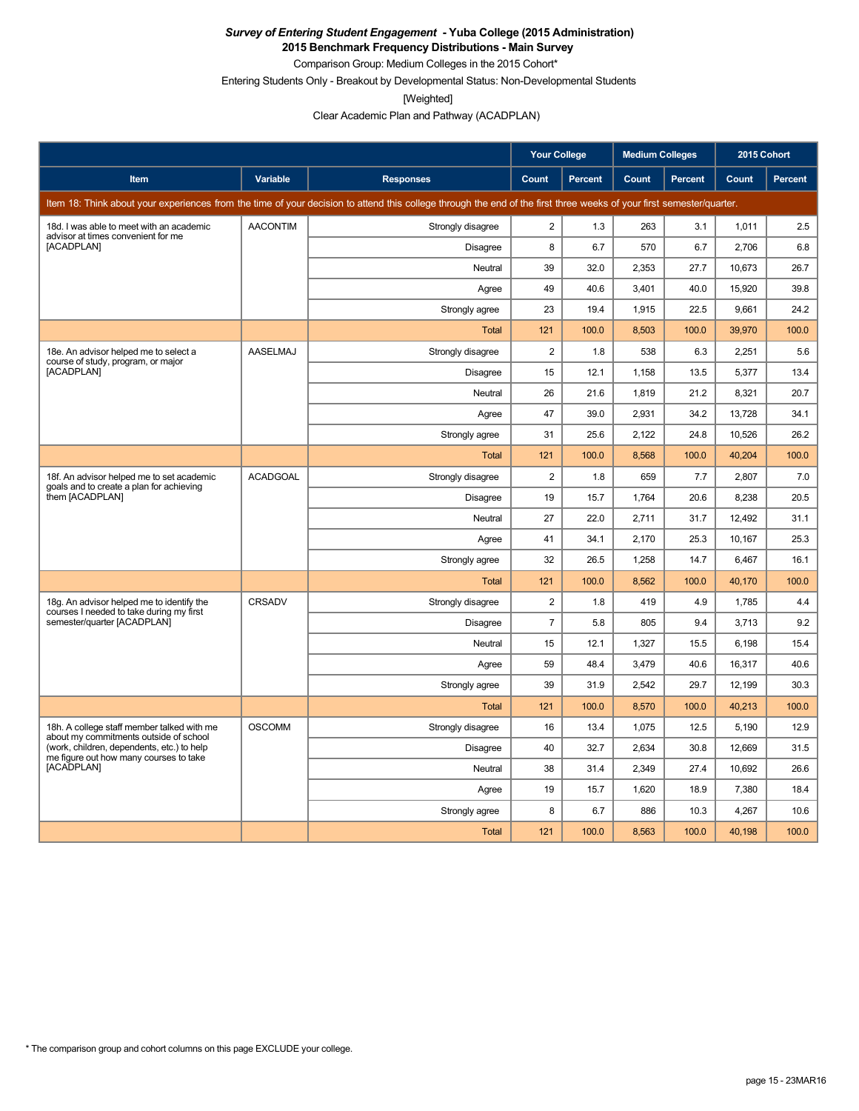**2015 Benchmark Frequency Distributions - Main Survey** Comparison Group: Medium Colleges in the 2015 Cohort\*

Entering Students Only - Breakout by Developmental Status: Non-Developmental Students

[Weighted]

Clear Academic Plan and Pathway (ACADPLAN)

|                                                                                       |                 |                                                                                                                                                                      | <b>Your College</b>     |                | <b>Medium Colleges</b> |         | 2015 Cohort |         |
|---------------------------------------------------------------------------------------|-----------------|----------------------------------------------------------------------------------------------------------------------------------------------------------------------|-------------------------|----------------|------------------------|---------|-------------|---------|
| Item                                                                                  | Variable        | <b>Responses</b>                                                                                                                                                     | <b>Count</b>            | <b>Percent</b> | Count                  | Percent | Count       | Percent |
|                                                                                       |                 | Item 18: Think about your experiences from the time of your decision to attend this college through the end of the first three weeks of your first semester/quarter. |                         |                |                        |         |             |         |
| 18d. I was able to meet with an academic<br>advisor at times convenient for me        | <b>AACONTIM</b> | Strongly disagree                                                                                                                                                    | $\overline{2}$          | 1.3            | 263                    | 3.1     | 1,011       | 2.5     |
| [ACADPLAN]                                                                            |                 | Disagree                                                                                                                                                             | 8                       | 6.7            | 570                    | 6.7     | 2,706       | 6.8     |
|                                                                                       |                 | Neutral                                                                                                                                                              | 39                      | 32.0           | 2,353                  | 27.7    | 10,673      | 26.7    |
|                                                                                       |                 | Agree                                                                                                                                                                | 49                      | 40.6           | 3,401                  | 40.0    | 15,920      | 39.8    |
|                                                                                       |                 | Strongly agree                                                                                                                                                       | 23                      | 19.4           | 1,915                  | 22.5    | 9.661       | 24.2    |
|                                                                                       |                 | <b>Total</b>                                                                                                                                                         | 121                     | 100.0          | 8,503                  | 100.0   | 39,970      | 100.0   |
| 18e. An advisor helped me to select a<br>course of study, program, or major           | <b>AASELMAJ</b> | Strongly disagree                                                                                                                                                    | $\overline{2}$          | 1.8            | 538                    | 6.3     | 2,251       | 5.6     |
| [ACADPLAN]                                                                            |                 | <b>Disagree</b>                                                                                                                                                      | 15                      | 12.1           | 1,158                  | 13.5    | 5,377       | 13.4    |
|                                                                                       |                 | Neutral                                                                                                                                                              | 26                      | 21.6           | 1,819                  | 21.2    | 8,321       | 20.7    |
|                                                                                       |                 | Agree                                                                                                                                                                | 47                      | 39.0           | 2,931                  | 34.2    | 13,728      | 34.1    |
|                                                                                       |                 | Strongly agree                                                                                                                                                       | 31                      | 25.6           | 2,122                  | 24.8    | 10,526      | 26.2    |
|                                                                                       |                 | Total                                                                                                                                                                | 121                     | 100.0          | 8,568                  | 100.0   | 40,204      | 100.0   |
| 18f. An advisor helped me to set academic<br>goals and to create a plan for achieving | <b>ACADGOAL</b> | Strongly disagree                                                                                                                                                    | 2                       | 1.8            | 659                    | 7.7     | 2,807       | 7.0     |
| them [ACADPLAN]                                                                       |                 | <b>Disagree</b>                                                                                                                                                      | 19                      | 15.7           | 1,764                  | 20.6    | 8,238       | 20.5    |
|                                                                                       |                 | Neutral                                                                                                                                                              | 27                      | 22.0           | 2,711                  | 31.7    | 12,492      | 31.1    |
|                                                                                       |                 | Agree                                                                                                                                                                | 41                      | 34.1           | 2,170                  | 25.3    | 10,167      | 25.3    |
|                                                                                       |                 | Strongly agree                                                                                                                                                       | 32                      | 26.5           | 1,258                  | 14.7    | 6,467       | 16.1    |
|                                                                                       |                 | Total                                                                                                                                                                | 121                     | 100.0          | 8,562                  | 100.0   | 40,170      | 100.0   |
| 18g. An advisor helped me to identify the<br>courses I needed to take during my first | CRSADV          | Strongly disagree                                                                                                                                                    | $\overline{\mathbf{c}}$ | 1.8            | 419                    | 4.9     | 1,785       | 4.4     |
| semester/quarter [ACADPLAN]                                                           |                 | Disagree                                                                                                                                                             | $\overline{7}$          | 5.8            | 805                    | 9.4     | 3,713       | 9.2     |
|                                                                                       |                 | Neutral                                                                                                                                                              | 15                      | 12.1           | 1,327                  | 15.5    | 6,198       | 15.4    |
|                                                                                       |                 | Agree                                                                                                                                                                | 59                      | 48.4           | 3,479                  | 40.6    | 16,317      | 40.6    |
|                                                                                       |                 | Strongly agree                                                                                                                                                       | 39                      | 31.9           | 2,542                  | 29.7    | 12.199      | 30.3    |
|                                                                                       |                 | <b>Total</b>                                                                                                                                                         | 121                     | 100.0          | 8.570                  | 100.0   | 40,213      | 100.0   |
| 18h. A college staff member talked with me<br>about my commitments outside of school  | <b>OSCOMM</b>   | Strongly disagree                                                                                                                                                    | 16                      | 13.4           | 1.075                  | 12.5    | 5.190       | 12.9    |
| (work, children, dependents, etc.) to help<br>me figure out how many courses to take  |                 | <b>Disagree</b>                                                                                                                                                      | 40                      | 32.7           | 2.634                  | 30.8    | 12.669      | 31.5    |
| [ACADPLAN]                                                                            |                 | Neutral                                                                                                                                                              | 38                      | 31.4           | 2,349                  | 27.4    | 10,692      | 26.6    |
|                                                                                       |                 | Agree                                                                                                                                                                | 19                      | 15.7           | 1,620                  | 18.9    | 7,380       | 18.4    |
|                                                                                       |                 | Strongly agree                                                                                                                                                       | 8                       | 6.7            | 886                    | 10.3    | 4,267       | 10.6    |
|                                                                                       |                 | Total                                                                                                                                                                | 121                     | 100.0          | 8,563                  | 100.0   | 40,198      | 100.0   |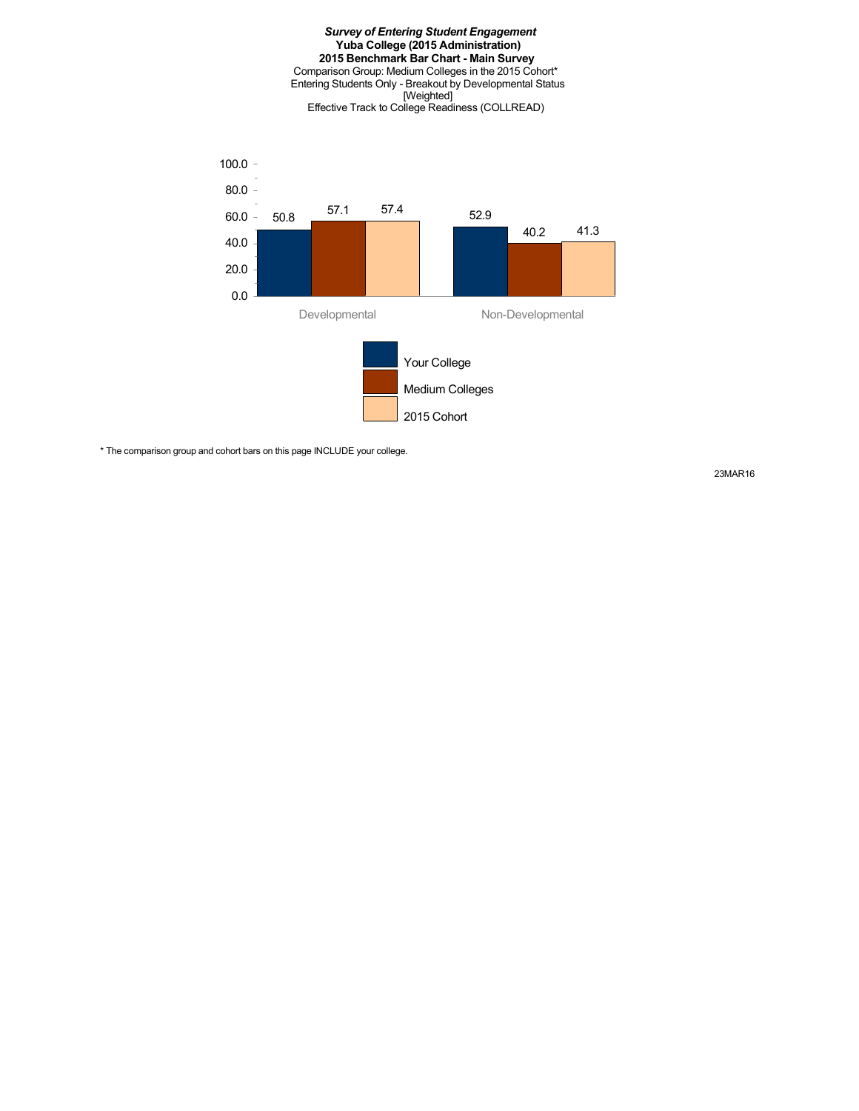#### *Survey of Entering Student Engagement* **Yuba College (2015 Administration) 2015 Benchmark Bar Chart - Main Survey** Comparison Group: Medium Colleges in the 2015 Cohort\* Entering Students Only - Breakout by Developmental Status [Weighted] Effective Track to College Readiness (COLLREAD)



\* The comparison group and cohort bars on this page INCLUDE your college.

23MAR16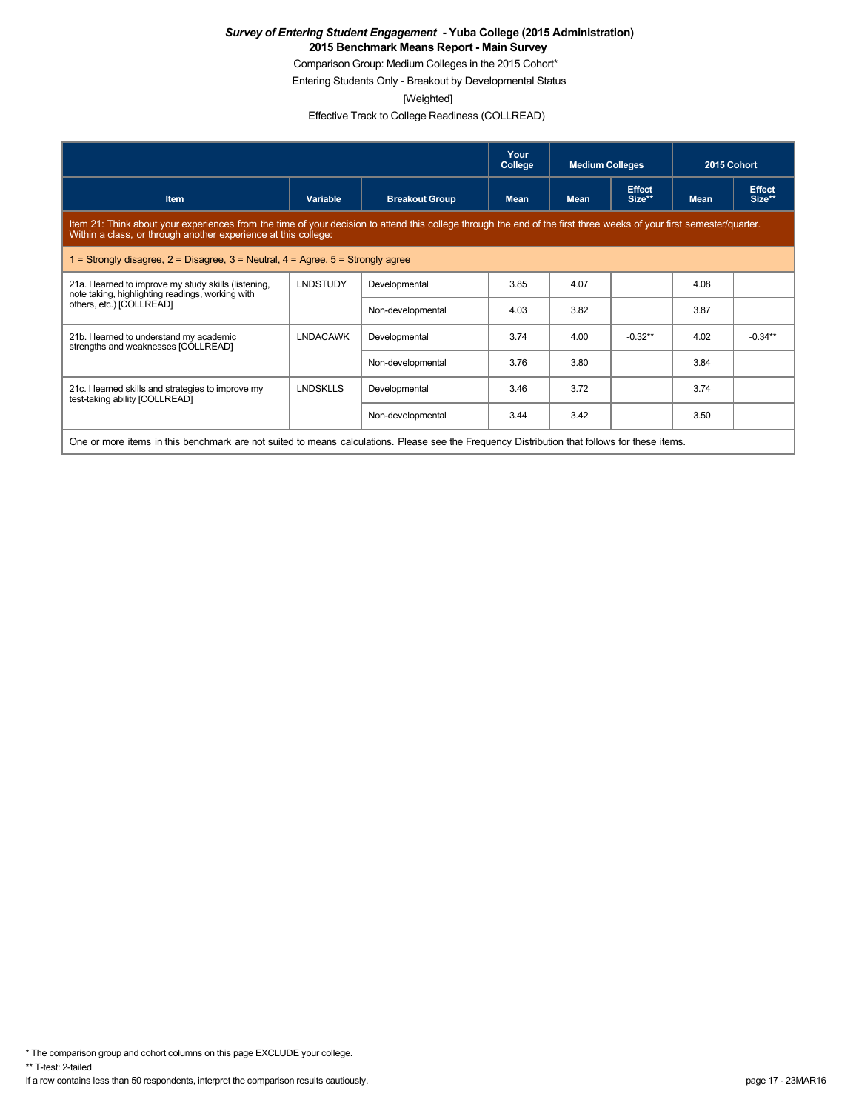Comparison Group: Medium Colleges in the 2015 Cohort\*

Entering Students Only - Breakout by Developmental Status

[Weighted]

Effective Track to College Readiness (COLLREAD)

|                                                                                                                                                                                                                                        |                 |                       | Your<br>College | <b>Medium Colleges</b> |                         | 2015 Cohort |                         |
|----------------------------------------------------------------------------------------------------------------------------------------------------------------------------------------------------------------------------------------|-----------------|-----------------------|-----------------|------------------------|-------------------------|-------------|-------------------------|
| <b>Item</b>                                                                                                                                                                                                                            | Variable        | <b>Breakout Group</b> | <b>Mean</b>     | <b>Mean</b>            | <b>Effect</b><br>Size** | <b>Mean</b> | <b>Effect</b><br>Size** |
| Item 21: Think about your experiences from the time of your decision to attend this college through the end of the first three weeks of your first semester/quarter.<br>Within a class, or through another experience at this college: |                 |                       |                 |                        |                         |             |                         |
| = Strongly disagree, $2$ = Disagree, $3$ = Neutral, $4$ = Agree, $5$ = Strongly agree                                                                                                                                                  |                 |                       |                 |                        |                         |             |                         |
| 21a. I learned to improve my study skills (listening,<br>note taking, highlighting readings, working with                                                                                                                              | <b>LNDSTUDY</b> | Developmental         | 3.85            | 4.07                   |                         | 4.08        |                         |
| others, etc.) [COLLREAD]                                                                                                                                                                                                               |                 | Non-developmental     | 4.03            | 3.82                   |                         | 3.87        |                         |
| 21b. I learned to understand my academic<br>strengths and weaknesses [COLLREAD]                                                                                                                                                        | <b>LNDACAWK</b> | Developmental         | 3.74            | 4.00                   | $-0.32**$               | 4.02        | $-0.34**$               |
|                                                                                                                                                                                                                                        |                 | Non-developmental     | 3.76            | 3.80                   |                         | 3.84        |                         |
| 21c. I learned skills and strategies to improve my<br>test-taking ability [COLLREAD]                                                                                                                                                   | <b>LNDSKLLS</b> | Developmental         | 3.46            | 3.72                   |                         | 3.74        |                         |
|                                                                                                                                                                                                                                        |                 | Non-developmental     | 3.44            | 3.42                   |                         | 3.50        |                         |
| One or more items in this benchmark are not suited to means calculations. Please see the Frequency Distribution that follows for these items.                                                                                          |                 |                       |                 |                        |                         |             |                         |

\* The comparison group and cohort columns on this page EXCLUDE your college.

\*\* T-test: 2-tailed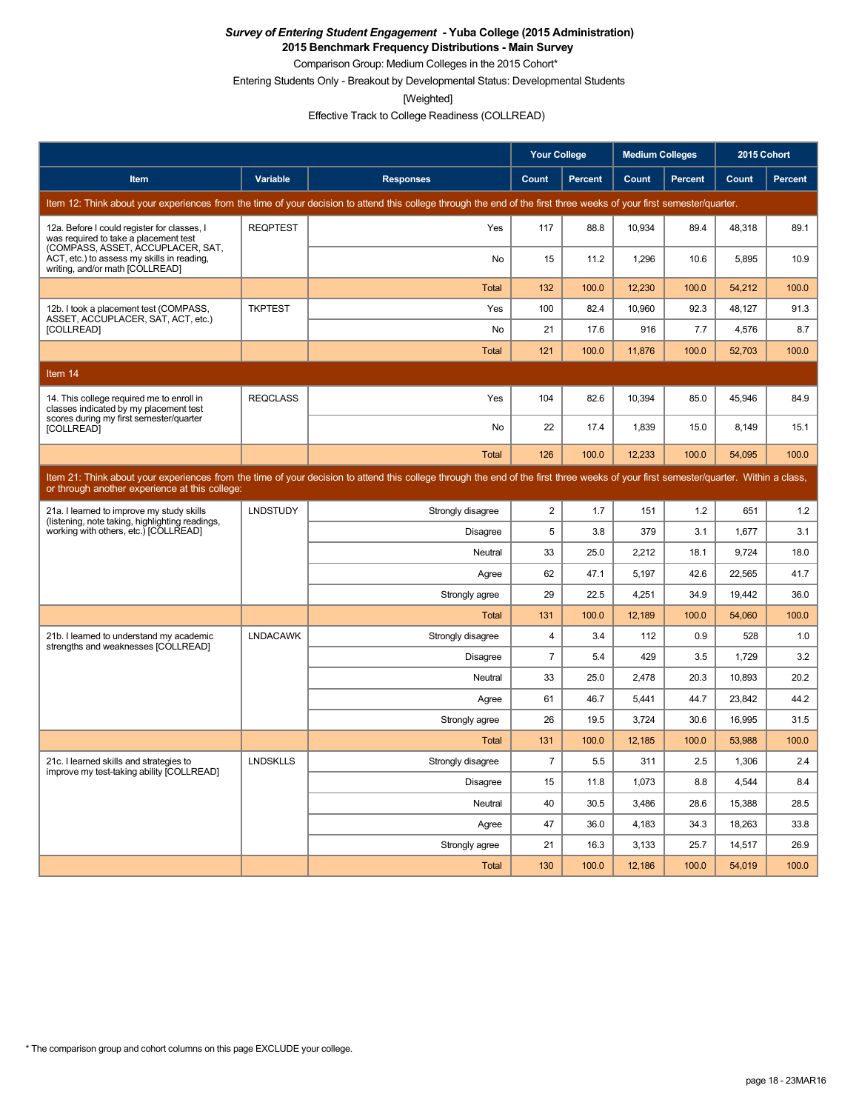**2015 Benchmark Frequency Distributions - Main Survey**

Comparison Group: Medium Colleges in the 2015 Cohort\* Entering Students Only - Breakout by Developmental Status: Developmental Students

[Weighted]

Effective Track to College Readiness (COLLREAD)

|                                                                                                                           |                 |                                                                                                                                                                                      | <b>Your College</b> |                | <b>Medium Colleges</b> |         | 2015 Cohort |         |
|---------------------------------------------------------------------------------------------------------------------------|-----------------|--------------------------------------------------------------------------------------------------------------------------------------------------------------------------------------|---------------------|----------------|------------------------|---------|-------------|---------|
| Item                                                                                                                      | Variable        | <b>Responses</b>                                                                                                                                                                     | Count               | <b>Percent</b> | Count                  | Percent | Count       | Percent |
|                                                                                                                           |                 | Item 12: Think about your experiences from the time of your decision to attend this college through the end of the first three weeks of your first semester/quarter.                 |                     |                |                        |         |             |         |
| 12a. Before I could register for classes, I<br>was required to take a placement test<br>(COMPASS, ASSET, ACCUPLACER, SAT, | <b>REQPTEST</b> | Yes                                                                                                                                                                                  | 117                 | 88.8           | 10,934                 | 89.4    | 48,318      | 89.1    |
| ACT, etc.) to assess my skills in reading.<br>writing, and/or math [COLLREAD]                                             |                 | No                                                                                                                                                                                   | 15                  | 11.2           | 1,296                  | 10.6    | 5,895       | 10.9    |
|                                                                                                                           |                 | Total                                                                                                                                                                                | 132                 | 100.0          | 12,230                 | 100.0   | 54,212      | 100.0   |
| 12b. I took a placement test (COMPASS,<br>ASSET, ACCUPLACER, SAT, ACT, etc.)                                              | <b>TKPTEST</b>  | Yes                                                                                                                                                                                  | 100                 | 82.4           | 10,960                 | 92.3    | 48,127      | 91.3    |
| [COLLREAD]                                                                                                                |                 | No                                                                                                                                                                                   | 21                  | 17.6           | 916                    | 7.7     | 4,576       | 8.7     |
|                                                                                                                           |                 | <b>Total</b>                                                                                                                                                                         | 121                 | 100.0          | 11,876                 | 100.0   | 52,703      | 100.0   |
| Item 14                                                                                                                   |                 |                                                                                                                                                                                      |                     |                |                        |         |             |         |
| 14. This college required me to enroll in<br>classes indicated by my placement test                                       | <b>REQCLASS</b> | Yes                                                                                                                                                                                  | 104                 | 82.6           | 10,394                 | 85.0    | 45,946      | 84.9    |
| scores during my first semester/quarter<br>[COLLREAD]                                                                     |                 | <b>No</b>                                                                                                                                                                            | 22                  | 17.4           | 1,839                  | 15.0    | 8,149       | 15.1    |
|                                                                                                                           |                 | <b>Total</b>                                                                                                                                                                         | 126                 | 100.0          | 12,233                 | 100.0   | 54,095      | 100.0   |
| or through another experience at this college:                                                                            |                 | Item 21: Think about your experiences from the time of your decision to attend this college through the end of the first three weeks of your first semester/quarter. Within a class, |                     |                |                        |         |             |         |
| 21a. I learned to improve my study skills                                                                                 | <b>LNDSTUDY</b> | Strongly disagree                                                                                                                                                                    | $\overline{c}$      | 1.7            | 151                    | 1.2     | 651         | 1.2     |
| (listening, note taking, highlighting readings,<br>working with others, etc.) [COLLREAD]                                  |                 | <b>Disagree</b>                                                                                                                                                                      | 5                   | 3.8            | 379                    | 3.1     | 1,677       | 3.1     |
|                                                                                                                           |                 | Neutral                                                                                                                                                                              | 33                  | 25.0           | 2,212                  | 18.1    | 9,724       | 18.0    |
|                                                                                                                           |                 | Agree                                                                                                                                                                                | 62                  | 47.1           | 5,197                  | 42.6    | 22,565      | 41.7    |
|                                                                                                                           |                 | Strongly agree                                                                                                                                                                       | 29                  | 22.5           | 4,251                  | 34.9    | 19,442      | 36.0    |
|                                                                                                                           |                 | <b>Total</b>                                                                                                                                                                         | 131                 | 100.0          | 12,189                 | 100.0   | 54,060      | 100.0   |
| 21b. I learned to understand my academic<br>strengths and weaknesses [COLLREAD]                                           | <b>LNDACAWK</b> | Strongly disagree                                                                                                                                                                    | 4                   | 3.4            | 112                    | 0.9     | 528         | 1.0     |
|                                                                                                                           |                 | Disagree                                                                                                                                                                             | 7                   | 5.4            | 429                    | 3.5     | 1,729       | 3.2     |
|                                                                                                                           |                 | Neutral                                                                                                                                                                              | 33                  | 25.0           | 2,478                  | 20.3    | 10,893      | 20.2    |
|                                                                                                                           |                 | Agree                                                                                                                                                                                | 61                  | 46.7           | 5,441                  | 44.7    | 23,842      | 44.2    |
|                                                                                                                           |                 | Strongly agree                                                                                                                                                                       | 26                  | 19.5           | 3,724                  | 30.6    | 16,995      | 31.5    |
|                                                                                                                           |                 | <b>Total</b>                                                                                                                                                                         | 131                 | 100.0          | 12,185                 | 100.0   | 53.988      | 100.0   |
| 21c. I learned skills and strategies to<br>improve my test-taking ability [COLLREAD]                                      | <b>LNDSKLLS</b> | Strongly disagree                                                                                                                                                                    | $\overline{7}$      | 5.5            | 311                    | 2.5     | 1,306       | 2.4     |
|                                                                                                                           |                 | <b>Disagree</b>                                                                                                                                                                      | 15                  | 11.8           | 1,073                  | 8.8     | 4,544       | 8.4     |
|                                                                                                                           |                 | Neutral                                                                                                                                                                              | 40                  | 30.5           | 3,486                  | 28.6    | 15,388      | 28.5    |
|                                                                                                                           |                 | Agree                                                                                                                                                                                | 47                  | 36.0           | 4,183                  | 34.3    | 18,263      | 33.8    |
|                                                                                                                           |                 | Strongly agree                                                                                                                                                                       | 21                  | 16.3           | 3,133                  | 25.7    | 14,517      | 26.9    |
|                                                                                                                           |                 | <b>Total</b>                                                                                                                                                                         | 130                 | 100.0          | 12.186                 | 100.0   | 54.019      | 100.0   |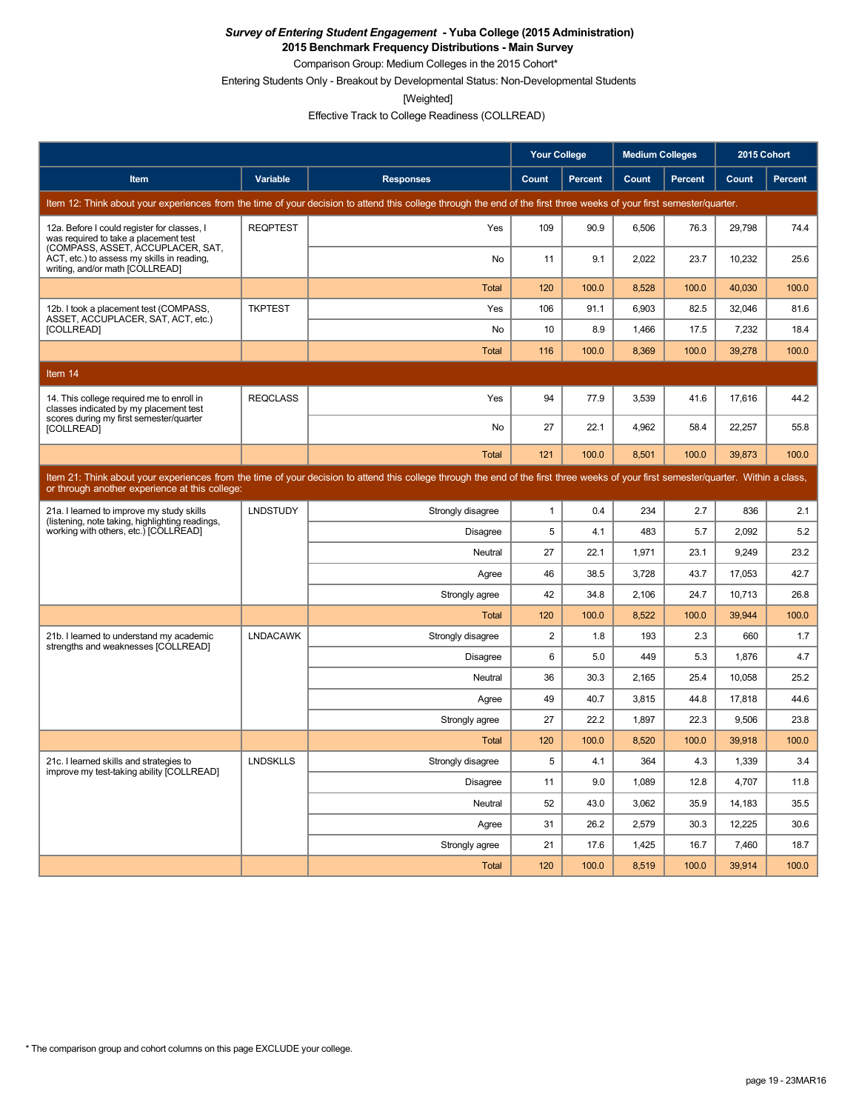**2015 Benchmark Frequency Distributions - Main Survey**

Comparison Group: Medium Colleges in the 2015 Cohort\* Entering Students Only - Breakout by Developmental Status: Non-Developmental Students

[Weighted]

Effective Track to College Readiness (COLLREAD)

|                                                                                                                           |                 |                                                                                                                                                                                      | <b>Your College</b> |                | <b>Medium Colleges</b> |                | 2015 Cohort |                |
|---------------------------------------------------------------------------------------------------------------------------|-----------------|--------------------------------------------------------------------------------------------------------------------------------------------------------------------------------------|---------------------|----------------|------------------------|----------------|-------------|----------------|
| Item                                                                                                                      | Variable        | <b>Responses</b>                                                                                                                                                                     | Count               | <b>Percent</b> | Count                  | <b>Percent</b> | Count       | <b>Percent</b> |
|                                                                                                                           |                 | Item 12: Think about your experiences from the time of your decision to attend this college through the end of the first three weeks of your first semester/quarter.                 |                     |                |                        |                |             |                |
| 12a. Before I could register for classes, I<br>was required to take a placement test<br>(COMPASS, ASSET, ACCUPLACER, SAT, | <b>REQPTEST</b> | Yes                                                                                                                                                                                  | 109                 | 90.9           | 6,506                  | 76.3           | 29,798      | 74.4           |
| ACT, etc.) to assess my skills in reading,<br>writing, and/or math [COLLREAD]                                             |                 | <b>No</b>                                                                                                                                                                            | 11                  | 9.1            | 2.022                  | 23.7           | 10.232      | 25.6           |
|                                                                                                                           |                 | <b>Total</b>                                                                                                                                                                         | 120                 | 100.0          | 8,528                  | 100.0          | 40,030      | 100.0          |
| 12b. I took a placement test (COMPASS,<br>ASSET, ACCUPLACER, SAT, ACT, etc.)                                              | <b>TKPTEST</b>  | Yes                                                                                                                                                                                  | 106                 | 91.1           | 6,903                  | 82.5           | 32,046      | 81.6           |
| [COLLREAD]                                                                                                                |                 | <b>No</b>                                                                                                                                                                            | 10                  | 8.9            | 1,466                  | 17.5           | 7,232       | 18.4           |
|                                                                                                                           |                 | <b>Total</b>                                                                                                                                                                         | 116                 | 100.0          | 8,369                  | 100.0          | 39,278      | 100.0          |
| Item 14                                                                                                                   |                 |                                                                                                                                                                                      |                     |                |                        |                |             |                |
| 14. This college required me to enroll in<br>classes indicated by my placement test                                       | <b>REQCLASS</b> | Yes                                                                                                                                                                                  | 94                  | 77.9           | 3.539                  | 41.6           | 17.616      | 44.2           |
| scores during my first semester/quarter<br>[COLLREAD]                                                                     |                 | No                                                                                                                                                                                   | 27                  | 22.1           | 4,962                  | 58.4           | 22,257      | 55.8           |
|                                                                                                                           |                 | <b>Total</b>                                                                                                                                                                         | 121                 | 100.0          | 8,501                  | 100.0          | 39,873      | 100.0          |
| or through another experience at this college:                                                                            |                 | Item 21: Think about your experiences from the time of your decision to attend this college through the end of the first three weeks of your first semester/quarter. Within a class, |                     |                |                        |                |             |                |
| 21a. I learned to improve my study skills                                                                                 | <b>LNDSTUDY</b> | Strongly disagree                                                                                                                                                                    | $\mathbf{1}$        | 0.4            | 234                    | 2.7            | 836         | 2.1            |
| (listening, note taking, highlighting readings,<br>working with others, etc.) [COLLREAD]                                  |                 | Disagree                                                                                                                                                                             | 5                   | 4.1            | 483                    | 5.7            | 2,092       | 5.2            |
|                                                                                                                           |                 | Neutral                                                                                                                                                                              | 27                  | 22.1           | 1,971                  | 23.1           | 9,249       | 23.2           |
|                                                                                                                           |                 | Agree                                                                                                                                                                                | 46                  | 38.5           | 3,728                  | 43.7           | 17,053      | 42.7           |
|                                                                                                                           |                 | Strongly agree                                                                                                                                                                       | 42                  | 34.8           | 2.106                  | 24.7           | 10,713      | 26.8           |
|                                                                                                                           |                 | <b>Total</b>                                                                                                                                                                         | 120                 | 100.0          | 8,522                  | 100.0          | 39,944      | 100.0          |
| 21b. I learned to understand my academic<br>strengths and weaknesses [COLLREAD]                                           | <b>LNDACAWK</b> | Strongly disagree                                                                                                                                                                    | $\overline{2}$      | 1.8            | 193                    | 2.3            | 660         | 1.7            |
|                                                                                                                           |                 | Disagree                                                                                                                                                                             | 6                   | 5.0            | 449                    | 5.3            | 1,876       | 4.7            |
|                                                                                                                           |                 | Neutral                                                                                                                                                                              | 36                  | 30.3           | 2.165                  | 25.4           | 10.058      | 25.2           |
|                                                                                                                           |                 | Agree                                                                                                                                                                                | 49                  | 40.7           | 3,815                  | 44.8           | 17,818      | 44.6           |
|                                                                                                                           |                 | Strongly agree                                                                                                                                                                       | 27                  | 22.2           | 1,897                  | 22.3           | 9,506       | 23.8           |
|                                                                                                                           |                 | <b>Total</b>                                                                                                                                                                         | 120                 | 100.0          | 8,520                  | 100.0          | 39,918      | 100.0          |
| 21c. I learned skills and strategies to<br>improve my test-taking ability [COLLREAD]                                      | <b>LNDSKLLS</b> | Strongly disagree                                                                                                                                                                    | 5                   | 4.1            | 364                    | 4.3            | 1,339       | 3.4            |
|                                                                                                                           |                 | Disagree                                                                                                                                                                             | 11                  | 9.0            | 1.089                  | 12.8           | 4.707       | 11.8           |
|                                                                                                                           |                 | Neutral                                                                                                                                                                              | 52                  | 43.0           | 3,062                  | 35.9           | 14,183      | 35.5           |
|                                                                                                                           |                 | Agree                                                                                                                                                                                | 31                  | 26.2           | 2,579                  | 30.3           | 12,225      | 30.6           |
|                                                                                                                           |                 | Strongly agree                                                                                                                                                                       | 21                  | 17.6           | 1,425                  | 16.7           | 7,460       | 18.7           |
|                                                                                                                           |                 | Total                                                                                                                                                                                | 120                 | 100.0          | 8,519                  | 100.0          | 39,914      | 100.0          |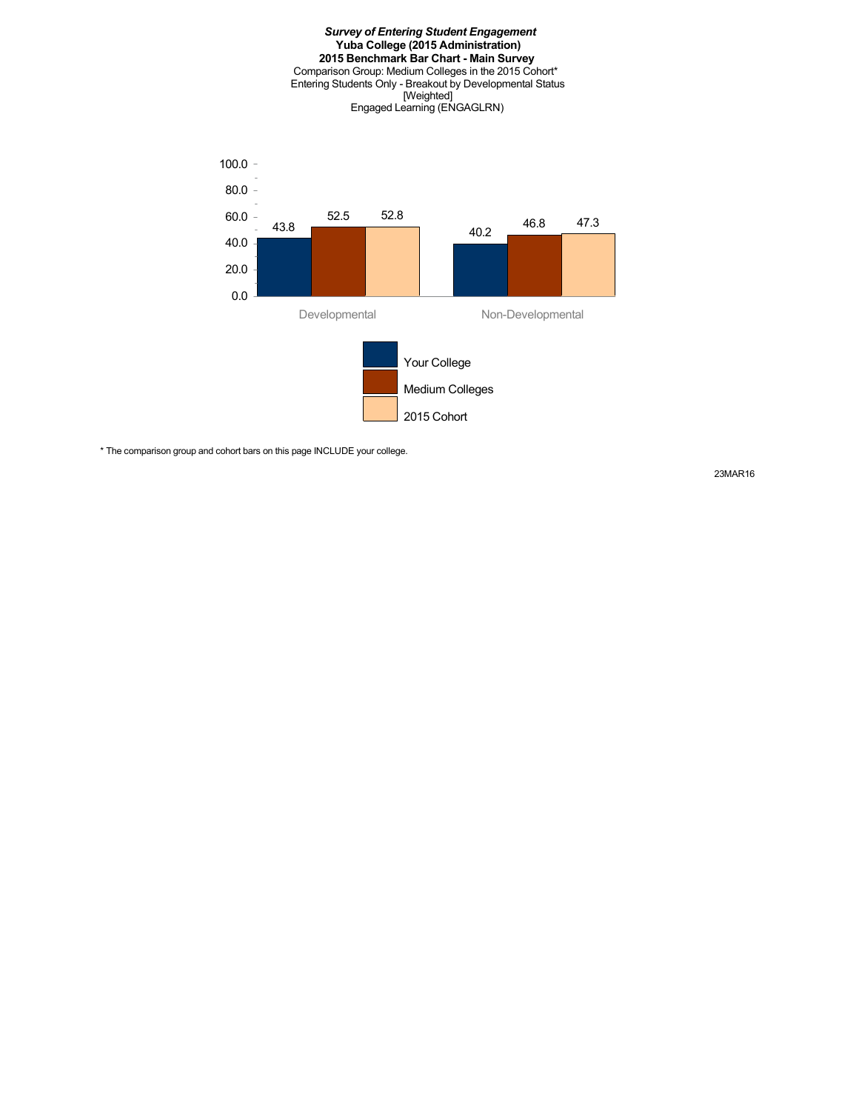

\* The comparison group and cohort bars on this page INCLUDE your college.

23MAR16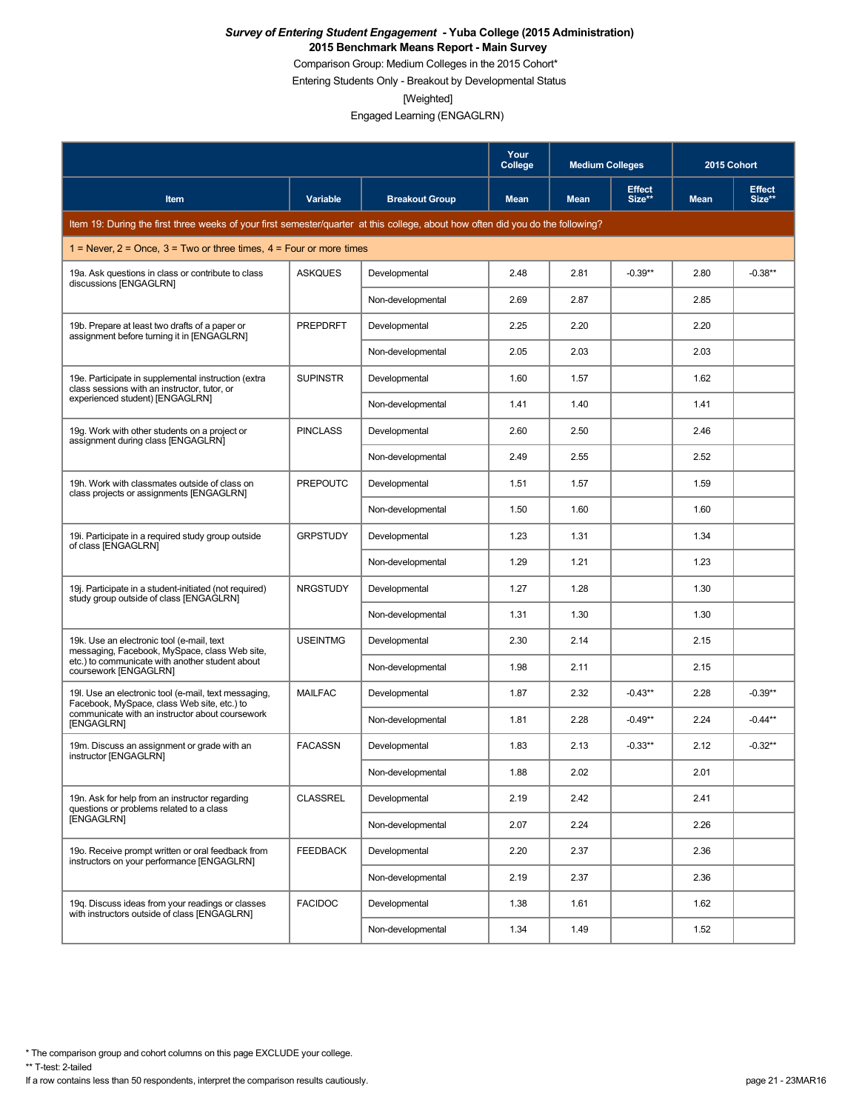Comparison Group: Medium Colleges in the 2015 Cohort\*

Entering Students Only - Breakout by Developmental Status

[Weighted]

Engaged Learning (ENGAGLRN)

|                                                                                                                                 |                 |                       | Your<br>College | <b>Medium Colleges</b> |                         | 2015 Cohort |                         |
|---------------------------------------------------------------------------------------------------------------------------------|-----------------|-----------------------|-----------------|------------------------|-------------------------|-------------|-------------------------|
| Item                                                                                                                            | Variable        | <b>Breakout Group</b> | <b>Mean</b>     | <b>Mean</b>            | <b>Effect</b><br>Size** | <b>Mean</b> | <b>Effect</b><br>Size** |
| Item 19: During the first three weeks of your first semester/quarter at this college, about how often did you do the following? |                 |                       |                 |                        |                         |             |                         |
| 1 = Never, $2$ = Once, $3$ = Two or three times, $4$ = Four or more times                                                       |                 |                       |                 |                        |                         |             |                         |
| 19a. Ask questions in class or contribute to class<br>discussions [ENGAGLRN]                                                    | <b>ASKQUES</b>  | Developmental         | 2.48            | 2.81                   | $-0.39**$               | 2.80        | $-0.38**$               |
|                                                                                                                                 |                 | Non-developmental     | 2.69            | 2.87                   |                         | 2.85        |                         |
| 19b. Prepare at least two drafts of a paper or<br>assignment before turning it in [ENGAGLRN]                                    | <b>PREPDRFT</b> | Developmental         | 2.25            | 2.20                   |                         | 2.20        |                         |
|                                                                                                                                 |                 | Non-developmental     | 2.05            | 2.03                   |                         | 2.03        |                         |
| 19e. Participate in supplemental instruction (extra<br>class sessions with an instructor, tutor, or                             | <b>SUPINSTR</b> | Developmental         | 1.60            | 1.57                   |                         | 1.62        |                         |
| experienced student) [ENGAGLRN]                                                                                                 |                 | Non-developmental     | 1.41            | 1.40                   |                         | 1.41        |                         |
| 19g. Work with other students on a project or<br>assignment during class [ENGAGLRN]                                             | <b>PINCLASS</b> | Developmental         | 2.60            | 2.50                   |                         | 2.46        |                         |
|                                                                                                                                 |                 | Non-developmental     | 2.49            | 2.55                   |                         | 2.52        |                         |
| 19h. Work with classmates outside of class on<br>class projects or assignments [ENGAGLRN]                                       | <b>PREPOUTC</b> | Developmental         | 1.51            | 1.57                   |                         | 1.59        |                         |
|                                                                                                                                 |                 | Non-developmental     | 1.50            | 1.60                   |                         | 1.60        |                         |
| 19. Participate in a required study group outside<br>of class [ENGAGLRN]                                                        | <b>GRPSTUDY</b> | Developmental         | 1.23            | 1.31                   |                         | 1.34        |                         |
|                                                                                                                                 |                 | Non-developmental     | 1.29            | 1.21                   |                         | 1.23        |                         |
| 19. Participate in a student-initiated (not required)<br>study group outside of class [ENGAGLRN]                                | <b>NRGSTUDY</b> | Developmental         | 1.27            | 1.28                   |                         | 1.30        |                         |
|                                                                                                                                 |                 | Non-developmental     | 1.31            | 1.30                   |                         | 1.30        |                         |
| 19k. Use an electronic tool (e-mail, text<br>messaging, Facebook, MySpace, class Web site,                                      | <b>USEINTMG</b> | Developmental         | 2.30            | 2.14                   |                         | 2.15        |                         |
| etc.) to communicate with another student about<br>coursework [ENGAGLRN]                                                        |                 | Non-developmental     | 1.98            | 2.11                   |                         | 2.15        |                         |
| 19. Use an electronic tool (e-mail, text messaging,<br>Facebook, MySpace, class Web site, etc.) to                              | <b>MAILFAC</b>  | Developmental         | 1.87            | 2.32                   | $-0.43**$               | 2.28        | $-0.39**$               |
| communicate with an instructor about coursework<br>[ENGAGLRN]                                                                   |                 | Non-developmental     | 1.81            | 2.28                   | $-0.49**$               | 2.24        | $-0.44**$               |
| 19m. Discuss an assignment or grade with an<br>instructor [ENGAGLRN]                                                            | <b>FACASSN</b>  | Developmental         | 1.83            | 2.13                   | $-0.33**$               | 2.12        | $-0.32**$               |
|                                                                                                                                 |                 | Non-developmental     | 1.88            | 2.02                   |                         | 2.01        |                         |
| 19n. Ask for help from an instructor regarding<br>questions or problems related to a class                                      | <b>CLASSREL</b> | Developmental         | 2.19            | 2.42                   |                         | 2.41        |                         |
| [ENGAGLRN]                                                                                                                      |                 | Non-developmental     | 2.07            | 2.24                   |                         | 2.26        |                         |
| 19o. Receive prompt written or oral feedback from<br>instructors on your performance [ENGAGLRN]                                 | <b>FEEDBACK</b> | Developmental         | 2.20            | 2.37                   |                         | 2.36        |                         |
|                                                                                                                                 |                 | Non-developmental     | 2.19            | 2.37                   |                         | 2.36        |                         |
| 19q. Discuss ideas from your readings or classes<br>with instructors outside of class [ENGAGLRN]                                | <b>FACIDOC</b>  | Developmental         | 1.38            | 1.61                   |                         | 1.62        |                         |
|                                                                                                                                 |                 | Non-developmental     | 1.34            | 1.49                   |                         | 1.52        |                         |

\* The comparison group and cohort columns on this page EXCLUDE your college.

\*\* T-test: 2-tailed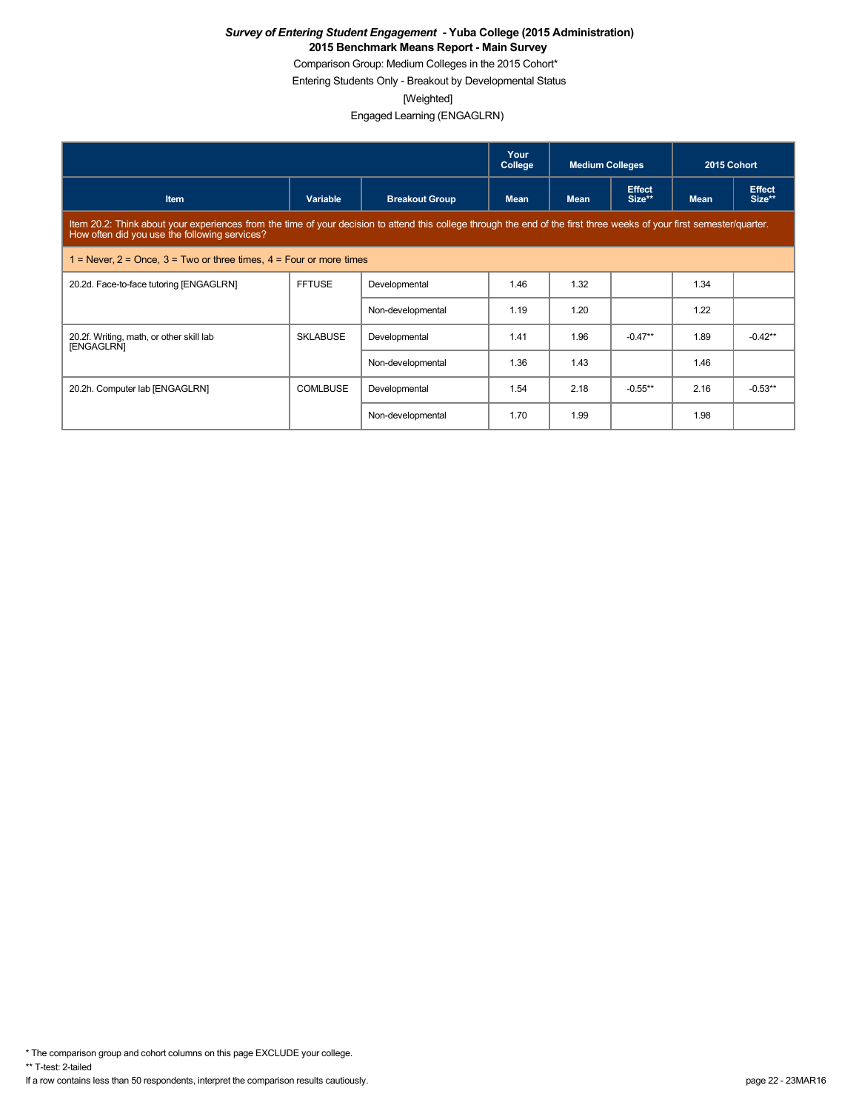Comparison Group: Medium Colleges in the 2015 Cohort\*

Entering Students Only - Breakout by Developmental Status

[Weighted]

Engaged Learning (ENGAGLRN)

|                                                                                                                                                                                                                         |                 |                       | Your<br>College | <b>Medium Colleges</b> |                         | 2015 Cohort |                         |  |
|-------------------------------------------------------------------------------------------------------------------------------------------------------------------------------------------------------------------------|-----------------|-----------------------|-----------------|------------------------|-------------------------|-------------|-------------------------|--|
| <b>Item</b>                                                                                                                                                                                                             | Variable        | <b>Breakout Group</b> | <b>Mean</b>     | <b>Mean</b>            | <b>Effect</b><br>Size** | <b>Mean</b> | <b>Effect</b><br>Size** |  |
| Item 20.2: Think about your experiences from the time of your decision to attend this college through the end of the first three weeks of your first semester/quarter.<br>How often did you use the following services? |                 |                       |                 |                        |                         |             |                         |  |
| 1 = Never, $2$ = Once, $3$ = Two or three times, $4$ = Four or more times                                                                                                                                               |                 |                       |                 |                        |                         |             |                         |  |
| 20.2d. Face-to-face tutoring [ENGAGLRN]                                                                                                                                                                                 | <b>FFTUSE</b>   | Developmental         | 1.46            | 1.32                   |                         | 1.34        |                         |  |
|                                                                                                                                                                                                                         |                 | Non-developmental     | 1.19            | 1.20                   |                         | 1.22        |                         |  |
| 20.2f. Writing, math, or other skill lab<br>[ENGAGLRN]                                                                                                                                                                  | <b>SKLABUSE</b> | Developmental         | 1.41            | 1.96                   | $-0.47**$               | 1.89        | $-0.42**$               |  |
|                                                                                                                                                                                                                         |                 | Non-developmental     | 1.36            | 1.43                   |                         | 1.46        |                         |  |
| 20.2h. Computer lab [ENGAGLRN]                                                                                                                                                                                          | <b>COMLBUSE</b> | Developmental         | 1.54            | 2.18                   | $-0.55**$               | 2.16        | $-0.53**$               |  |
|                                                                                                                                                                                                                         |                 | Non-developmental     | 1.70            | 1.99                   |                         | 1.98        |                         |  |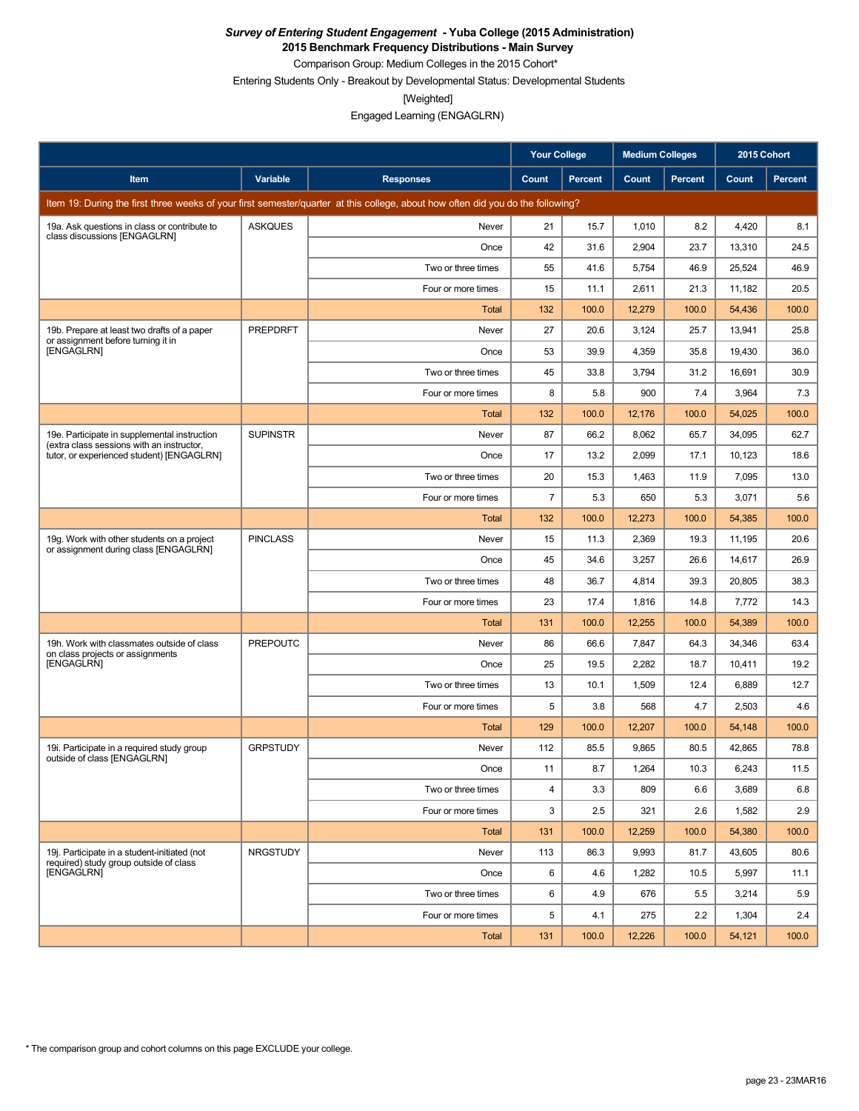**2015 Benchmark Frequency Distributions - Main Survey**

Comparison Group: Medium Colleges in the 2015 Cohort\* Entering Students Only - Breakout by Developmental Status: Developmental Students

[Weighted]

Engaged Learning (ENGAGLRN)

|                                                                                           |                 |                                                                                                                                 | <b>Your College</b> |                | <b>Medium Colleges</b> |         | 2015 Cohort |                |
|-------------------------------------------------------------------------------------------|-----------------|---------------------------------------------------------------------------------------------------------------------------------|---------------------|----------------|------------------------|---------|-------------|----------------|
| Item                                                                                      | Variable        | <b>Responses</b>                                                                                                                | Count               | <b>Percent</b> | Count                  | Percent | Count       | <b>Percent</b> |
|                                                                                           |                 | Item 19: During the first three weeks of your first semester/quarter at this college, about how often did you do the following? |                     |                |                        |         |             |                |
| 19a. Ask questions in class or contribute to                                              | <b>ASKQUES</b>  | Never                                                                                                                           | 21                  | 15.7           | 1,010                  | 8.2     | 4,420       | 8.1            |
| class discussions [ENGAGLRN]                                                              |                 | Once                                                                                                                            | 42                  | 31.6           | 2,904                  | 23.7    | 13,310      | 24.5           |
|                                                                                           |                 | Two or three times                                                                                                              | 55                  | 41.6           | 5,754                  | 46.9    | 25,524      | 46.9           |
|                                                                                           |                 | Four or more times                                                                                                              | 15                  | 11.1           | 2,611                  | 21.3    | 11,182      | 20.5           |
|                                                                                           |                 | Total                                                                                                                           | 132                 | 100.0          | 12,279                 | 100.0   | 54,436      | 100.0          |
| 19b. Prepare at least two drafts of a paper<br>or assignment before turning it in         | <b>PREPDRFT</b> | Never                                                                                                                           | 27                  | 20.6           | 3,124                  | 25.7    | 13,941      | 25.8           |
| [ENGAGLRN]                                                                                |                 | Once                                                                                                                            | 53                  | 39.9           | 4,359                  | 35.8    | 19,430      | 36.0           |
|                                                                                           |                 | Two or three times                                                                                                              | 45                  | 33.8           | 3,794                  | 31.2    | 16,691      | 30.9           |
|                                                                                           |                 | Four or more times                                                                                                              | 8                   | 5.8            | 900                    | 7.4     | 3,964       | 7.3            |
|                                                                                           |                 | Total                                                                                                                           | 132                 | 100.0          | 12,176                 | 100.0   | 54,025      | 100.0          |
| 19e. Participate in supplemental instruction<br>(extra class sessions with an instructor, | <b>SUPINSTR</b> | Never                                                                                                                           | 87                  | 66.2           | 8,062                  | 65.7    | 34,095      | 62.7           |
| tutor, or experienced student) [ENGAGLRN]                                                 |                 | Once                                                                                                                            | 17                  | 13.2           | 2,099                  | 17.1    | 10,123      | 18.6           |
|                                                                                           |                 | Two or three times                                                                                                              | 20                  | 15.3           | 1,463                  | 11.9    | 7,095       | 13.0           |
|                                                                                           |                 | Four or more times                                                                                                              | 7                   | 5.3            | 650                    | 5.3     | 3,071       | 5.6            |
|                                                                                           |                 | Total                                                                                                                           | 132                 | 100.0          | 12,273                 | 100.0   | 54,385      | 100.0          |
| 19g. Work with other students on a project<br>or assignment during class [ENGAGLRN]       | <b>PINCLASS</b> | Never                                                                                                                           | 15                  | 11.3           | 2,369                  | 19.3    | 11,195      | 20.6           |
|                                                                                           |                 | Once                                                                                                                            | 45                  | 34.6           | 3,257                  | 26.6    | 14,617      | 26.9           |
|                                                                                           |                 | Two or three times                                                                                                              | 48                  | 36.7           | 4,814                  | 39.3    | 20,805      | 38.3           |
|                                                                                           |                 | Four or more times                                                                                                              | 23                  | 17.4           | 1,816                  | 14.8    | 7,772       | 14.3           |
|                                                                                           |                 | Total                                                                                                                           | 131                 | 100.0          | 12,255                 | 100.0   | 54,389      | 100.0          |
| 19h. Work with classmates outside of class<br>on class projects or assignments            | <b>PREPOUTC</b> | Never                                                                                                                           | 86                  | 66.6           | 7,847                  | 64.3    | 34,346      | 63.4           |
| [ENGAGLRN]                                                                                |                 | Once                                                                                                                            | 25                  | 19.5           | 2,282                  | 18.7    | 10,411      | 19.2           |
|                                                                                           |                 | Two or three times                                                                                                              | 13                  | 10.1           | 1,509                  | 12.4    | 6,889       | 12.7           |
|                                                                                           |                 | Four or more times                                                                                                              | 5                   | 3.8            | 568                    | 4.7     | 2,503       | 4.6            |
|                                                                                           |                 | Total                                                                                                                           | 129                 | 100.0          | 12,207                 | 100.0   | 54,148      | 100.0          |
| 19i. Participate in a required study group<br>outside of class [ENGAGLRN]                 | <b>GRPSTUDY</b> | Never                                                                                                                           | 112                 | 85.5           | 9,865                  | 80.5    | 42.865      | 78.8           |
|                                                                                           |                 | Once                                                                                                                            | 11                  | 8.7            | 1,264                  | 10.3    | 6,243       | 11.5           |
|                                                                                           |                 | Two or three times                                                                                                              | 4                   | 3.3            | 809                    | 6.6     | 3,689       | 6.8            |
|                                                                                           |                 | Four or more times                                                                                                              | 3                   | 2.5            | 321                    | 2.6     | 1,582       | 2.9            |
|                                                                                           |                 | Total                                                                                                                           | 131                 | 100.0          | 12,259                 | 100.0   | 54,380      | 100.0          |
| 19j. Participate in a student-initiated (not<br>required) study group outside of class    | <b>NRGSTUDY</b> | Never                                                                                                                           | 113                 | 86.3           | 9,993                  | 81.7    | 43,605      | 80.6           |
| [ENGAGLRN]                                                                                |                 | Once                                                                                                                            | 6                   | 4.6            | 1,282                  | 10.5    | 5,997       | 11.1           |
|                                                                                           |                 | Two or three times                                                                                                              | 6                   | 4.9            | 676                    | 5.5     | 3,214       | 5.9            |
|                                                                                           |                 | Four or more times                                                                                                              | 5                   | 4.1            | 275                    | 2.2     | 1,304       | 2.4            |
|                                                                                           |                 | Total                                                                                                                           | 131                 | 100.0          | 12,226                 | 100.0   | 54,121      | 100.0          |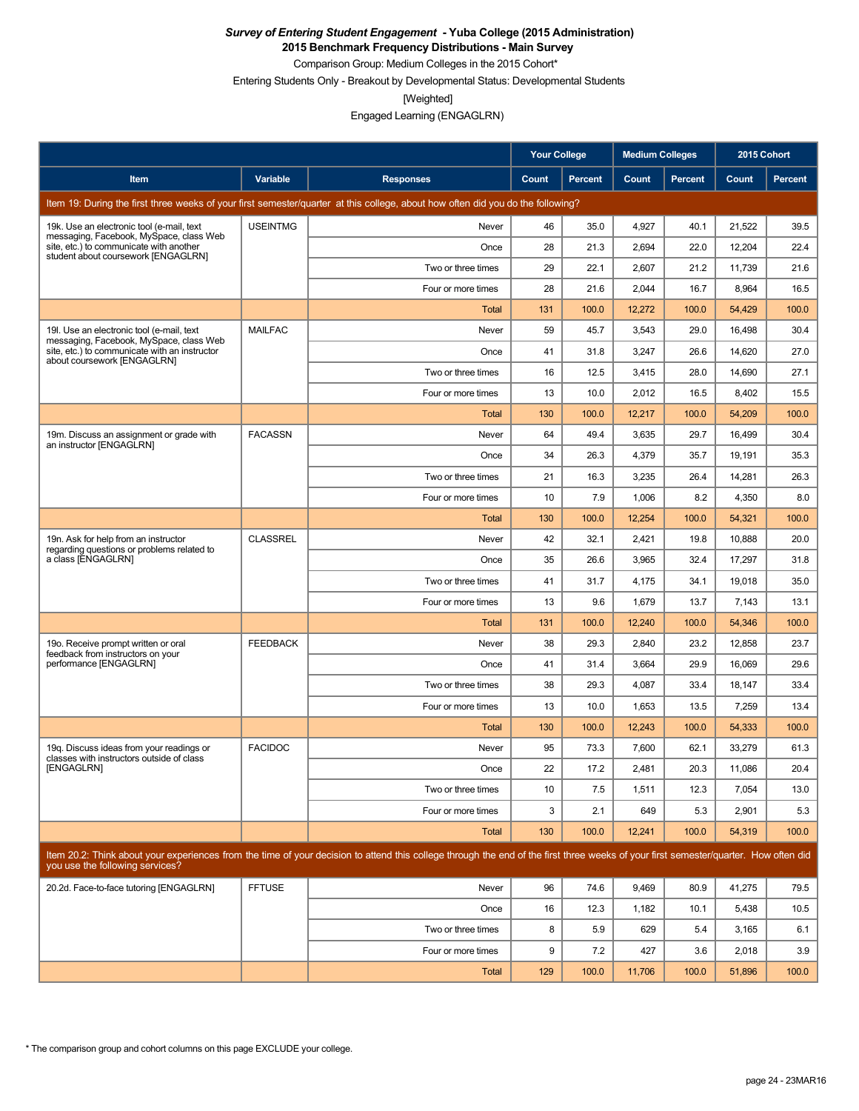**2015 Benchmark Frequency Distributions - Main Survey**

Comparison Group: Medium Colleges in the 2015 Cohort\* Entering Students Only - Breakout by Developmental Status: Developmental Students

[Weighted]

Engaged Learning (ENGAGLRN)

|                                                                                       |                 |                                                                                                                                                                                      | <b>Your College</b> |                | <b>Medium Colleges</b> |                | 2015 Cohort |         |
|---------------------------------------------------------------------------------------|-----------------|--------------------------------------------------------------------------------------------------------------------------------------------------------------------------------------|---------------------|----------------|------------------------|----------------|-------------|---------|
| Item                                                                                  | Variable        | <b>Responses</b>                                                                                                                                                                     | Count               | <b>Percent</b> | Count                  | <b>Percent</b> | Count       | Percent |
|                                                                                       |                 | Item 19: During the first three weeks of your first semester/quarter at this college, about how often did you do the following?                                                      |                     |                |                        |                |             |         |
| 19k. Use an electronic tool (e-mail, text<br>messaging, Facebook, MySpace, class Web  | <b>USEINTMG</b> | Never                                                                                                                                                                                | 46                  | 35.0           | 4.927                  | 40.1           | 21,522      | 39.5    |
| site, etc.) to communicate with another<br>student about coursework [ENGAGLRN]        |                 | Once                                                                                                                                                                                 | 28                  | 21.3           | 2,694                  | 22.0           | 12,204      | 22.4    |
|                                                                                       |                 | Two or three times                                                                                                                                                                   | 29                  | 22.1           | 2.607                  | 21.2           | 11,739      | 21.6    |
|                                                                                       |                 | Four or more times                                                                                                                                                                   | 28                  | 21.6           | 2,044                  | 16.7           | 8,964       | 16.5    |
|                                                                                       |                 | Total                                                                                                                                                                                | 131                 | 100.0          | 12,272                 | 100.0          | 54,429      | 100.0   |
| 19. Use an electronic tool (e-mail, text<br>messaging, Facebook, MySpace, class Web   | <b>MAILFAC</b>  | Never                                                                                                                                                                                | 59                  | 45.7           | 3,543                  | 29.0           | 16,498      | 30.4    |
| site, etc.) to communicate with an instructor<br>about coursework [ENGAGLRN]          |                 | Once                                                                                                                                                                                 | 41                  | 31.8           | 3,247                  | 26.6           | 14,620      | 27.0    |
|                                                                                       |                 | Two or three times                                                                                                                                                                   | 16                  | 12.5           | 3,415                  | 28.0           | 14,690      | 27.1    |
|                                                                                       |                 | Four or more times                                                                                                                                                                   | 13                  | 10.0           | 2,012                  | 16.5           | 8,402       | 15.5    |
|                                                                                       |                 | Total                                                                                                                                                                                | 130                 | 100.0          | 12,217                 | 100.0          | 54,209      | 100.0   |
| 19m. Discuss an assignment or grade with<br>an instructor [ENGAGLRN]                  | <b>FACASSN</b>  | Never                                                                                                                                                                                | 64                  | 49.4           | 3,635                  | 29.7           | 16,499      | 30.4    |
|                                                                                       |                 | Once                                                                                                                                                                                 | 34                  | 26.3           | 4,379                  | 35.7           | 19,191      | 35.3    |
|                                                                                       |                 | Two or three times                                                                                                                                                                   | 21                  | 16.3           | 3,235                  | 26.4           | 14,281      | 26.3    |
|                                                                                       |                 | Four or more times                                                                                                                                                                   | 10                  | 7.9            | 1,006                  | 8.2            | 4,350       | 8.0     |
|                                                                                       |                 | Total                                                                                                                                                                                | 130                 | 100.0          | 12,254                 | 100.0          | 54,321      | 100.0   |
| 19n. Ask for help from an instructor<br>regarding questions or problems related to    | <b>CLASSREL</b> | Never                                                                                                                                                                                | 42                  | 32.1           | 2,421                  | 19.8           | 10,888      | 20.0    |
| a class [ENGAGLRN]                                                                    |                 | Once                                                                                                                                                                                 | 35                  | 26.6           | 3,965                  | 32.4           | 17,297      | 31.8    |
|                                                                                       |                 | Two or three times                                                                                                                                                                   | 41                  | 31.7           | 4,175                  | 34.1           | 19,018      | 35.0    |
|                                                                                       |                 | Four or more times                                                                                                                                                                   | 13                  | 9.6            | 1,679                  | 13.7           | 7,143       | 13.1    |
|                                                                                       |                 | Total                                                                                                                                                                                | 131                 | 100.0          | 12,240                 | 100.0          | 54,346      | 100.0   |
| 19o. Receive prompt written or oral<br>feedback from instructors on your              | <b>FEEDBACK</b> | Never                                                                                                                                                                                | 38                  | 29.3           | 2,840                  | 23.2           | 12,858      | 23.7    |
| performance [ENGAGLRN]                                                                |                 | Once                                                                                                                                                                                 | 41                  | 31.4           | 3,664                  | 29.9           | 16,069      | 29.6    |
|                                                                                       |                 | Two or three times                                                                                                                                                                   | 38                  | 29.3           | 4,087                  | 33.4           | 18,147      | 33.4    |
|                                                                                       |                 | Four or more times                                                                                                                                                                   | 13                  | 10.0           | 1,653                  | 13.5           | 7,259       | 13.4    |
|                                                                                       |                 | Total                                                                                                                                                                                | 130                 | 100.0          | 12,243                 | 100.0          | 54,333      | 100.0   |
| 19g. Discuss ideas from your readings or<br>classes with instructors outside of class | <b>FACIDOC</b>  | Never                                                                                                                                                                                | 95                  | 73.3           | 7,600                  | 62.1           | 33,279      | 61.3    |
| [ENGAGLRN]                                                                            |                 | Once                                                                                                                                                                                 | 22                  | 17.2           | 2,481                  | 20.3           | 11,086      | 20.4    |
|                                                                                       |                 | Two or three times                                                                                                                                                                   | 10                  | 7.5            | 1,511                  | 12.3           | 7,054       | 13.0    |
|                                                                                       |                 | Four or more times                                                                                                                                                                   | 3                   | 2.1            | 649                    | 5.3            | 2,901       | 5.3     |
|                                                                                       |                 | Total                                                                                                                                                                                | 130                 | 100.0          | 12,241                 | 100.0          | 54,319      | 100.0   |
| you use the following services?                                                       |                 | Item 20.2: Think about your experiences from the time of your decision to attend this college through the end of the first three weeks of your first semester/quarter. How often did |                     |                |                        |                |             |         |
| 20.2d. Face-to-face tutoring [ENGAGLRN]                                               | <b>FFTUSE</b>   | Never                                                                                                                                                                                | 96                  | 74.6           | 9,469                  | 80.9           | 41,275      | 79.5    |
|                                                                                       |                 | Once                                                                                                                                                                                 | 16                  | 12.3           | 1,182                  | 10.1           | 5,438       | 10.5    |
|                                                                                       |                 | Two or three times                                                                                                                                                                   | 8                   | 5.9            | 629                    | 5.4            | 3,165       | 6.1     |
|                                                                                       |                 | Four or more times                                                                                                                                                                   | 9                   | 7.2            | 427                    | 3.6            | 2,018       | 3.9     |
|                                                                                       |                 | Total                                                                                                                                                                                | 129                 | 100.0          | 11,706                 | 100.0          | 51,896      | 100.0   |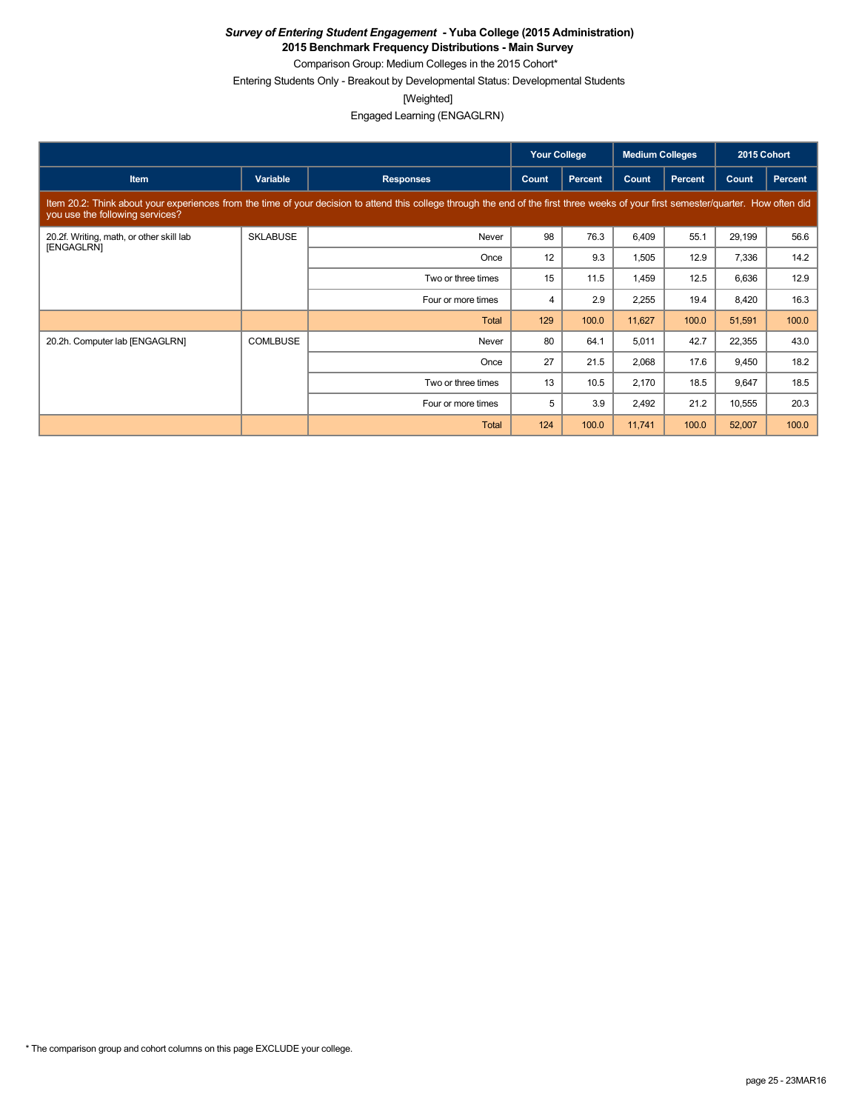**2015 Benchmark Frequency Distributions - Main Survey**

Comparison Group: Medium Colleges in the 2015 Cohort\* Entering Students Only - Breakout by Developmental Status: Developmental Students

[Weighted]

Engaged Learning (ENGAGLRN)

|                                                        |                 |                                                                                                                                                                                      | <b>Your College</b> |                | <b>Medium Colleges</b> |                | 2015 Cohort |         |
|--------------------------------------------------------|-----------------|--------------------------------------------------------------------------------------------------------------------------------------------------------------------------------------|---------------------|----------------|------------------------|----------------|-------------|---------|
| <b>Item</b>                                            | Variable        | <b>Responses</b>                                                                                                                                                                     | Count               | <b>Percent</b> | Count                  | <b>Percent</b> | Count       | Percent |
| you use the following services?                        |                 | Item 20.2: Think about your experiences from the time of your decision to attend this college through the end of the first three weeks of your first semester/quarter. How often did |                     |                |                        |                |             |         |
| 20.2f. Writing, math, or other skill lab<br>[ENGAGLRN] | <b>SKLABUSE</b> | Never                                                                                                                                                                                | 98                  | 76.3           | 6,409                  | 55.1           | 29,199      | 56.6    |
|                                                        |                 | Once                                                                                                                                                                                 | 12                  | 9.3            | 1,505                  | 12.9           | 7,336       | 14.2    |
|                                                        |                 | Two or three times                                                                                                                                                                   | 15                  | 11.5           | 1,459                  | 12.5           | 6,636       | 12.9    |
|                                                        |                 | Four or more times                                                                                                                                                                   | $\overline{4}$      | 2.9            | 2,255                  | 19.4           | 8,420       | 16.3    |
|                                                        |                 | <b>Total</b>                                                                                                                                                                         | 129                 | 100.0          | 11,627                 | 100.0          | 51,591      | 100.0   |
| 20.2h. Computer lab [ENGAGLRN]                         | <b>COMLBUSE</b> | Never                                                                                                                                                                                | 80                  | 64.1           | 5,011                  | 42.7           | 22,355      | 43.0    |
|                                                        |                 | Once                                                                                                                                                                                 | 27                  | 21.5           | 2,068                  | 17.6           | 9,450       | 18.2    |
|                                                        |                 | Two or three times                                                                                                                                                                   | 13                  | 10.5           | 2,170                  | 18.5           | 9,647       | 18.5    |
|                                                        |                 | Four or more times                                                                                                                                                                   | 5                   | 3.9            | 2,492                  | 21.2           | 10,555      | 20.3    |
|                                                        |                 | <b>Total</b>                                                                                                                                                                         | 124                 | 100.0          | 11,741                 | 100.0          | 52,007      | 100.0   |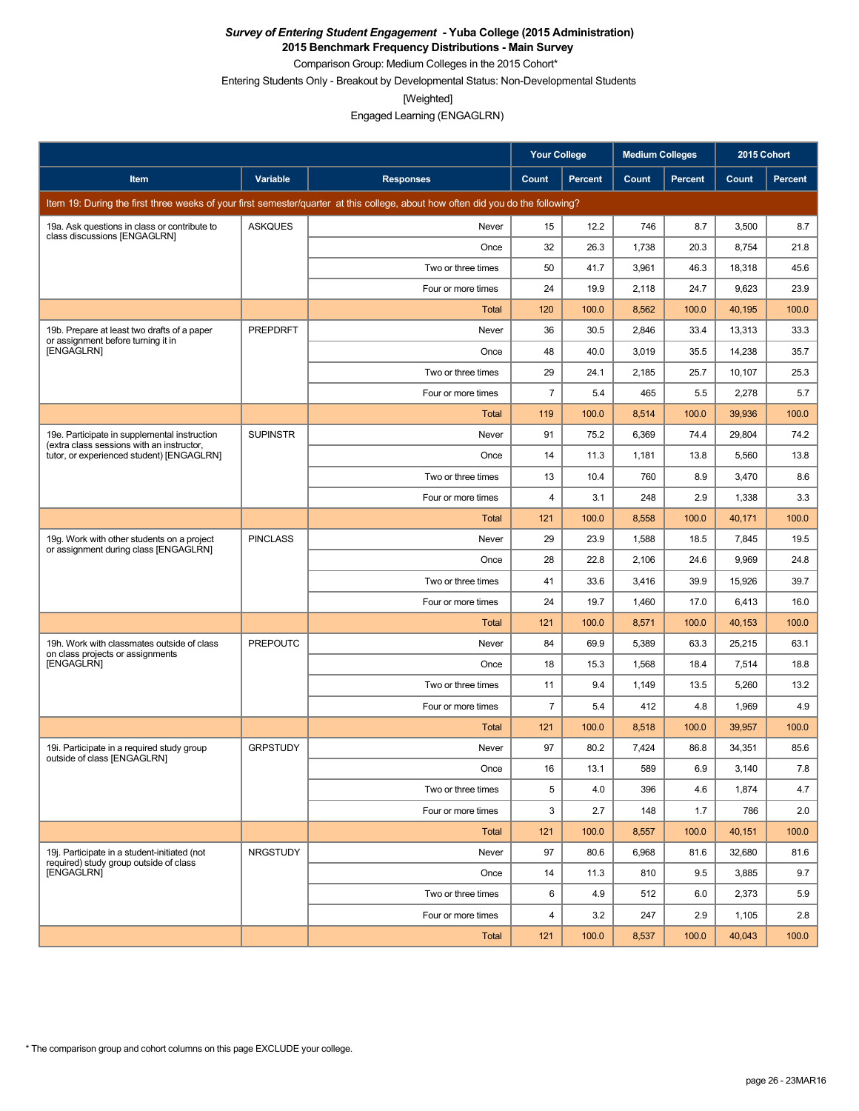**2015 Benchmark Frequency Distributions - Main Survey**

Comparison Group: Medium Colleges in the 2015 Cohort\* Entering Students Only - Breakout by Developmental Status: Non-Developmental Students

[Weighted]

Engaged Learning (ENGAGLRN)

|                                                                                           |                 |                                                                                                                                 | <b>Your College</b> |                | <b>Medium Colleges</b> |         | 2015 Cohort |         |
|-------------------------------------------------------------------------------------------|-----------------|---------------------------------------------------------------------------------------------------------------------------------|---------------------|----------------|------------------------|---------|-------------|---------|
| Item                                                                                      | Variable        | <b>Responses</b>                                                                                                                | Count               | <b>Percent</b> | Count                  | Percent | Count       | Percent |
|                                                                                           |                 | Item 19: During the first three weeks of your first semester/quarter at this college, about how often did you do the following? |                     |                |                        |         |             |         |
| 19a. Ask questions in class or contribute to                                              | <b>ASKQUES</b>  | Never                                                                                                                           | 15                  | 12.2           | 746                    | 8.7     | 3,500       | 8.7     |
| class discussions [ENGAGLRN]                                                              |                 | Once                                                                                                                            | 32                  | 26.3           | 1,738                  | 20.3    | 8,754       | 21.8    |
|                                                                                           |                 | Two or three times                                                                                                              | 50                  | 41.7           | 3,961                  | 46.3    | 18,318      | 45.6    |
|                                                                                           |                 | Four or more times                                                                                                              | 24                  | 19.9           | 2,118                  | 24.7    | 9,623       | 23.9    |
|                                                                                           |                 | Total                                                                                                                           | 120                 | 100.0          | 8,562                  | 100.0   | 40,195      | 100.0   |
| 19b. Prepare at least two drafts of a paper<br>or assignment before turning it in         | PREPDRFT        | Never                                                                                                                           | 36                  | 30.5           | 2,846                  | 33.4    | 13,313      | 33.3    |
| [ENGAGLRN]                                                                                |                 | Once                                                                                                                            | 48                  | 40.0           | 3,019                  | 35.5    | 14,238      | 35.7    |
|                                                                                           |                 | Two or three times                                                                                                              | 29                  | 24.1           | 2,185                  | 25.7    | 10,107      | 25.3    |
|                                                                                           |                 | Four or more times                                                                                                              | $\overline{7}$      | 5.4            | 465                    | 5.5     | 2,278       | 5.7     |
|                                                                                           |                 | Total                                                                                                                           | 119                 | 100.0          | 8,514                  | 100.0   | 39,936      | 100.0   |
| 19e. Participate in supplemental instruction<br>(extra class sessions with an instructor, | <b>SUPINSTR</b> | Never                                                                                                                           | 91                  | 75.2           | 6,369                  | 74.4    | 29,804      | 74.2    |
| tutor, or experienced student) [ENGAGLRN]                                                 |                 | Once                                                                                                                            | 14                  | 11.3           | 1,181                  | 13.8    | 5,560       | 13.8    |
|                                                                                           |                 | Two or three times                                                                                                              | 13                  | 10.4           | 760                    | 8.9     | 3,470       | 8.6     |
|                                                                                           |                 | Four or more times                                                                                                              | 4                   | 3.1            | 248                    | 2.9     | 1,338       | 3.3     |
|                                                                                           |                 | <b>Total</b>                                                                                                                    | 121                 | 100.0          | 8,558                  | 100.0   | 40,171      | 100.0   |
| 19g. Work with other students on a project<br>or assignment during class [ENGAGLRN]       | <b>PINCLASS</b> | Never                                                                                                                           | 29                  | 23.9           | 1,588                  | 18.5    | 7,845       | 19.5    |
|                                                                                           |                 | Once                                                                                                                            | 28                  | 22.8           | 2,106                  | 24.6    | 9,969       | 24.8    |
|                                                                                           |                 | Two or three times                                                                                                              | 41                  | 33.6           | 3,416                  | 39.9    | 15,926      | 39.7    |
|                                                                                           |                 | Four or more times                                                                                                              | 24                  | 19.7           | 1,460                  | 17.0    | 6,413       | 16.0    |
|                                                                                           |                 | Total                                                                                                                           | 121                 | 100.0          | 8,571                  | 100.0   | 40,153      | 100.0   |
| 19h. Work with classmates outside of class<br>on class projects or assignments            | <b>PREPOUTC</b> | Never                                                                                                                           | 84                  | 69.9           | 5,389                  | 63.3    | 25,215      | 63.1    |
| [ENGAGLRN]                                                                                |                 | Once                                                                                                                            | 18                  | 15.3           | 1,568                  | 18.4    | 7,514       | 18.8    |
|                                                                                           |                 | Two or three times                                                                                                              | 11                  | 9.4            | 1,149                  | 13.5    | 5,260       | 13.2    |
|                                                                                           |                 | Four or more times                                                                                                              | $\overline{7}$      | 5.4            | 412                    | 4.8     | 1,969       | 4.9     |
|                                                                                           |                 | <b>Total</b>                                                                                                                    | 121                 | 100.0          | 8,518                  | 100.0   | 39,957      | 100.0   |
| 19i. Participate in a required study group<br>outside of class [ENGAGLRN]                 | <b>GRPSTUDY</b> | Never                                                                                                                           | 97                  | 80.2           | 7,424                  | 86.8    | 34,351      | 85.6    |
|                                                                                           |                 | Once                                                                                                                            | 16                  | 13.1           | 589                    | 6.9     | 3,140       | 7.8     |
|                                                                                           |                 | Two or three times                                                                                                              | 5                   | 4.0            | 396                    | 4.6     | 1,874       | 4.7     |
|                                                                                           |                 | Four or more times                                                                                                              | 3                   | 2.7            | 148                    | 1.7     | 786         | 2.0     |
|                                                                                           |                 | Total                                                                                                                           | 121                 | 100.0          | 8,557                  | 100.0   | 40,151      | 100.0   |
| 19j. Participate in a student-initiated (not<br>required) study group outside of class    | <b>NRGSTUDY</b> | Never                                                                                                                           | 97                  | 80.6           | 6,968                  | 81.6    | 32,680      | 81.6    |
| [ENGAGLRN]                                                                                |                 | Once                                                                                                                            | 14                  | 11.3           | 810                    | 9.5     | 3,885       | 9.7     |
|                                                                                           |                 | Two or three times                                                                                                              | 6                   | 4.9            | 512                    | 6.0     | 2,373       | 5.9     |
|                                                                                           |                 | Four or more times                                                                                                              | 4                   | 3.2            | 247                    | 2.9     | 1,105       | 2.8     |
|                                                                                           |                 | Total                                                                                                                           | 121                 | 100.0          | 8,537                  | 100.0   | 40,043      | 100.0   |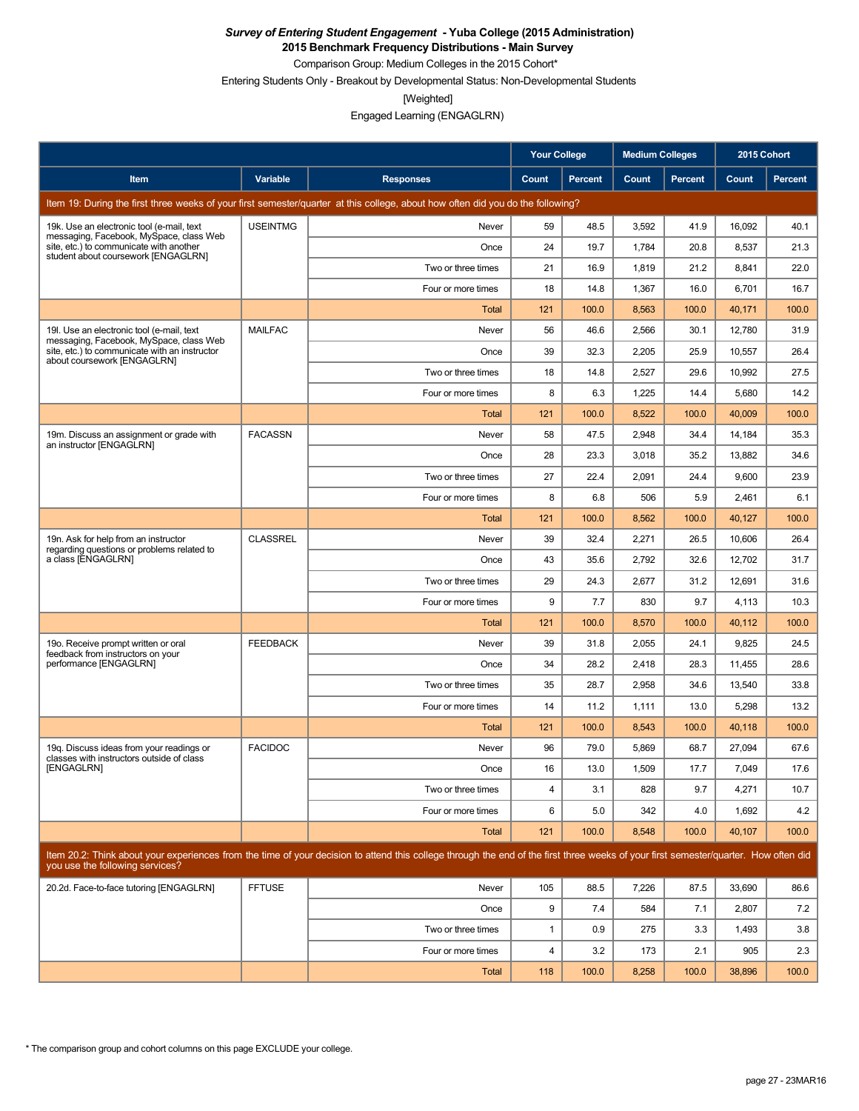**2015 Benchmark Frequency Distributions - Main Survey**

Comparison Group: Medium Colleges in the 2015 Cohort\*

Entering Students Only - Breakout by Developmental Status: Non-Developmental Students

[Weighted]

Engaged Learning (ENGAGLRN)

|                                                                                                                           |                 |                                                                                                                                                                                      | <b>Your College</b> |         | <b>Medium Colleges</b> |         | 2015 Cohort |                |
|---------------------------------------------------------------------------------------------------------------------------|-----------------|--------------------------------------------------------------------------------------------------------------------------------------------------------------------------------------|---------------------|---------|------------------------|---------|-------------|----------------|
| Item                                                                                                                      | Variable        | <b>Responses</b>                                                                                                                                                                     | Count               | Percent | Count                  | Percent | Count       | <b>Percent</b> |
|                                                                                                                           |                 | Item 19: During the first three weeks of your first semester/quarter at this college, about how often did you do the following?                                                      |                     |         |                        |         |             |                |
| 19k. Use an electronic tool (e-mail, text                                                                                 | <b>USEINTMG</b> | Never                                                                                                                                                                                | 59                  | 48.5    | 3,592                  | 41.9    | 16,092      | 40.1           |
| messaging, Facebook, MySpace, class Web<br>site, etc.) to communicate with another<br>student about coursework [ENGAGLRN] |                 | Once                                                                                                                                                                                 | 24                  | 19.7    | 1,784                  | 20.8    | 8,537       | 21.3           |
|                                                                                                                           |                 | Two or three times                                                                                                                                                                   | 21                  | 16.9    | 1,819                  | 21.2    | 8,841       | 22.0           |
|                                                                                                                           |                 | Four or more times                                                                                                                                                                   | 18                  | 14.8    | 1,367                  | 16.0    | 6,701       | 16.7           |
|                                                                                                                           |                 | Total                                                                                                                                                                                | 121                 | 100.0   | 8,563                  | 100.0   | 40,171      | 100.0          |
| 19. Use an electronic tool (e-mail, text<br>messaging, Facebook, MySpace, class Web                                       | <b>MAILFAC</b>  | Never                                                                                                                                                                                | 56                  | 46.6    | 2,566                  | 30.1    | 12,780      | 31.9           |
| site, etc.) to communicate with an instructor<br>about coursework [ENGAGLRN]                                              |                 | Once                                                                                                                                                                                 | 39                  | 32.3    | 2,205                  | 25.9    | 10,557      | 26.4           |
|                                                                                                                           |                 | Two or three times                                                                                                                                                                   | 18                  | 14.8    | 2,527                  | 29.6    | 10,992      | 27.5           |
|                                                                                                                           |                 | Four or more times                                                                                                                                                                   | 8                   | 6.3     | 1,225                  | 14.4    | 5,680       | 14.2           |
|                                                                                                                           |                 | Total                                                                                                                                                                                | 121                 | 100.0   | 8,522                  | 100.0   | 40,009      | 100.0          |
| 19m. Discuss an assignment or grade with<br>an instructor [ENGAGLRN]                                                      | <b>FACASSN</b>  | Never                                                                                                                                                                                | 58                  | 47.5    | 2,948                  | 34.4    | 14,184      | 35.3           |
|                                                                                                                           |                 | Once                                                                                                                                                                                 | 28                  | 23.3    | 3,018                  | 35.2    | 13,882      | 34.6           |
|                                                                                                                           |                 | Two or three times                                                                                                                                                                   | 27                  | 22.4    | 2,091                  | 24.4    | 9,600       | 23.9           |
|                                                                                                                           |                 | Four or more times                                                                                                                                                                   | 8                   | 6.8     | 506                    | 5.9     | 2,461       | 6.1            |
|                                                                                                                           |                 | Total                                                                                                                                                                                | 121                 | 100.0   | 8,562                  | 100.0   | 40,127      | 100.0          |
| 19n. Ask for help from an instructor<br>regarding questions or problems related to                                        | <b>CLASSREL</b> | Never                                                                                                                                                                                | 39                  | 32.4    | 2,271                  | 26.5    | 10.606      | 26.4           |
| a class [ENGAGLRN]                                                                                                        |                 | Once                                                                                                                                                                                 | 43                  | 35.6    | 2,792                  | 32.6    | 12,702      | 31.7           |
|                                                                                                                           |                 | Two or three times                                                                                                                                                                   | 29                  | 24.3    | 2,677                  | 31.2    | 12,691      | 31.6           |
|                                                                                                                           |                 | Four or more times                                                                                                                                                                   | 9                   | 7.7     | 830                    | 9.7     | 4,113       | 10.3           |
|                                                                                                                           |                 | Total                                                                                                                                                                                | 121                 | 100.0   | 8,570                  | 100.0   | 40,112      | 100.0          |
| 19o. Receive prompt written or oral<br>feedback from instructors on your                                                  | <b>FEEDBACK</b> | Never                                                                                                                                                                                | 39                  | 31.8    | 2,055                  | 24.1    | 9,825       | 24.5           |
| performance [ENGAGLRN]                                                                                                    |                 | Once                                                                                                                                                                                 | 34                  | 28.2    | 2,418                  | 28.3    | 11,455      | 28.6           |
|                                                                                                                           |                 | Two or three times                                                                                                                                                                   | 35                  | 28.7    | 2,958                  | 34.6    | 13,540      | 33.8           |
|                                                                                                                           |                 | Four or more times                                                                                                                                                                   | 14                  | 11.2    | 1,111                  | 13.0    | 5,298       | 13.2           |
|                                                                                                                           |                 | Total                                                                                                                                                                                | 121                 | 100.0   | 8,543                  | 100.0   | 40,118      | 100.0          |
| 19g. Discuss ideas from your readings or<br>classes with instructors outside of class                                     | <b>FACIDOC</b>  | Never                                                                                                                                                                                | 96                  | 79.0    | 5,869                  | 68.7    | 27,094      | 67.6           |
| [ENGAGLRN]                                                                                                                |                 | Once                                                                                                                                                                                 | 16                  | 13.0    | 1,509                  | 17.7    | 7,049       | 17.6           |
|                                                                                                                           |                 | Two or three times                                                                                                                                                                   | $\overline{4}$      | 3.1     | 828                    | 9.7     | 4,271       | 10.7           |
|                                                                                                                           |                 | Four or more times                                                                                                                                                                   | 6                   | 5.0     | 342                    | 4.0     | 1,692       | 4.2            |
|                                                                                                                           |                 | <b>Total</b>                                                                                                                                                                         | 121                 | 100.0   | 8,548                  | 100.0   | 40,107      | 100.0          |
| you use the following services?                                                                                           |                 | Item 20.2: Think about your experiences from the time of your decision to attend this college through the end of the first three weeks of your first semester/quarter. How often did |                     |         |                        |         |             |                |
| 20.2d. Face-to-face tutoring [ENGAGLRN]                                                                                   | <b>FFTUSE</b>   | Never                                                                                                                                                                                | 105                 | 88.5    | 7,226                  | 87.5    | 33,690      | 86.6           |
|                                                                                                                           |                 | Once                                                                                                                                                                                 | 9                   | 7.4     | 584                    | 7.1     | 2,807       | 7.2            |
|                                                                                                                           |                 | Two or three times                                                                                                                                                                   | 1                   | 0.9     | 275                    | 3.3     | 1,493       | 3.8            |
|                                                                                                                           |                 | Four or more times                                                                                                                                                                   | 4                   | 3.2     | 173                    | 2.1     | 905         | 2.3            |
|                                                                                                                           |                 | <b>Total</b>                                                                                                                                                                         | 118                 | 100.0   | 8,258                  | 100.0   | 38,896      | 100.0          |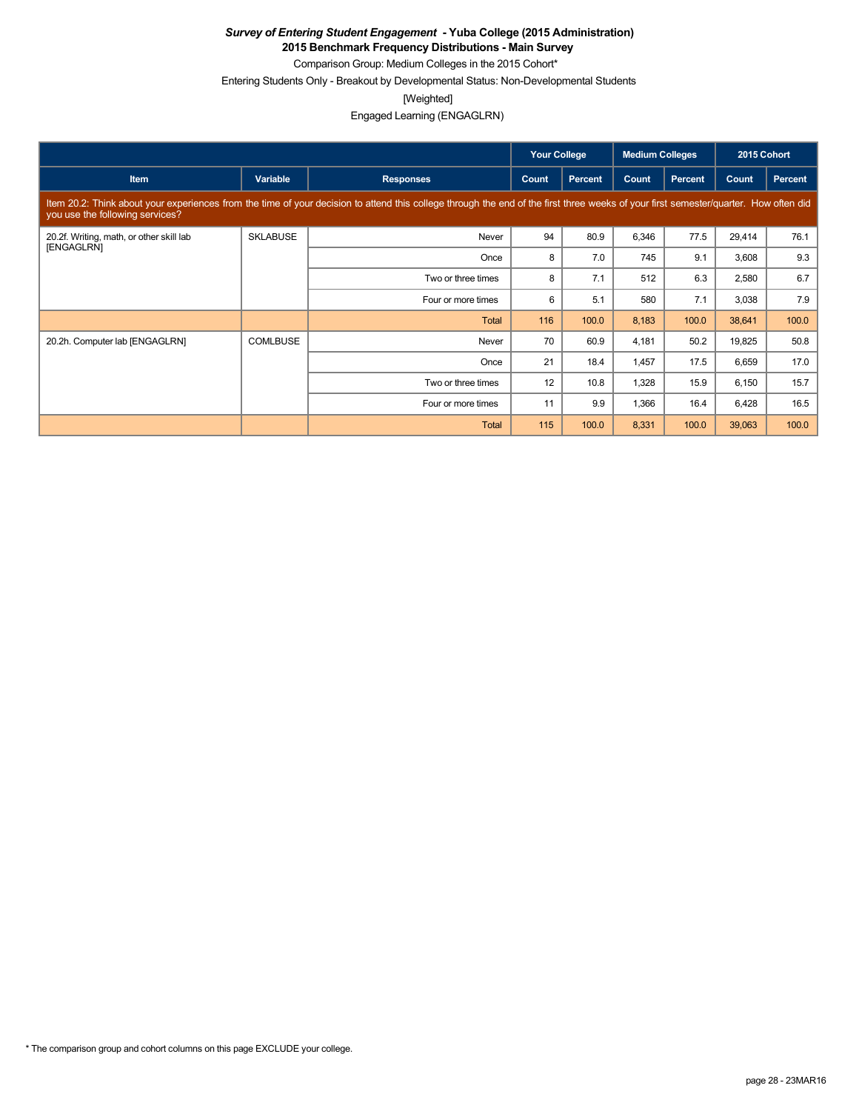**2015 Benchmark Frequency Distributions - Main Survey**

Comparison Group: Medium Colleges in the 2015 Cohort\* Entering Students Only - Breakout by Developmental Status: Non-Developmental Students

[Weighted]

Engaged Learning (ENGAGLRN)

|                                                        |                 |                                                                                                                                                                                      | <b>Your College</b> |                | <b>Medium Colleges</b> |                | 2015 Cohort |         |
|--------------------------------------------------------|-----------------|--------------------------------------------------------------------------------------------------------------------------------------------------------------------------------------|---------------------|----------------|------------------------|----------------|-------------|---------|
| <b>Item</b>                                            | Variable        | <b>Responses</b>                                                                                                                                                                     | Count               | <b>Percent</b> | Count                  | <b>Percent</b> | Count       | Percent |
| you use the following services?                        |                 | Item 20.2: Think about your experiences from the time of your decision to attend this college through the end of the first three weeks of your first semester/quarter. How often did |                     |                |                        |                |             |         |
| 20.2f. Writing, math, or other skill lab<br>[ENGAGLRN] | <b>SKLABUSE</b> | Never                                                                                                                                                                                | 94                  | 80.9           | 6,346                  | 77.5           | 29,414      | 76.1    |
|                                                        |                 | Once                                                                                                                                                                                 | 8                   | 7.0            | 745                    | 9.1            | 3,608       | 9.3     |
|                                                        |                 | Two or three times                                                                                                                                                                   | 8                   | 7.1            | 512                    | 6.3            | 2,580       | 6.7     |
|                                                        |                 | Four or more times                                                                                                                                                                   | 6                   | 5.1            | 580                    | 7.1            | 3,038       | 7.9     |
|                                                        |                 | <b>Total</b>                                                                                                                                                                         | 116                 | 100.0          | 8,183                  | 100.0          | 38,641      | 100.0   |
| 20.2h. Computer lab [ENGAGLRN]                         | <b>COMLBUSE</b> | Never                                                                                                                                                                                | 70                  | 60.9           | 4,181                  | 50.2           | 19,825      | 50.8    |
|                                                        |                 | Once                                                                                                                                                                                 | 21                  | 18.4           | 1,457                  | 17.5           | 6,659       | 17.0    |
|                                                        |                 | Two or three times                                                                                                                                                                   | 12                  | 10.8           | 1,328                  | 15.9           | 6,150       | 15.7    |
|                                                        |                 | Four or more times                                                                                                                                                                   | 11                  | 9.9            | 1,366                  | 16.4           | 6,428       | 16.5    |
|                                                        |                 | <b>Total</b>                                                                                                                                                                         | 115                 | 100.0          | 8,331                  | 100.0          | 39,063      | 100.0   |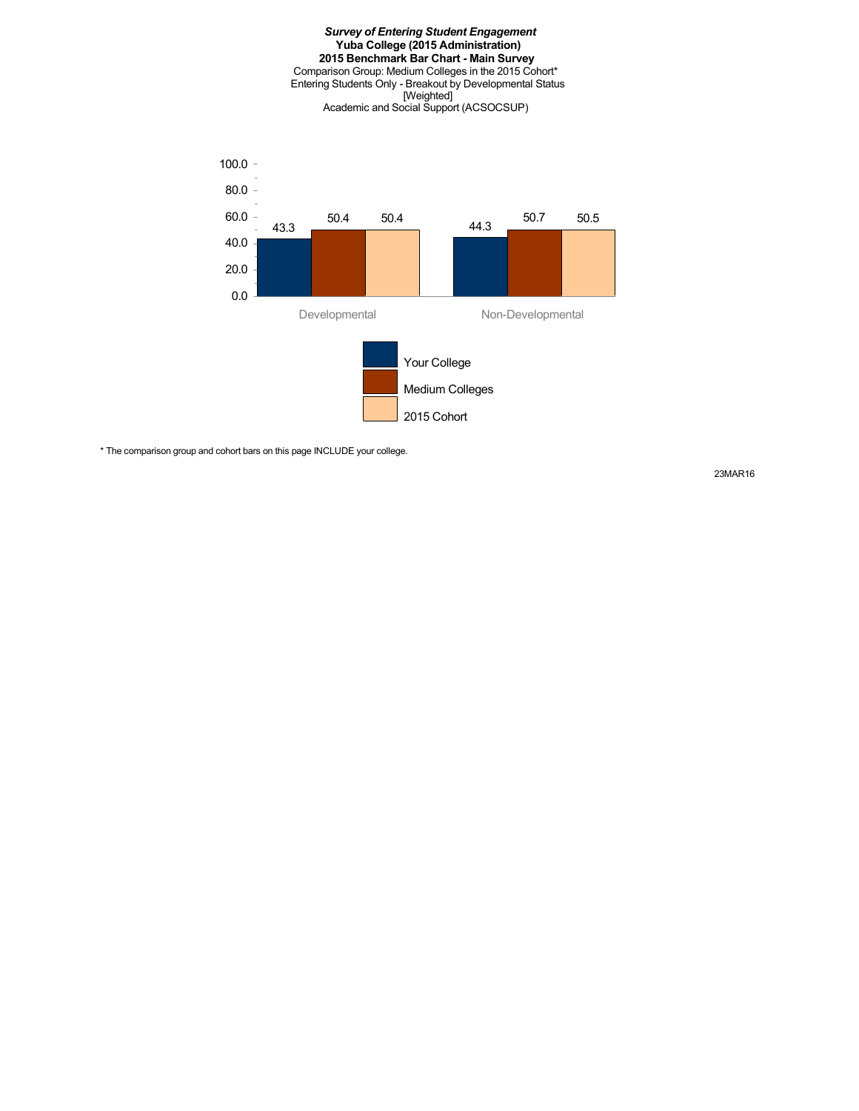# *Survey of Entering Student Engagement* **Yuba College (2015 Administration) 2015 Benchmark Bar Chart - Main Survey** Comparison Group: Medium Colleges in the 2015 Cohort\* Entering Students Only - Breakout by Developmental Status [Weighted] Academic and Social Support (ACSOCSUP) 43.3 50.4 50.4 44.3 50.7 50.5 20.0 40.0 60.0 80.0 100.0  $-$

Your College

Developmental Non-Developmental

2015 Cohort

Medium Colleges

\* The comparison group and cohort bars on this page INCLUDE your college.

0.0

23MAR16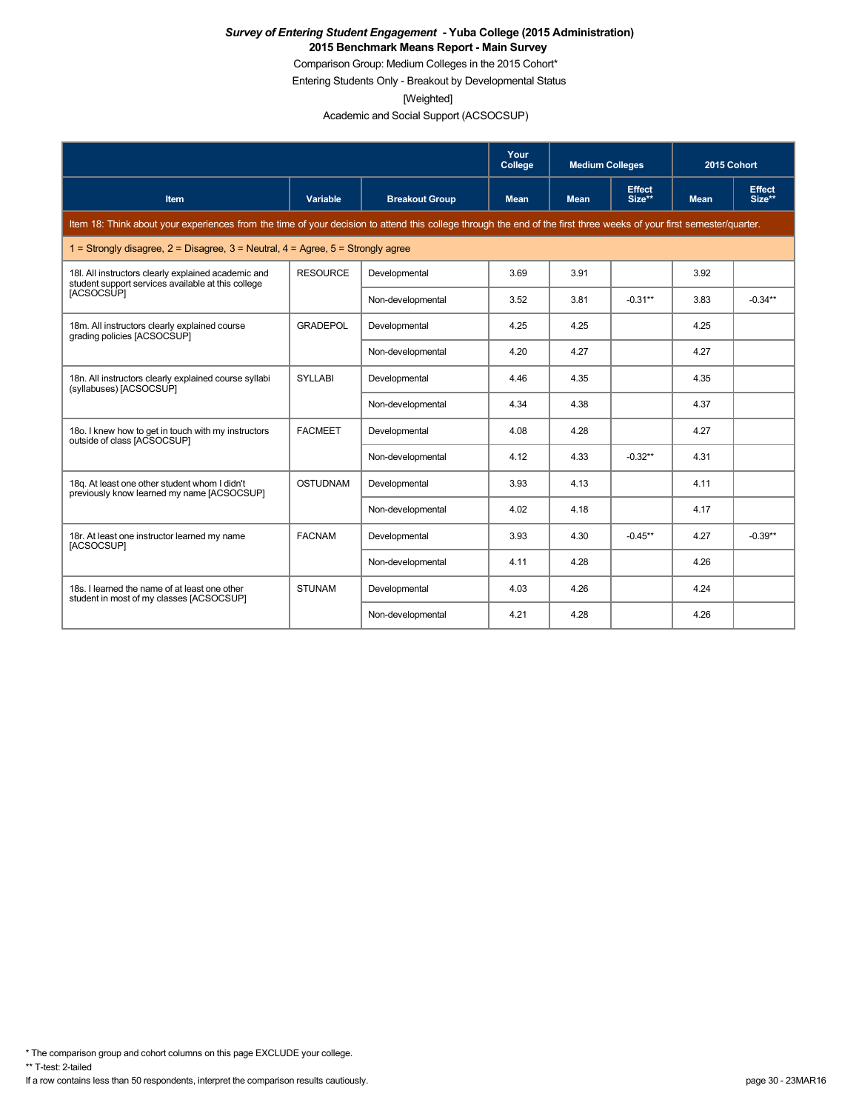Comparison Group: Medium Colleges in the 2015 Cohort\*

Entering Students Only - Breakout by Developmental Status

[Weighted]

Academic and Social Support (ACSOCSUP)

|                                                                                                                                                                      |                 |                       | Your<br>College | <b>Medium Colleges</b> |                         | 2015 Cohort |                         |
|----------------------------------------------------------------------------------------------------------------------------------------------------------------------|-----------------|-----------------------|-----------------|------------------------|-------------------------|-------------|-------------------------|
| <b>Item</b>                                                                                                                                                          | <b>Variable</b> | <b>Breakout Group</b> | <b>Mean</b>     | <b>Mean</b>            | <b>Effect</b><br>Size** | <b>Mean</b> | <b>Effect</b><br>Size** |
| Item 18: Think about your experiences from the time of your decision to attend this college through the end of the first three weeks of your first semester/quarter. |                 |                       |                 |                        |                         |             |                         |
| 1 = Strongly disagree, $2$ = Disagree, $3$ = Neutral, $4$ = Agree, $5$ = Strongly agree                                                                              |                 |                       |                 |                        |                         |             |                         |
| 18I. All instructors clearly explained academic and<br>student support services available at this college                                                            | <b>RESOURCE</b> | Developmental         | 3.69            | 3.91                   |                         | 3.92        |                         |
| [ACSOCSUP]                                                                                                                                                           |                 | Non-developmental     | 3.52            | 3.81                   | $-0.31**$               | 3.83        | $-0.34**$               |
| 18m. All instructors clearly explained course<br>grading policies [ACSOCSUP]                                                                                         | <b>GRADEPOL</b> | Developmental         | 4.25            | 4.25                   |                         | 4.25        |                         |
|                                                                                                                                                                      |                 | Non-developmental     | 4.20            | 4.27                   |                         | 4.27        |                         |
| 18n. All instructors clearly explained course syllabi<br>(syllabuses) [ACSOCSUP]                                                                                     | <b>SYLLABI</b>  | Developmental         | 4.46            | 4.35                   |                         | 4.35        |                         |
|                                                                                                                                                                      |                 | Non-developmental     | 4.34            | 4.38                   |                         | 4.37        |                         |
| 18o. I knew how to get in touch with my instructors<br>outside of class [ACSOCSUP]                                                                                   | <b>FACMEET</b>  | Developmental         | 4.08            | 4.28                   |                         | 4.27        |                         |
|                                                                                                                                                                      |                 | Non-developmental     | 4.12            | 4.33                   | $-0.32**$               | 4.31        |                         |
| 18g. At least one other student whom I didn't<br>previously know learned my name [ACSOCSUP]                                                                          | <b>OSTUDNAM</b> | Developmental         | 3.93            | 4.13                   |                         | 4.11        |                         |
|                                                                                                                                                                      |                 | Non-developmental     | 4.02            | 4.18                   |                         | 4.17        |                         |
| 18r. At least one instructor learned my name<br>[ACSOCSUP]                                                                                                           | <b>FACNAM</b>   | Developmental         | 3.93            | 4.30                   | $-0.45**$               | 4.27        | $-0.39**$               |
|                                                                                                                                                                      |                 | Non-developmental     | 4.11            | 4.28                   |                         | 4.26        |                         |
| 18s. I learned the name of at least one other<br>student in most of my classes [ACSOCSUP]                                                                            | <b>STUNAM</b>   | Developmental         | 4.03            | 4.26                   |                         | 4.24        |                         |
|                                                                                                                                                                      |                 | Non-developmental     | 4.21            | 4.28                   |                         | 4.26        |                         |

\* The comparison group and cohort columns on this page EXCLUDE your college.

\*\* T-test: 2-tailed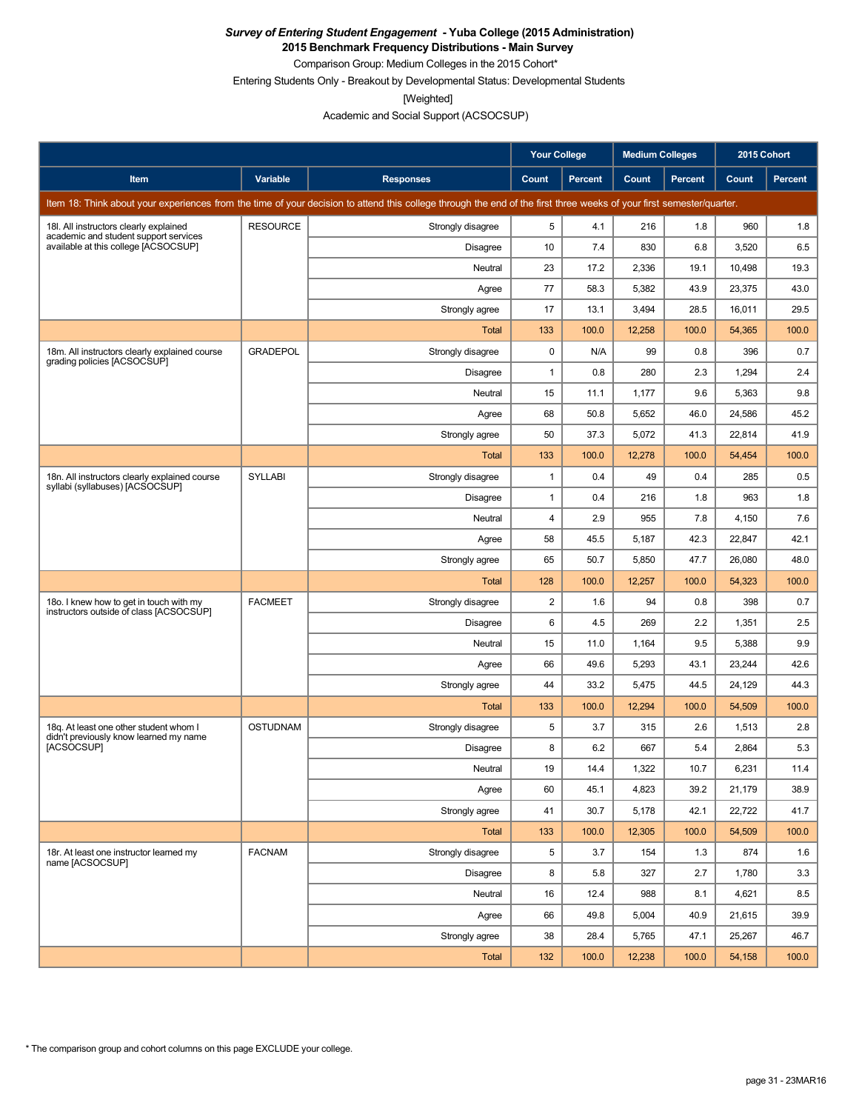**2015 Benchmark Frequency Distributions - Main Survey**

Comparison Group: Medium Colleges in the 2015 Cohort\* Entering Students Only - Breakout by Developmental Status: Developmental Students

[Weighted]

Academic and Social Support (ACSOCSUP)

|                                                                                                                                                                      |                 |                   | <b>Your College</b> |                | <b>Medium Colleges</b> |         | 2015 Cohort |         |
|----------------------------------------------------------------------------------------------------------------------------------------------------------------------|-----------------|-------------------|---------------------|----------------|------------------------|---------|-------------|---------|
| Item                                                                                                                                                                 | Variable        | <b>Responses</b>  | Count               | <b>Percent</b> | Count                  | Percent | Count       | Percent |
| Item 18: Think about your experiences from the time of your decision to attend this college through the end of the first three weeks of your first semester/quarter. |                 |                   |                     |                |                        |         |             |         |
| 18I. All instructors clearly explained<br>academic and student support services                                                                                      | <b>RESOURCE</b> | Strongly disagree | 5                   | 4.1            | 216                    | 1.8     | 960         | 1.8     |
| available at this college [ACSOCSUP]                                                                                                                                 |                 | Disagree          | 10                  | 7.4            | 830                    | 6.8     | 3,520       | 6.5     |
|                                                                                                                                                                      |                 | Neutral           | 23                  | 17.2           | 2,336                  | 19.1    | 10,498      | 19.3    |
|                                                                                                                                                                      |                 | Agree             | 77                  | 58.3           | 5,382                  | 43.9    | 23,375      | 43.0    |
|                                                                                                                                                                      |                 | Strongly agree    | 17                  | 13.1           | 3,494                  | 28.5    | 16,011      | 29.5    |
|                                                                                                                                                                      |                 | Total             | 133                 | 100.0          | 12,258                 | 100.0   | 54,365      | 100.0   |
| 18m. All instructors clearly explained course<br>grading policies [ACSOCSUP]                                                                                         | <b>GRADEPOL</b> | Strongly disagree | $\mathbf 0$         | N/A            | 99                     | 0.8     | 396         | 0.7     |
|                                                                                                                                                                      |                 | Disagree          | $\mathbf{1}$        | 0.8            | 280                    | 2.3     | 1,294       | 2.4     |
|                                                                                                                                                                      |                 | Neutral           | 15                  | 11.1           | 1,177                  | 9.6     | 5,363       | 9.8     |
|                                                                                                                                                                      |                 | Agree             | 68                  | 50.8           | 5,652                  | 46.0    | 24,586      | 45.2    |
|                                                                                                                                                                      |                 | Strongly agree    | 50                  | 37.3           | 5,072                  | 41.3    | 22,814      | 41.9    |
|                                                                                                                                                                      |                 | Total             | 133                 | 100.0          | 12,278                 | 100.0   | 54,454      | 100.0   |
| 18n. All instructors clearly explained course<br>syllabi (syllabuses) [ACSOCSUP]                                                                                     | <b>SYLLABI</b>  | Strongly disagree | $\mathbf{1}$        | 0.4            | 49                     | 0.4     | 285         | 0.5     |
|                                                                                                                                                                      |                 | Disagree          | $\mathbf{1}$        | 0.4            | 216                    | 1.8     | 963         | 1.8     |
|                                                                                                                                                                      |                 | Neutral           | $\overline{4}$      | 2.9            | 955                    | 7.8     | 4,150       | 7.6     |
|                                                                                                                                                                      |                 | Agree             | 58                  | 45.5           | 5,187                  | 42.3    | 22,847      | 42.1    |
|                                                                                                                                                                      |                 | Strongly agree    | 65                  | 50.7           | 5,850                  | 47.7    | 26,080      | 48.0    |
|                                                                                                                                                                      |                 | Total             | 128                 | 100.0          | 12,257                 | 100.0   | 54,323      | 100.0   |
| 18o. I knew how to get in touch with my<br>instructors outside of class [ACSOCSUP]                                                                                   | <b>FACMEET</b>  | Strongly disagree | 2                   | 1.6            | 94                     | 0.8     | 398         | 0.7     |
|                                                                                                                                                                      |                 | Disagree          | 6                   | 4.5            | 269                    | 2.2     | 1,351       | 2.5     |
|                                                                                                                                                                      |                 | Neutral           | 15                  | 11.0           | 1,164                  | 9.5     | 5,388       | 9.9     |
|                                                                                                                                                                      |                 | Agree             | 66                  | 49.6           | 5,293                  | 43.1    | 23,244      | 42.6    |
|                                                                                                                                                                      |                 | Strongly agree    | 44                  | 33.2           | 5,475                  | 44.5    | 24,129      | 44.3    |
|                                                                                                                                                                      |                 | Total             | 133                 | 100.0          | 12,294                 | 100.0   | 54,509      | 100.0   |
| 18q. At least one other student whom I<br>didn't previously know learned my name                                                                                     | <b>OSTUDNAM</b> | Strongly disagree | 5                   | 3.7            | 315                    | 2.6     | 1,513       | 2.8     |
| <b>IACSOCSUPI</b>                                                                                                                                                    |                 | Disagree          | 8                   | 6.2            | 667                    | 5.4     | 2,864       | 5.3     |
|                                                                                                                                                                      |                 | Neutral           | 19                  | 14.4           | 1,322                  | 10.7    | 6,231       | 11.4    |
|                                                                                                                                                                      |                 | Agree             | 60                  | 45.1           | 4,823                  | 39.2    | 21,179      | 38.9    |
|                                                                                                                                                                      |                 | Strongly agree    | 41                  | 30.7           | 5,178                  | 42.1    | 22,722      | 41.7    |
|                                                                                                                                                                      |                 | Total             | 133                 | 100.0          | 12,305                 | 100.0   | 54,509      | 100.0   |
| 18r. At least one instructor learned my<br>name [ACSOCSUP]                                                                                                           | <b>FACNAM</b>   | Strongly disagree | 5                   | 3.7            | 154                    | 1.3     | 874         | 1.6     |
|                                                                                                                                                                      |                 | Disagree          | 8                   | 5.8            | 327                    | 2.7     | 1,780       | 3.3     |
|                                                                                                                                                                      |                 | Neutral           | 16                  | 12.4           | 988                    | 8.1     | 4,621       | 8.5     |
|                                                                                                                                                                      |                 | Agree             | 66                  | 49.8           | 5,004                  | 40.9    | 21,615      | 39.9    |
|                                                                                                                                                                      |                 | Strongly agree    | 38                  | 28.4           | 5,765                  | 47.1    | 25,267      | 46.7    |
|                                                                                                                                                                      |                 | <b>Total</b>      | 132                 | 100.0          | 12,238                 | 100.0   | 54,158      | 100.0   |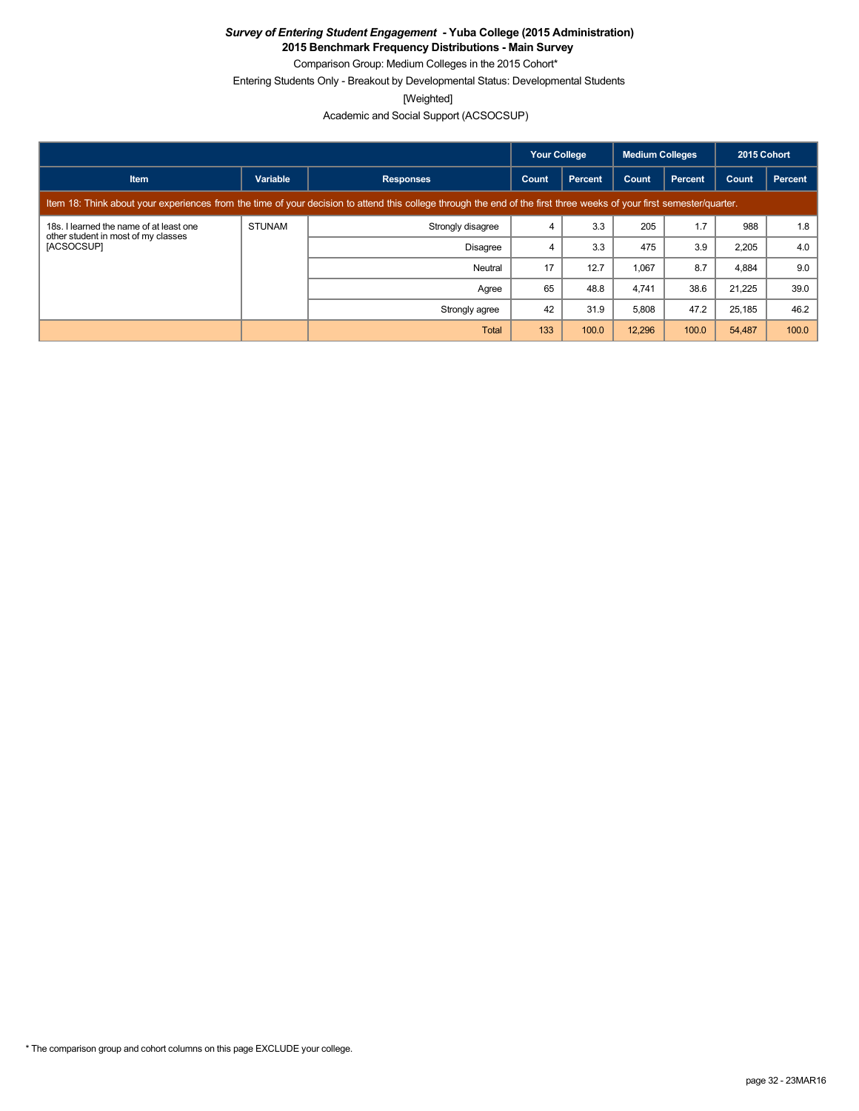**2015 Benchmark Frequency Distributions - Main Survey**

Comparison Group: Medium Colleges in the 2015 Cohort\* Entering Students Only - Breakout by Developmental Status: Developmental Students

[Weighted]

Academic and Social Support (ACSOCSUP)

|                                                                                                                                                                      |               |                   | <b>Your College</b><br>Medium Colleges |                |        |         | 2015 Cohort |         |
|----------------------------------------------------------------------------------------------------------------------------------------------------------------------|---------------|-------------------|----------------------------------------|----------------|--------|---------|-------------|---------|
| <b>Item</b>                                                                                                                                                          | Variable      | <b>Responses</b>  | Count                                  | <b>Percent</b> | Count  | Percent | Count       | Percent |
| Item 18: Think about your experiences from the time of your decision to attend this college through the end of the first three weeks of your first semester/quarter. |               |                   |                                        |                |        |         |             |         |
| 18s. I learned the name of at least one<br>other student in most of my classes<br>[ACSOCSUP]                                                                         | <b>STUNAM</b> | Strongly disagree | 4                                      | 3.3            | 205    | 1.7     | 988         | 1.8     |
|                                                                                                                                                                      |               | <b>Disagree</b>   | 4                                      | 3.3            | 475    | 3.9     | 2,205       | 4.0     |
|                                                                                                                                                                      |               | Neutral           | 17                                     | 12.7           | 1,067  | 8.7     | 4,884       | 9.0     |
|                                                                                                                                                                      |               | Agree             | 65                                     | 48.8           | 4.741  | 38.6    | 21.225      | 39.0    |
|                                                                                                                                                                      |               | Strongly agree    | 42                                     | 31.9           | 5,808  | 47.2    | 25,185      | 46.2    |
|                                                                                                                                                                      |               | Total             | 133                                    | 100.0          | 12,296 | 100.0   | 54,487      | 100.0   |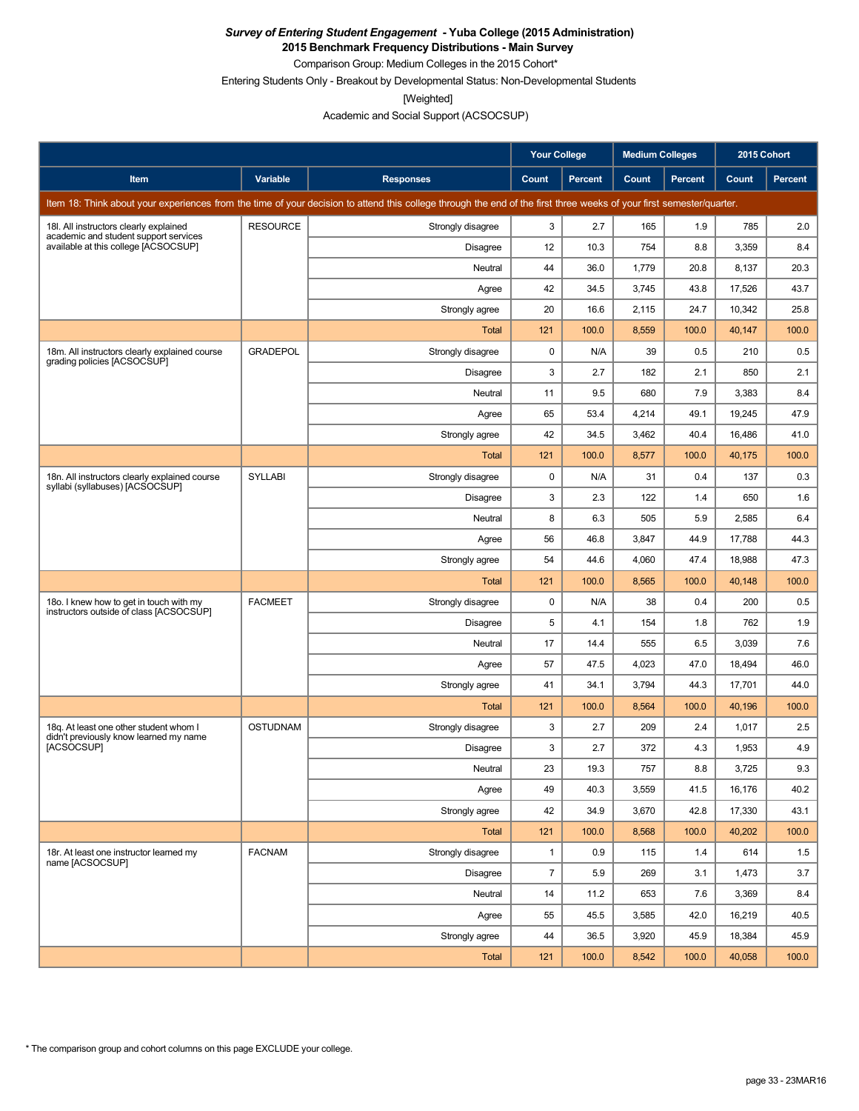**2015 Benchmark Frequency Distributions - Main Survey** Comparison Group: Medium Colleges in the 2015 Cohort\*

Entering Students Only - Breakout by Developmental Status: Non-Developmental Students

[Weighted]

Academic and Social Support (ACSOCSUP)

|                                                                                                                                                                      |                 |                   | <b>Your College</b> |                | <b>Medium Colleges</b> |                | 2015 Cohort |         |
|----------------------------------------------------------------------------------------------------------------------------------------------------------------------|-----------------|-------------------|---------------------|----------------|------------------------|----------------|-------------|---------|
| Item                                                                                                                                                                 | Variable        | <b>Responses</b>  | Count               | <b>Percent</b> | Count                  | <b>Percent</b> | Count       | Percent |
| Item 18: Think about your experiences from the time of your decision to attend this college through the end of the first three weeks of your first semester/quarter. |                 |                   |                     |                |                        |                |             |         |
| 18I. All instructors clearly explained                                                                                                                               | <b>RESOURCE</b> | Strongly disagree | 3                   | 2.7            | 165                    | 1.9            | 785         | 2.0     |
| academic and student support services<br>available at this college [ACSOCSUP]                                                                                        |                 | <b>Disagree</b>   | 12                  | 10.3           | 754                    | 8.8            | 3,359       | 8.4     |
|                                                                                                                                                                      |                 | Neutral           | 44                  | 36.0           | 1,779                  | 20.8           | 8,137       | 20.3    |
|                                                                                                                                                                      |                 | Agree             | 42                  | 34.5           | 3,745                  | 43.8           | 17,526      | 43.7    |
|                                                                                                                                                                      |                 | Strongly agree    | 20                  | 16.6           | 2,115                  | 24.7           | 10,342      | 25.8    |
|                                                                                                                                                                      |                 | Total             | 121                 | 100.0          | 8,559                  | 100.0          | 40,147      | 100.0   |
| 18m. All instructors clearly explained course<br>grading policies [ACSOCSUP]                                                                                         | <b>GRADEPOL</b> | Strongly disagree | 0                   | N/A            | 39                     | 0.5            | 210         | 0.5     |
|                                                                                                                                                                      |                 | <b>Disagree</b>   | 3                   | 2.7            | 182                    | 2.1            | 850         | 2.1     |
|                                                                                                                                                                      |                 | Neutral           | 11                  | 9.5            | 680                    | 7.9            | 3,383       | 8.4     |
|                                                                                                                                                                      |                 | Agree             | 65                  | 53.4           | 4,214                  | 49.1           | 19,245      | 47.9    |
|                                                                                                                                                                      |                 | Strongly agree    | 42                  | 34.5           | 3,462                  | 40.4           | 16,486      | 41.0    |
|                                                                                                                                                                      |                 | Total             | 121                 | 100.0          | 8,577                  | 100.0          | 40,175      | 100.0   |
| 18n. All instructors clearly explained course<br>syllabi (syllabuses) [ACSOCSUP]                                                                                     | <b>SYLLABI</b>  | Strongly disagree | 0                   | N/A            | 31                     | 0.4            | 137         | 0.3     |
|                                                                                                                                                                      |                 | <b>Disagree</b>   | 3                   | 2.3            | 122                    | 1.4            | 650         | 1.6     |
|                                                                                                                                                                      |                 | Neutral           | 8                   | 6.3            | 505                    | 5.9            | 2,585       | 6.4     |
|                                                                                                                                                                      |                 | Agree             | 56                  | 46.8           | 3,847                  | 44.9           | 17,788      | 44.3    |
|                                                                                                                                                                      |                 | Strongly agree    | 54                  | 44.6           | 4,060                  | 47.4           | 18,988      | 47.3    |
|                                                                                                                                                                      |                 | Total             | 121                 | 100.0          | 8,565                  | 100.0          | 40,148      | 100.0   |
| 180. I knew how to get in touch with my<br>instructors outside of class [ACSOCSUP]                                                                                   | <b>FACMEET</b>  | Strongly disagree | 0                   | N/A            | 38                     | 0.4            | 200         | 0.5     |
|                                                                                                                                                                      |                 | Disagree          | 5                   | 4.1            | 154                    | 1.8            | 762         | 1.9     |
|                                                                                                                                                                      |                 | Neutral           | 17                  | 14.4           | 555                    | 6.5            | 3,039       | 7.6     |
|                                                                                                                                                                      |                 | Agree             | 57                  | 47.5           | 4,023                  | 47.0           | 18,494      | 46.0    |
|                                                                                                                                                                      |                 | Strongly agree    | 41                  | 34.1           | 3,794                  | 44.3           | 17,701      | 44.0    |
|                                                                                                                                                                      |                 | Total             | 121                 | 100.0          | 8,564                  | 100.0          | 40,196      | 100.0   |
| 18g. At least one other student whom I<br>didn't previously know learned my name                                                                                     | <b>OSTUDNAM</b> | Strongly disagree | 3                   | 2.7            | 209                    | 2.4            | 1,017       | 2.5     |
| <b>IACSOCSUPI</b>                                                                                                                                                    |                 | Disagree          | 3                   | 2.7            | 372                    | 4.3            | 1,953       | 4.9     |
|                                                                                                                                                                      |                 | Neutral           | 23                  | 19.3           | 757                    | 8.8            | 3,725       | 9.3     |
|                                                                                                                                                                      |                 | Agree             | 49                  | 40.3           | 3,559                  | 41.5           | 16,176      | 40.2    |
|                                                                                                                                                                      |                 | Strongly agree    | 42                  | 34.9           | 3,670                  | 42.8           | 17,330      | 43.1    |
|                                                                                                                                                                      |                 | <b>Total</b>      | 121                 | 100.0          | 8,568                  | 100.0          | 40,202      | 100.0   |
| 18r. At least one instructor learned my<br>name [ACSOCSUP]                                                                                                           | <b>FACNAM</b>   | Strongly disagree | $\mathbf{1}$        | 0.9            | 115                    | 1.4            | 614         | 1.5     |
|                                                                                                                                                                      |                 | Disagree          | $\overline{7}$      | 5.9            | 269                    | 3.1            | 1,473       | 3.7     |
|                                                                                                                                                                      |                 | Neutral           | 14                  | 11.2           | 653                    | 7.6            | 3,369       | 8.4     |
|                                                                                                                                                                      |                 | Agree             | 55                  | 45.5           | 3,585                  | 42.0           | 16,219      | 40.5    |
|                                                                                                                                                                      |                 | Strongly agree    | 44                  | 36.5           | 3,920                  | 45.9           | 18,384      | 45.9    |
|                                                                                                                                                                      |                 | Total             | 121                 | 100.0          | 8,542                  | 100.0          | 40,058      | 100.0   |